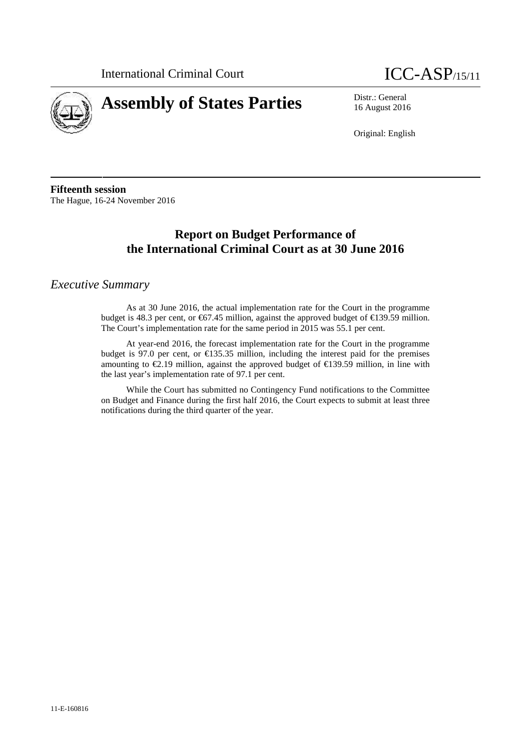



16 August 2016

Original: English

**Fifteenth session** The Hague, 16-24 November 2016

# **Report on Budget Performance of the International Criminal Court as at 30 June 2016**

### *Executive Summary*

As at 30 June 2016, the actual implementation rate for the Court in the programme budget is 48.3 per cent, or  $67.45$  million, against the approved budget of  $61.39.59$  million. The Court's implementation rate for the same period in 2015 was 55.1 per cent.

At year-end 2016, the forecast implementation rate for the Court in the programme budget is 97.0 per cent, or  $\bigoplus$  35.35 million, including the interest paid for the premises amounting to €2.19 million, against the approved budget of €139.59 million, in line with the last year's implementation rate of 97.1 per cent.

While the Court has submitted no Contingency Fund notifications to the Committee on Budget and Finance during the first half 2016, the Court expects to submit at least three notifications during the third quarter of the year.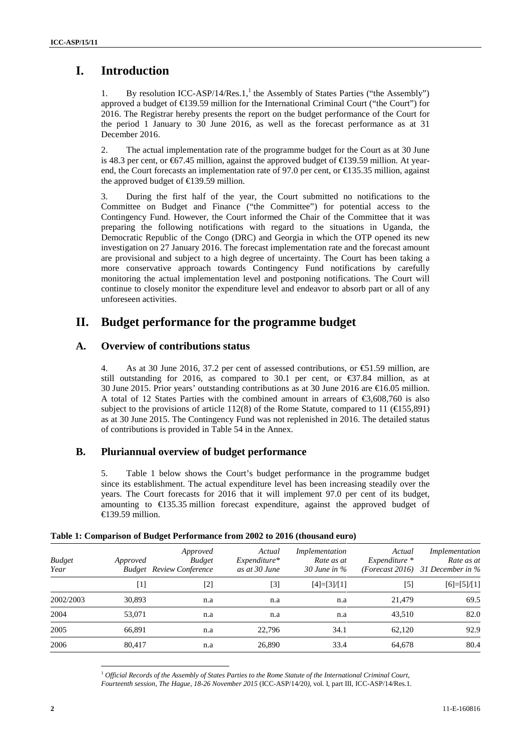# **I. Introduction**

1. By resolution ICC-ASP/14/Res.1,<sup>1</sup> the Assembly of States Parties ("the Assembly") approved a budget of €139.59 million for the International Criminal Court ("the Court") for 2016. The Registrar hereby presents the report on the budget performance of the Court for the period 1 January to 30 June 2016, as well as the forecast performance as at 31 December 2016.

2. The actual implementation rate of the programme budget for the Court as at 30 June is 48.3 per cent, or €67.45 million, against the approved budget of €139.59 million. At year end, the Court forecasts an implementation rate of 97.0 per cent, or €135.35 million, against the approved budget of  $\in$  39.59 million.

3. During the first half of the year, the Court submitted no notifications to the Committee on Budget and Finance ("the Committee") for potential access to the Contingency Fund. However, the Court informed the Chair of the Committee that it was preparing the following notifications with regard to the situations in Uganda, the Democratic Republic of the Congo (DRC) and Georgia in which the OTP opened its new investigation on 27 January 2016. The forecast implementation rate and the forecast amount are provisional and subject to a high degree of uncertainty. The Court has been taking a more conservative approach towards Contingency Fund notifications by carefully monitoring the actual implementation level and postponing notifications. The Court will continue to closely monitor the expenditure level and endeavor to absorb part or all of any unforeseen activities.

## **II. Budget performance for the programme budget**

### **A. Overview of contributions status**

4. As at 30 June 2016, 37.2 per cent of assessed contributions, or  $\bigoplus$  1.59 million, are still outstanding for 2016, as compared to 30.1 per cent, or  $\epsilon$ 37.84 million, as at 30 June 2015. Prior years' outstanding contributions as at 30 June 2016 are  $\in$  6.05 million. A total of 12 States Parties with the combined amount in arrears of €3,608,760 is also subject to the provisions of article 112(8) of the Rome Statute, compared to 11 (€155,891) as at 30 June 2015. The Contingency Fund was not replenished in 2016. The detailed status of contributions is provided in Table 54 in the Annex.

### **B. Pluriannual overview of budget performance**

5. Table 1 below shows the Court's budget performance in the programme budget since its establishment. The actual expenditure level has been increasing steadily over the years. The Court forecasts for 2016 that it will implement 97.0 per cent of its budget, amounting to  $\in$  35.35 million forecast expenditure, against the approved budget of  $\epsilon$ 139.59 million.

|        | Approved<br><b>Budget</b> | Actual<br>$Expenditure*$<br>as at 30 June   | Implementation<br>Rate as at<br>30 June in $\%$ | Actual<br>Expenditure * | Implementation<br>Rate as at<br>(Forecast 2016) 31 December in $\%$ |
|--------|---------------------------|---------------------------------------------|-------------------------------------------------|-------------------------|---------------------------------------------------------------------|
| [1]    | [2]                       | [3]                                         | $[4]=[3]/[1]$                                   | $[5]$                   | $[6]=[5]/[1]$                                                       |
| 30,893 | n.a                       | n.a                                         | n.a                                             | 21.479                  | 69.5                                                                |
| 53,071 | n.a                       | n.a                                         | n.a                                             | 43.510                  | 82.0                                                                |
| 66,891 | n.a                       | 22.796                                      | 34.1                                            | 62.120                  | 92.9                                                                |
| 80.417 | n.a                       | 26,890                                      | 33.4                                            | 64,678                  | 80.4                                                                |
|        |                           | Approved<br><b>Budget</b> Review Conference |                                                 |                         |                                                                     |

#### **Table 1: Comparison of Budget Performance from 2002 to 2016 (thousand euro)**

<sup>1</sup> *Official Records of the Assembly of States Parties to the Rome Statute of the International Criminal Court, Fourteenth session, The Hague, 18-26 November 2015* (ICC-ASP/14/20*),* vol. I, part III, ICC-ASP/14/Res.1*.*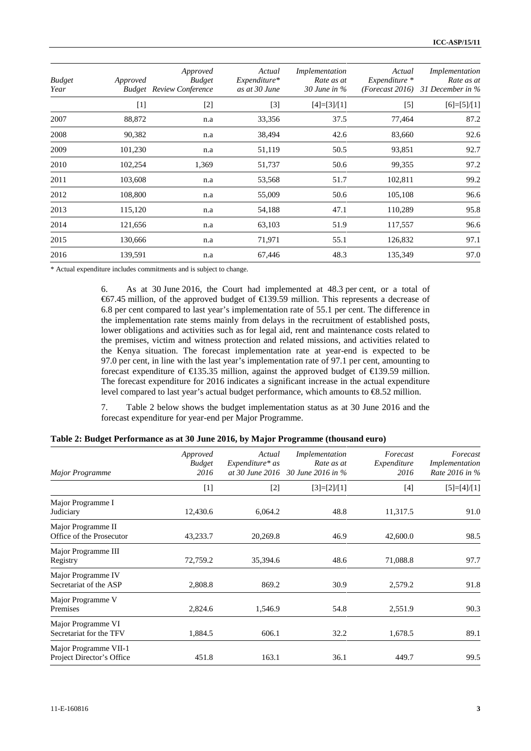| <b>Budget</b><br>Year | Approved | Approved<br><b>Budget</b><br><b>Budget</b> Review Conference | Actual<br>Expenditure*<br>as at 30 June | Implementation<br>Rate as at<br>30 June in $\%$ | Actual<br>$Expenditure *$ | Implementation<br>Rate as at<br>(Forecast 2016) 31 December in $%$ |
|-----------------------|----------|--------------------------------------------------------------|-----------------------------------------|-------------------------------------------------|---------------------------|--------------------------------------------------------------------|
|                       | $[1]$    | $[2]$                                                        | $[3]$                                   | $[4]=[3]/[1]$                                   | $[5]$                     | $[6]=[5]/[1]$                                                      |
| 2007                  | 88,872   | n.a                                                          | 33,356                                  | 37.5                                            | 77,464                    | 87.2                                                               |
| 2008                  | 90,382   | n.a                                                          | 38,494                                  | 42.6                                            | 83,660                    | 92.6                                                               |
| 2009                  | 101,230  | n.a                                                          | 51,119                                  | 50.5                                            | 93,851                    | 92.7                                                               |
| 2010                  | 102,254  | 1,369                                                        | 51,737                                  | 50.6                                            | 99,355                    | 97.2                                                               |
| 2011                  | 103,608  | n.a                                                          | 53,568                                  | 51.7                                            | 102,811                   | 99.2                                                               |
| 2012                  | 108,800  | n.a                                                          | 55,009                                  | 50.6                                            | 105,108                   | 96.6                                                               |
| 2013                  | 115,120  | n.a                                                          | 54,188                                  | 47.1                                            | 110,289                   | 95.8                                                               |
| 2014                  | 121,656  | n.a                                                          | 63,103                                  | 51.9                                            | 117,557                   | 96.6                                                               |
| 2015                  | 130,666  | n.a                                                          | 71,971                                  | 55.1                                            | 126,832                   | 97.1                                                               |
| 2016                  | 139,591  | n.a                                                          | 67,446                                  | 48.3                                            | 135,349                   | 97.0                                                               |

\* Actual expenditure includes commitments and is subject to change.

6. As at 30 June 2016, the Court had implemented at 48.3 per cent, or a total of €67.45 million, of the approved budget of €139.59 million. This represents a decrease of 6.8 per cent compared to last year's implementation rate of 55.1 per cent. The difference in the implementation rate stems mainly from delays in the recruitment of established posts, lower obligations and activities such as for legal aid, rent and maintenance costs related to the premises, victim and witness protection and related missions, and activities related to the Kenya situation. The forecast implementation rate at year-end is expected to be 97.0 per cent, in line with the last year's implementation rate of 97.1 per cent, amounting to forecast expenditure of €135.35 million, against the approved budget of €139.59 million. The forecast expenditure for 2016 indicates a significant increase in the actual expenditure level compared to last year's actual budget performance, which amounts to €8.52 million.

7. Table 2 below shows the budget implementation status as at 30 June 2016 and the forecast expenditure for year-end per Major Programme.

|  |  |  | Table 2: Budget Performance as at 30 June 2016, by Major Programme (thousand euro) |  |
|--|--|--|------------------------------------------------------------------------------------|--|
|  |  |  |                                                                                    |  |

| <b>Major Programme</b>                             | Approved<br><b>Budget</b><br>2016 | Actual<br>Expenditure* as | Implementation<br>Rate as at<br>at 30 June 2016 30 June 2016 in % | Forecast<br>Expenditure<br>2016 | Forecast<br>Implementation<br>Rate 2016 in % |
|----------------------------------------------------|-----------------------------------|---------------------------|-------------------------------------------------------------------|---------------------------------|----------------------------------------------|
|                                                    | $[1]$                             | $[2]$                     | $[3]=[2]/[1]$                                                     | $[4]$                           | $[5]=[4]/[1]$                                |
| Major Programme I<br>Judiciary                     | 12,430.6                          | 6,064.2                   | 48.8                                                              | 11,317.5                        | 91.0                                         |
| Major Programme II<br>Office of the Prosecutor     | 43,233.7                          | 20,269.8                  | 46.9                                                              | 42,600.0                        | 98.5                                         |
| Major Programme III<br>Registry                    | 72,759.2                          | 35,394.6                  | 48.6                                                              | 71,088.8                        | 97.7                                         |
| Major Programme IV<br>Secretariat of the ASP       | 2,808.8                           | 869.2                     | 30.9                                                              | 2,579.2                         | 91.8                                         |
| Major Programme V<br>Premises                      | 2,824.6                           | 1,546.9                   | 54.8                                                              | 2,551.9                         | 90.3                                         |
| Major Programme VI<br>Secretariat for the TFV      | 1,884.5                           | 606.1                     | 32.2                                                              | 1,678.5                         | 89.1                                         |
| Major Programme VII-1<br>Project Director's Office | 451.8                             | 163.1                     | 36.1                                                              | 449.7                           | 99.5                                         |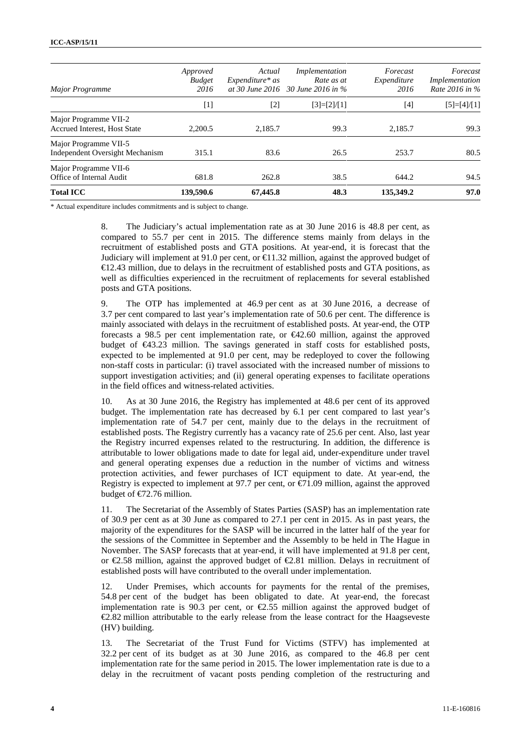| Major Programme                                                 | Approved<br><b>Budget</b><br>2016 | Actual<br>$Expenditure* as$ | Implementation<br>Rate as at<br>at 30 June 2016 30 June 2016 in % | Forecast<br>Expenditure<br>2016 | Forecast<br>Implementation<br>Rate 2016 in % |
|-----------------------------------------------------------------|-----------------------------------|-----------------------------|-------------------------------------------------------------------|---------------------------------|----------------------------------------------|
|                                                                 | $[1]$                             | $\lceil 2 \rceil$           | $[3]=[2]/[1]$                                                     | [4]                             | $[5]=[4]/[1]$                                |
| Major Programme VII-2<br>Accrued Interest, Host State           | 2.200.5                           | 2.185.7                     | 99.3                                                              | 2.185.7                         | 99.3                                         |
| Major Programme VII-5<br><b>Independent Oversight Mechanism</b> | 315.1                             | 83.6                        | 26.5                                                              | 253.7                           | 80.5                                         |
| Major Programme VII-6<br>Office of Internal Audit               | 681.8                             | 262.8                       | 38.5                                                              | 644.2                           | 94.5                                         |
| <b>Total ICC</b>                                                | 139,590.6                         | 67,445.8                    | 48.3                                                              | 135,349.2                       | 97.0                                         |

\* Actual expenditure includes commitments and is subject to change.

8. The Judiciary's actual implementation rate as at 30 June 2016 is 48.8 per cent, as compared to 55.7 per cent in 2015. The difference stems mainly from delays in the recruitment of established posts and GTA positions. At year-end, it is forecast that the Judiciary will implement at 91.0 per cent, or  $\bigoplus$  1.32 million, against the approved budget of €12.43 million, due to delays in the recruitment of established posts and GTA positions, as well as difficulties experienced in the recruitment of replacements for several established posts and GTA positions.

9. The OTP has implemented at 46.9 per cent as at 30 June 2016, a decrease of 3.7 per cent compared to last year's implementation rate of 50.6 per cent. The difference is mainly associated with delays in the recruitment of established posts. At year-end, the OTP forecasts a 98.5 per cent implementation rate, or €42.60 million, against the approved budget of €43.23 million. The savings generated in staff costs for established posts, expected to be implemented at 91.0 per cent, may be redeployed to cover the following non-staff costs in particular: (i) travel associated with the increased number of missions to support investigation activities; and (ii) general operating expenses to facilitate operations in the field offices and witness-related activities.

10. As at 30 June 2016, the Registry has implemented at 48.6 per cent of its approved budget. The implementation rate has decreased by 6.1 per cent compared to last year's implementation rate of 54.7 per cent, mainly due to the delays in the recruitment of established posts. The Registry currently has a vacancy rate of 25.6 per cent. Also, last year the Registry incurred expenses related to the restructuring. In addition, the difference is attributable to lower obligations made to date for legal aid, under-expenditure under travel and general operating expenses due a reduction in the number of victims and witness protection activities, and fewer purchases of ICT equipment to date. At year-end, the Registry is expected to implement at 97.7 per cent, or  $\epsilon$  1.09 million, against the approved budget of €72.76 million.

11. The Secretariat of the Assembly of States Parties (SASP) has an implementation rate of 30.9 per cent as at 30 June as compared to 27.1 per cent in 2015. As in past years, the majority of the expenditures for the SASP will be incurred in the latter half of the year for the sessions of the Committee in September and the Assembly to be held in The Hague in November. The SASP forecasts that at year-end, it will have implemented at 91.8 per cent, or €2.58 million, against the approved budget of €2.81 million. Delays in recruitment of established posts will have contributed to the overall under implementation.

12. Under Premises, which accounts for payments for the rental of the premises, 54.8 per cent of the budget has been obligated to date. At year-end, the forecast implementation rate is 90.3 per cent, or  $\mathcal{Q}$ .55 million against the approved budget of €2.82 million attributable to the early release from the lease contract for the Haagseveste (HV) building.

13. The Secretariat of the Trust Fund for Victims (STFV) has implemented at 32.2 per cent of its budget as at 30 June 2016, as compared to the 46.8 per cent implementation rate for the same period in 2015. The lower implementation rate is due to a delay in the recruitment of vacant posts pending completion of the restructuring and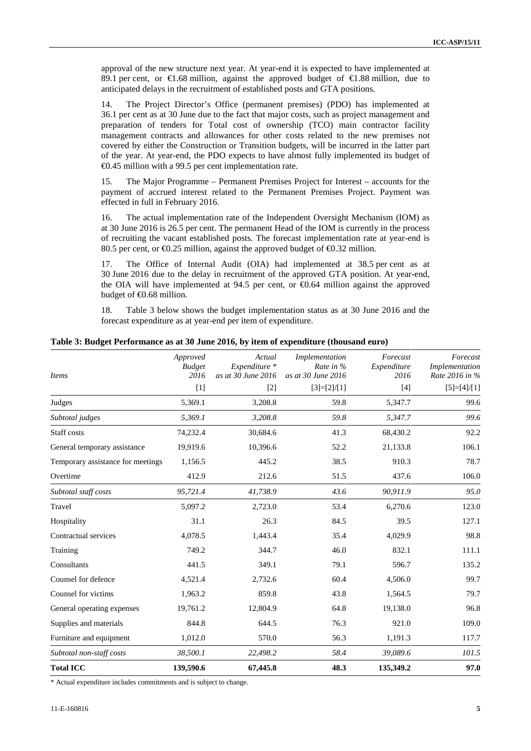approval of the new structure next year. At year-end it is expected to have implemented at 89.1 per cent, or  $\epsilon$ 1.68 million, against the approved budget of  $\epsilon$ 1.88 million, due to anticipated delays in the recruitment of established posts and GTA positions.

14. The Project Director's Office (permanent premises) (PDO) has implemented at 36.1 per cent as at 30 June due to the fact that major costs, such as project management and preparation of tenders for Total cost of ownership (TCO) main contractor facility management contracts and allowances for other costs related to the new premises not covered by either the Construction or Transition budgets, will be incurred in the latter part of the year. At year-end, the PDO expects to have almost fully implemented its budget of €0.45 million with a 99.5 per cent implementation rate.

15. The Major Programme – Permanent Premises Project for Interest – accounts for the payment of accrued interest related to the Permanent Premises Project. Payment was effected in full in February 2016.

16. The actual implementation rate of the Independent Oversight Mechanism (IOM) as at 30 June 2016 is 26.5 per cent. The permanent Head of the IOM is currently in the process of recruiting the vacant established posts. The forecast implementation rate at year-end is 80.5 per cent, or  $\text{\textsterling}0.25$  million, against the approved budget of  $\text{\textsterling}0.32$  million.

17. The Office of Internal Audit (OIA) had implemented at 38.5 per cent as at 30 June 2016 due to the delay in recruitment of the approved GTA position. At year-end, the OIA will have implemented at  $94.5$  per cent, or  $60.64$  million against the approved budget of  $\bigoplus$ .68 million.

18. Table 3 below shows the budget implementation status as at 30 June 2016 and the forecast expenditure as at year-end per item of expenditure.

|                                   | Approved<br><b>Budget</b> | Actual<br>Expenditure *     | Implementation<br>Rate in %         | Forecast<br>Expenditure | Forecast<br>Implementation      |
|-----------------------------------|---------------------------|-----------------------------|-------------------------------------|-------------------------|---------------------------------|
| <b>Items</b>                      | 2016<br>$[1]$             | as at 30 June 2016<br>$[2]$ | as at 30 June 2016<br>$[3]=[2]/[1]$ | 2016<br>$[4]$           | Rate 2016 in %<br>$[5]=[4]/[1]$ |
|                                   |                           |                             |                                     |                         |                                 |
| Judges                            | 5,369.1                   | 3,208.8                     | 59.8                                | 5,347.7                 | 99.6                            |
| Subtotal judges                   | 5,369.1                   | 3,208.8                     | 59.8                                | 5,347.7                 | 99.6                            |
| Staff costs                       | 74,232.4                  | 30,684.6                    | 41.3                                | 68,430.2                | 92.2                            |
| General temporary assistance      | 19,919.6                  | 10,396.6                    | 52.2                                | 21,133.8                | 106.1                           |
| Temporary assistance for meetings | 1,156.5                   | 445.2                       | 38.5                                | 910.3                   | 78.7                            |
| Overtime                          | 412.9                     | 212.6                       | 51.5                                | 437.6                   | 106.0                           |
| Subtotal staff costs              | 95,721.4                  | 41,738.9                    | 43.6                                | 90,911.9                | 95.0                            |
| Travel                            | 5,097.2                   | 2,723.0                     | 53.4                                | 6,270.6                 | 123.0                           |
| Hospitality                       | 31.1                      | 26.3                        | 84.5                                | 39.5                    | 127.1                           |
| Contractual services              | 4,078.5                   | 1,443.4                     | 35.4                                | 4,029.9                 | 98.8                            |
| Training                          | 749.2                     | 344.7                       | 46.0                                | 832.1                   | 111.1                           |
| Consultants                       | 441.5                     | 349.1                       | 79.1                                | 596.7                   | 135.2                           |
| Counsel for defence               | 4,521.4                   | 2,732.6                     | 60.4                                | 4,506.0                 | 99.7                            |
| Counsel for victims               | 1,963.2                   | 859.8                       | 43.8                                | 1,564.5                 | 79.7                            |
| General operating expenses        | 19,761.2                  | 12,804.9                    | 64.8                                | 19,138.0                | 96.8                            |
| Supplies and materials            | 844.8                     | 644.5                       | 76.3                                | 921.0                   | 109.0                           |
| Furniture and equipment           | 1,012.0                   | 570.0                       | 56.3                                | 1,191.3                 | 117.7                           |
| Subtotal non-staff costs          | 38,500.1                  | 22,498.2                    | 58.4                                | 39,089.6                | 101.5                           |
| <b>Total ICC</b>                  | 139,590.6                 | 67,445.8                    | 48.3                                | 135,349.2               | 97.0                            |

**Table 3: Budget Performance as at 30 June 2016, by item of expenditure (thousand euro)**

\* Actual expenditure includes commitments and is subject to change.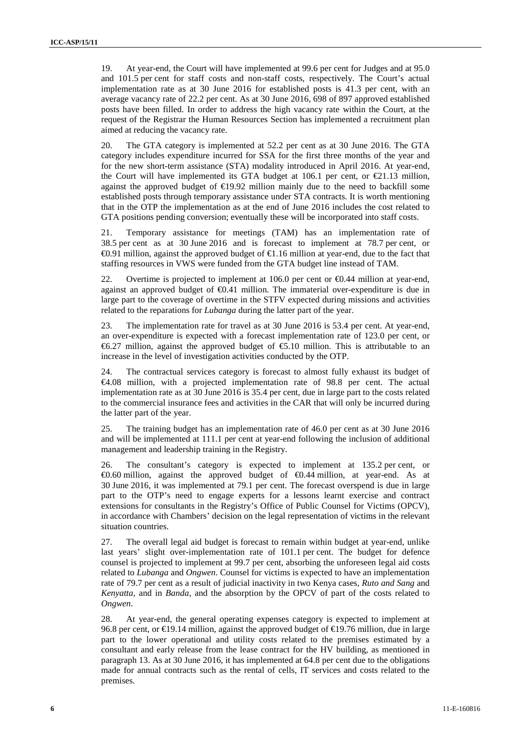19. At year-end, the Court will have implemented at 99.6 per cent for Judges and at 95.0 and 101.5 per cent for staff costs and non-staff costs, respectively. The Court's actual implementation rate as at 30 June 2016 for established posts is 41.3 per cent, with an average vacancy rate of 22.2 per cent. As at 30 June 2016, 698 of 897 approved established posts have been filled. In order to address the high vacancy rate within the Court, at the request of the Registrar the Human Resources Section has implemented a recruitment plan aimed at reducing the vacancy rate.

20. The GTA category is implemented at 52.2 per cent as at 30 June 2016. The GTA category includes expenditure incurred for SSA for the first three months of the year and for the new short-term assistance (STA) modality introduced in April 2016. At year-end, the Court will have implemented its GTA budget at 106.1 per cent, or  $\epsilon 21.13$  million, against the approved budget of  $\bigoplus$ 9.92 million mainly due to the need to backfill some established posts through temporary assistance under STA contracts. It is worth mentioning that in the OTP the implementation as at the end of June 2016 includes the cost related to GTA positions pending conversion; eventually these will be incorporated into staff costs.

21. Temporary assistance for meetings (TAM) has an implementation rate of 38.5 per cent as at 30 June 2016 and is forecast to implement at 78.7 per cent, or €0.91 million, against the approved budget of €1.16 million at year-end, due to the fact that staffing resources in VWS were funded from the GTA budget line instead of TAM.

22. Overtime is projected to implement at 106.0 per cent or €0.44 million at year-end, against an approved budget of €0.41 million. The immaterial over-expenditure is due in large part to the coverage of overtime in the STFV expected during missions and activities related to the reparations for *Lubanga* during the latter part of the year.

23. The implementation rate for travel as at 30 June 2016 is 53.4 per cent. At year-end, an over-expenditure is expected with a forecast implementation rate of 123.0 per cent, or €6.27 million, against the approved budget of €5.10 million. This is attributable to an increase in the level of investigation activities conducted by the OTP.

24. The contractual services category is forecast to almost fully exhaust its budget of €4.08 million, with a projected implementation rate of 98.8 per cent. The actual implementation rate as at 30 June 2016 is 35.4 per cent, due in large part to the costs related to the commercial insurance fees and activities in the CAR that will only be incurred during the latter part of the year.

25. The training budget has an implementation rate of 46.0 per cent as at 30 June 2016 and will be implemented at 111.1 per cent at year-end following the inclusion of additional management and leadership training in the Registry.

26. The consultant's category is expected to implement at 135.2 per cent, or €0.60 million, against the approved budget of €0.44 million, at year-end. As at 30 June 2016, it was implemented at 79.1 per cent. The forecast overspend is due in large part to the OTP's need to engage experts for a lessons learnt exercise and contract extensions for consultants in the Registry's Office of Public Counsel for Victims (OPCV), in accordance with Chambers' decision on the legal representation of victims in the relevant situation countries.

27. The overall legal aid budget is forecast to remain within budget at year-end, unlike last years' slight over-implementation rate of 101.1 per cent. The budget for defence counsel is projected to implement at 99.7 per cent, absorbing the unforeseen legal aid costs related to *Lubanga* and *Ongwen*. Counsel for victims is expected to have an implementation rate of 79.7 per cent as a result of judicial inactivity in two Kenya cases, *Ruto and Sang* and *Kenyatta*, and in *Banda*, and the absorption by the OPCV of part of the costs related to *Ongwen*.

28. At year-end, the general operating expenses category is expected to implement at 96.8 per cent, or €19.14 million, against the approved budget of €19.76 million, due in large part to the lower operational and utility costs related to the premises estimated by a consultant and early release from the lease contract for the HV building, as mentioned in paragraph 13. As at 30 June 2016, it has implemented at 64.8 per cent due to the obligations made for annual contracts such as the rental of cells, IT services and costs related to the premises.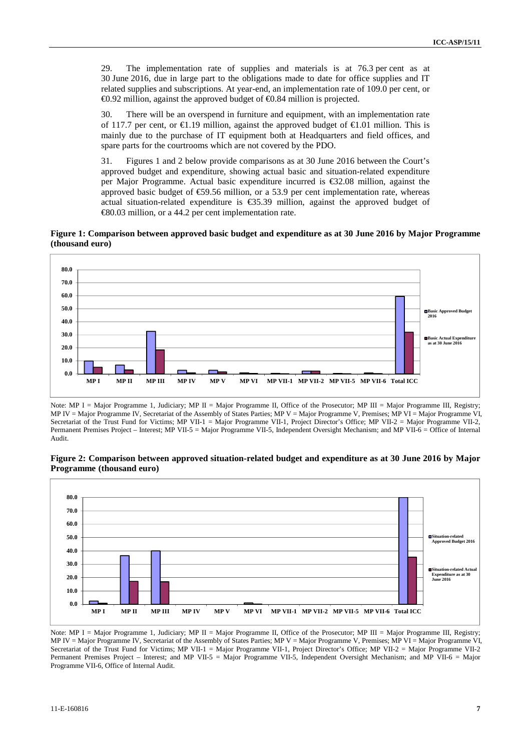29. The implementation rate of supplies and materials is at 76.3 per cent as at 30 June 2016, due in large part to the obligations made to date for office supplies and IT related supplies and subscriptions. At year-end, an implementation rate of 109.0 per cent, or  $\Theta$ .92 million, against the approved budget of  $\Theta$ .84 million is projected.

30. There will be an overspend in furniture and equipment, with an implementation rate of 117.7 per cent, or  $\bigoplus$ , 19 million, against the approved budget of  $\bigoplus$ , 01 million. This is mainly due to the purchase of IT equipment both at Headquarters and field offices, and spare parts for the courtrooms which are not covered by the PDO.

31. Figures 1 and 2 below provide comparisons as at 30 June 2016 between the Court's approved budget and expenditure, showing actual basic and situation-related expenditure per Major Programme. Actual basic expenditure incurred is €32.08 million, against the approved basic budget of  $\epsilon$ 59.56 million, or a 53.9 per cent implementation rate, whereas actual situation-related expenditure is  $\epsilon$ 35.39 million, against the approved budget of €80.03 million, or a 44.2 per cent implementation rate.

**Figure 1: Comparison between approved basic budget and expenditure as at 30 June 2016 by Major Programme (thousand euro)**



Note: MP I = Major Programme 1, Judiciary; MP II = Major Programme II, Office of the Prosecutor; MP III = Major Programme III, Registry; MP IV = Major Programme IV, Secretariat of the Assembly of States Parties; MP V = Major Programme V, Premises; MP VI = Major Programme VI, Secretariat of the Trust Fund for Victims; MP VII-1 = Major Programme VII-1, Project Director's Office; MP VII-2 = Major Programme VII-2, Permanent Premises Project – Interest; MP VII-5 = Major Programme VII-5, Independent Oversight Mechanism; and MP VII-6 = Office of Internal Audit.

**Figure 2: Comparison between approved situation-related budget and expenditure as at 30 June 2016 by Major Programme (thousand euro)**



Note: MP I = Major Programme 1, Judiciary; MP II = Major Programme II, Office of the Prosecutor; MP III = Major Programme III, Registry; MP IV = Major Programme IV, Secretariat of the Assembly of States Parties; MP V = Major Programme V, Premises; MP VI = Major Programme VI, Secretariat of the Trust Fund for Victims; MP VII-1 = Major Programme VII-1, Project Director's Office; MP VII-2 = Major Programme VII-2 Permanent Premises Project – Interest; and MP VII-5 = Major Programme VII-5, Independent Oversight Mechanism; and MP VII-6 = Major Programme VII-6, Office of Internal Audit.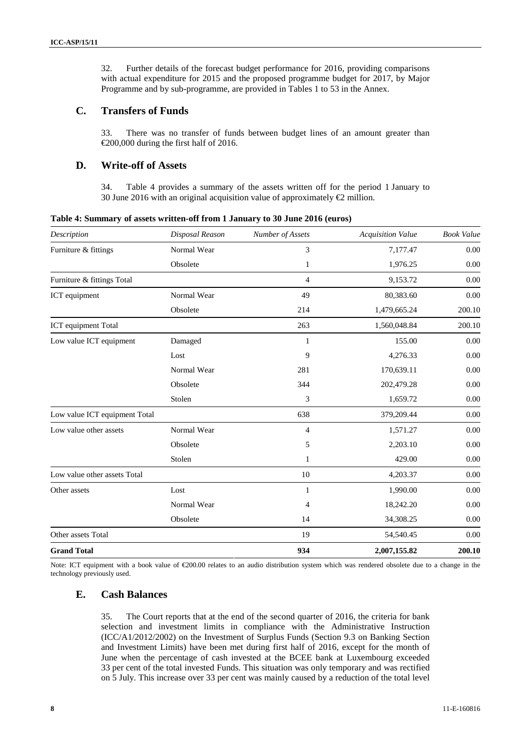32. Further details of the forecast budget performance for 2016, providing comparisons with actual expenditure for 2015 and the proposed programme budget for 2017, by Major Programme and by sub-programme, are provided in Tables 1 to 53 in the Annex.

#### **C. Transfers of Funds**

33. There was no transfer of funds between budget lines of an amount greater than €200,000 during the first half of 2016.

#### **D. Write-off of Assets**

34. Table 4 provides a summary of the assets written off for the period 1 January to 30 June 2016 with an original acquisition value of approximately  $\bigoplus$  million.

| Description                   | Disposal Reason | Number of Assets | <b>Acquisition Value</b> | <b>Book Value</b> |
|-------------------------------|-----------------|------------------|--------------------------|-------------------|
| Furniture & fittings          | Normal Wear     | 3                | 7,177.47                 | 0.00              |
|                               | Obsolete        | 1                | 1,976.25                 | 0.00              |
| Furniture & fittings Total    |                 | $\overline{4}$   | 9,153.72                 | 0.00              |
| ICT equipment                 | Normal Wear     | 49               | 80,383.60                | 0.00              |
|                               | Obsolete        | 214              | 1,479,665.24             | 200.10            |
| ICT equipment Total           |                 | 263              | 1,560,048.84             | 200.10            |
| Low value ICT equipment       | Damaged         | 1                | 155.00                   | 0.00              |
|                               | Lost            | 9                | 4,276.33                 | 0.00              |
|                               | Normal Wear     | 281              | 170,639.11               | 0.00              |
|                               | Obsolete        | 344              | 202,479.28               | 0.00              |
|                               | Stolen          | 3                | 1,659.72                 | 0.00              |
| Low value ICT equipment Total |                 | 638              | 379,209.44               | 0.00              |
| Low value other assets        | Normal Wear     | $\overline{4}$   | 1,571.27                 | 0.00              |
|                               | Obsolete        | 5                | 2,203.10                 | 0.00              |
|                               | Stolen          | 1                | 429.00                   | 0.00              |
| Low value other assets Total  |                 | 10               | 4,203.37                 | 0.00              |
| Other assets                  | Lost            | $\mathbf{1}$     | 1,990.00                 | 0.00              |
|                               | Normal Wear     | 4                | 18,242.20                | 0.00              |
|                               | Obsolete        | 14               | 34,308.25                | 0.00              |
| Other assets Total            |                 | 19               | 54,540.45                | 0.00              |
| <b>Grand Total</b>            |                 | 934              | 2,007,155.82             | 200.10            |

**Table 4: Summary of assets written-off from 1 January to 30 June 2016 (euros)**

Note: ICT equipment with a book value of €200.00 relates to an audio distribution system which was rendered obsolete due to a change in the technology previously used.

#### **E. Cash Balances**

35. The Court reports that at the end of the second quarter of 2016, the criteria for bank selection and investment limits in compliance with the Administrative Instruction (ICC/A1/2012/2002) on the Investment of Surplus Funds (Section 9.3 on Banking Section and Investment Limits) have been met during first half of 2016, except for the month of June when the percentage of cash invested at the BCEE bank at Luxembourg exceeded 33 per cent of the total invested Funds. This situation was only temporary and was rectified on 5 July. This increase over 33 per cent was mainly caused by a reduction of the total level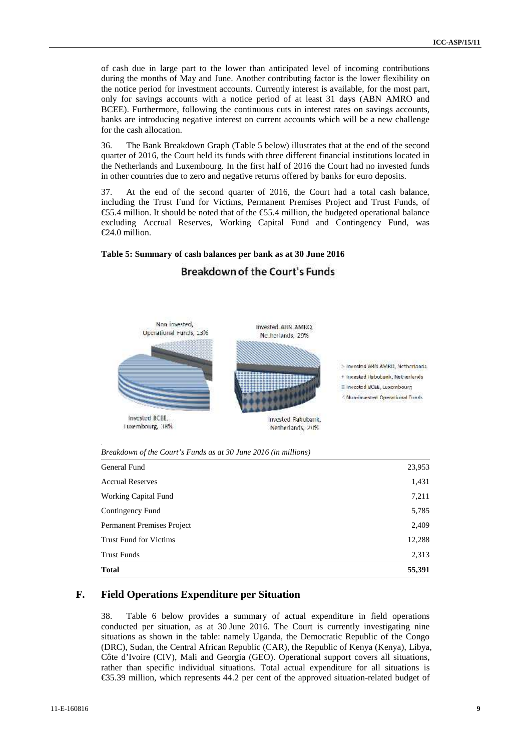of cash due in large part to the lower than anticipated level of incoming contributions during the months of May and June. Another contributing factor is the lower flexibility on the notice period for investment accounts. Currently interest is available, for the most part, only for savings accounts with a notice period of at least 31 days (ABN AMRO and BCEE). Furthermore, following the continuous cuts in interest rates on savings accounts, banks are introducing negative interest on current accounts which will be a new challenge for the cash allocation.

36. The Bank Breakdown Graph (Table 5 below) illustrates that at the end of the second quarter of 2016, the Court held its funds with three different financial institutions located in the Netherlands and Luxembourg. In the first half of 2016 the Court had no invested funds in other countries due to zero and negative returns offered by banks for euro deposits.

37. At the end of the second quarter of 2016, the Court had a total cash balance, including the Trust Fund for Victims, Permanent Premises Project and Trust Funds, of €55.4 million. It should be noted that of the €55.4 million, the budgeted operational balance excluding Accrual Reserves, Working Capital Fund and Contingency Fund, was €24.0 million.

#### **Table 5: Summary of cash balances per bank as at 30 June 2016**



## **Breakdown of the Court's Funds**

*Breakdown of the Court's Funds as at 30 June 2016 (in millions)*

| <b>Total</b>                      | 55,391 |
|-----------------------------------|--------|
| <b>Trust Funds</b>                | 2,313  |
| <b>Trust Fund for Victims</b>     | 12,288 |
| <b>Permanent Premises Project</b> | 2,409  |
| Contingency Fund                  | 5,785  |
| <b>Working Capital Fund</b>       | 7,211  |
| <b>Accrual Reserves</b>           | 1,431  |
| General Fund                      | 23,953 |

#### **F. Field Operations Expenditure per Situation**

38. Table 6 below provides a summary of actual expenditure in field operations conducted per situation, as at 30 June 2016. The Court is currently investigating nine situations as shown in the table: namely Uganda, the Democratic Republic of the Congo (DRC), Sudan, the Central African Republic (CAR), the Republic of Kenya (Kenya), Libya, Côte d'Ivoire (CIV), Mali and Georgia (GEO). Operational support covers all situations, rather than specific individual situations. Total actual expenditure for all situations is €35.39 million, which represents 44.2 per cent of the approved situation-related budget of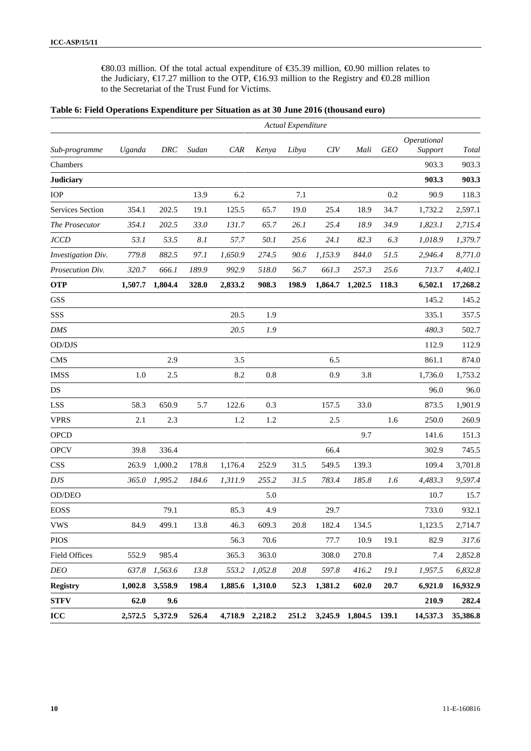€80.03 million. Of the total actual expenditure of €35.39 million, €0.90 million relates to the Judiciary, €17.27 million to the OTP, €16.93 million to the Registry and €0.28 million to the Secretariat of the Trust Fund for Victims.

|  |  | Table 6: Field Operations Expenditure per Situation as at 30 June 2016 (thousand euro) |  |  |
|--|--|----------------------------------------------------------------------------------------|--|--|
|--|--|----------------------------------------------------------------------------------------|--|--|

|                      |         |         |       |            |                 | Actual Expenditure |         |                       |            |                        |              |
|----------------------|---------|---------|-------|------------|-----------------|--------------------|---------|-----------------------|------------|------------------------|--------------|
| Sub-programme        | Uganda  | DRC     | Sudan | <b>CAR</b> | Kenya           | Libya              | CIV     | Mali                  | <b>GEO</b> | Operational<br>Support | <b>Total</b> |
| Chambers             |         |         |       |            |                 |                    |         |                       |            | 903.3                  | 903.3        |
| <b>Judiciary</b>     |         |         |       |            |                 |                    |         |                       |            | 903.3                  | 903.3        |
| <b>IOP</b>           |         |         | 13.9  | 6.2        |                 | 7.1                |         |                       | 0.2        | 90.9                   | 118.3        |
| Services Section     | 354.1   | 202.5   | 19.1  | 125.5      | 65.7            | 19.0               | 25.4    | 18.9                  | 34.7       | 1,732.2                | 2,597.1      |
| The Prosecutor       | 354.1   | 202.5   | 33.0  | 131.7      | 65.7            | 26.1               | 25.4    | 18.9                  | 34.9       | 1,823.1                | 2,715.4      |
| <b>JCCD</b>          | 53.1    | 53.5    | 8.1   | 57.7       | 50.1            | 25.6               | 24.1    | 82.3                  | 6.3        | 1,018.9                | 1,379.7      |
| Investigation Div.   | 779.8   | 882.5   | 97.1  | 1,650.9    | 274.5           | 90.6               | 1,153.9 | 844.0                 | 51.5       | 2,946.4                | 8,771.0      |
| Prosecution Div.     | 320.7   | 666.1   | 189.9 | 992.9      | 518.0           | 56.7               | 661.3   | 257.3                 | 25.6       | 713.7                  | 4,402.1      |
| <b>OTP</b>           | 1,507.7 | 1,804.4 | 328.0 | 2,833.2    | 908.3           | 198.9              | 1,864.7 | 1,202.5               | 118.3      | 6,502.1                | 17,268.2     |
| <b>GSS</b>           |         |         |       |            |                 |                    |         |                       |            | 145.2                  | 145.2        |
| SSS                  |         |         |       | 20.5       | 1.9             |                    |         |                       |            | 335.1                  | 357.5        |
| <b>DMS</b>           |         |         |       | 20.5       | 1.9             |                    |         |                       |            | 480.3                  | 502.7        |
| OD/DJS               |         |         |       |            |                 |                    |         |                       |            | 112.9                  | 112.9        |
| <b>CMS</b>           |         | 2.9     |       | 3.5        |                 |                    | 6.5     |                       |            | 861.1                  | 874.0        |
| <b>IMSS</b>          | 1.0     | 2.5     |       | 8.2        | 0.8             |                    | 0.9     | 3.8                   |            | 1,736.0                | 1,753.2      |
| DS                   |         |         |       |            |                 |                    |         |                       |            | 96.0                   | 96.0         |
| <b>LSS</b>           | 58.3    | 650.9   | 5.7   | 122.6      | 0.3             |                    | 157.5   | 33.0                  |            | 873.5                  | 1,901.9      |
| <b>VPRS</b>          | 2.1     | 2.3     |       | 1.2        | 1.2             |                    | 2.5     |                       | 1.6        | 250.0                  | 260.9        |
| <b>OPCD</b>          |         |         |       |            |                 |                    |         | 9.7                   |            | 141.6                  | 151.3        |
| <b>OPCV</b>          | 39.8    | 336.4   |       |            |                 |                    | 66.4    |                       |            | 302.9                  | 745.5        |
| <b>CSS</b>           | 263.9   | 1,000.2 | 178.8 | 1,176.4    | 252.9           | 31.5               | 549.5   | 139.3                 |            | 109.4                  | 3,701.8      |
| <b>DJS</b>           | 365.0   | 1,995.2 | 184.6 | 1,311.9    | 255.2           | 31.5               | 783.4   | 185.8                 | 1.6        | 4,483.3                | 9,597.4      |
| OD/DEO               |         |         |       |            | 5.0             |                    |         |                       |            | 10.7                   | 15.7         |
| <b>EOSS</b>          |         | 79.1    |       | 85.3       | 4.9             |                    | 29.7    |                       |            | 733.0                  | 932.1        |
| <b>VWS</b>           | 84.9    | 499.1   | 13.8  | 46.3       | 609.3           | 20.8               | 182.4   | 134.5                 |            | 1,123.5                | 2,714.7      |
| <b>PIOS</b>          |         |         |       | 56.3       | 70.6            |                    | 77.7    | 10.9                  | 19.1       | 82.9                   | 317.6        |
| <b>Field Offices</b> | 552.9   | 985.4   |       | 365.3      | 363.0           |                    | 308.0   | 270.8                 |            | 7.4                    | 2,852.8      |
| <b>DEO</b>           | 637.8   | 1,563.6 | 13.8  | 553.2      | 1,052.8         | 20.8               | 597.8   | 416.2                 | 19.1       | 1,957.5                | 6,832.8      |
| <b>Registry</b>      | 1,002.8 | 3,558.9 | 198.4 |            | 1,885.6 1,310.0 | 52.3               | 1,381.2 | 602.0                 | 20.7       | 6,921.0                | 16,932.9     |
| <b>STFV</b>          | 62.0    | 9.6     |       |            |                 |                    |         |                       |            | 210.9                  | 282.4        |
| ICC                  | 2,572.5 | 5,372.9 | 526.4 |            | 4,718.9 2,218.2 | 251.2              |         | 3,245.9 1,804.5 139.1 |            | 14,537.3               | 35,386.8     |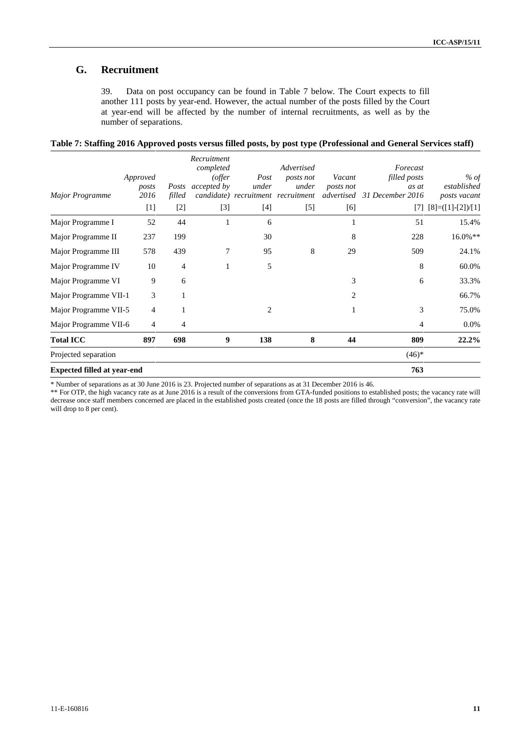### **G. Recruitment**

39. Data on post occupancy can be found in Table 7 below. The Court expects to fill another 111 posts by year-end. However, the actual number of the posts filled by the Court at year-end will be affected by the number of internal recruitments, as well as by the number of separations.

| Table 7: Staffing 2016 Approved posts versus filled posts, by post type (Professional and General Services staff) |  |  |
|-------------------------------------------------------------------------------------------------------------------|--|--|
|                                                                                                                   |  |  |

|                                    |                   |                | Recruitment                   |               |                                    |                     |                             |                                 |
|------------------------------------|-------------------|----------------|-------------------------------|---------------|------------------------------------|---------------------|-----------------------------|---------------------------------|
|                                    |                   |                | completed                     |               | Advertised                         |                     | Forecast                    |                                 |
|                                    | Approved<br>posts | Posts          | (offer)<br><i>accepted by</i> | Post<br>under | posts not<br>under                 | Vacant<br>posts not | filled posts<br>as at       | % of<br>established             |
| <b>Major Programme</b>             | 2016              | filled         |                               |               | candidate) recruitment recruitment |                     | advertised 31 December 2016 | posts vacant                    |
|                                    | $[1]$             | $[2]$          | $[3]$                         | $[4]$         | $[5]$                              | [6]                 |                             | $[7]$ $[8] = ([1] - [2]) / [1]$ |
| Major Programme I                  | 52                | 44             |                               | 6             |                                    | 1                   | 51                          | 15.4%                           |
| Major Programme II                 | 237               | 199            |                               | 30            |                                    | 8                   | 228                         | $16.0\%**$                      |
| Major Programme III                | 578               | 439            | 7                             | 95            | 8                                  | 29                  | 509                         | 24.1%                           |
| Major Programme IV                 | 10                | $\overline{4}$ |                               | 5             |                                    |                     | 8                           | 60.0%                           |
| Major Programme VI                 | 9                 | 6              |                               |               |                                    | 3                   | 6                           | 33.3%                           |
| Major Programme VII-1              | 3                 |                |                               |               |                                    | $\overline{c}$      |                             | 66.7%                           |
| Major Programme VII-5              | 4                 |                |                               | 2             |                                    |                     | 3                           | 75.0%                           |
| Major Programme VII-6              | 4                 | $\overline{4}$ |                               |               |                                    |                     | 4                           | 0.0%                            |
| <b>Total ICC</b>                   | 897               | 698            | 9                             | 138           | 8                                  | 44                  | 809                         | 22.2%                           |
| Projected separation               |                   |                |                               |               |                                    |                     | $(46)*$                     |                                 |
| <b>Expected filled at year-end</b> |                   |                |                               |               |                                    |                     | 763                         |                                 |

\* Number of separations as at 30 June 2016 is 23. Projected number of separations as at 31 December 2016 is 46.

\*\* For OTP, the high vacancy rate as at June 2016 is a result of the conversions from GTA-funded positions to established posts; the vacancy rate will decrease once staff members concerned are placed in the established posts created (once the 18 posts are filled through "conversion", the vacancy rate will drop to 8 per cent).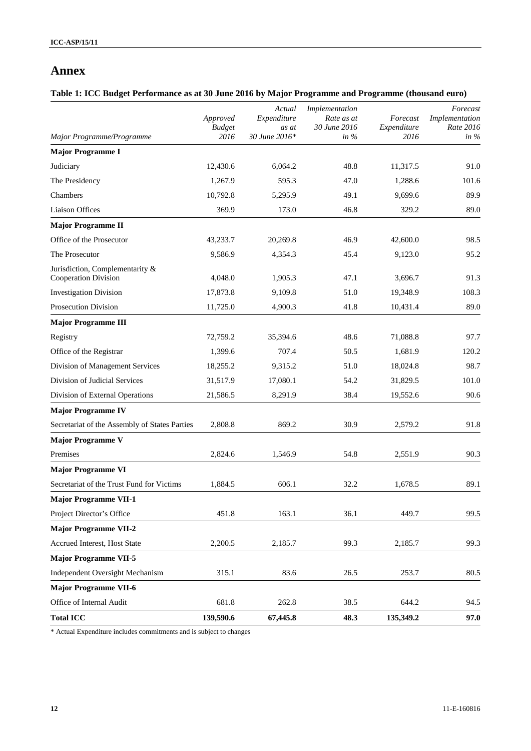### **Annex**

### **Table 1: ICC Budget Performance as at 30 June 2016 by Major Programme and Programme (thousand euro)**

| Major Programme/Programme                               | Approved<br><b>Budget</b><br>2016 | Actual<br>Expenditure<br>as at<br>30 June 2016* | Implementation<br>Rate as at<br>30 June 2016<br>in $%$ | Forecast<br>Expenditure<br>2016 | Forecast<br>Implementation<br>Rate 2016<br>in $%$ |
|---------------------------------------------------------|-----------------------------------|-------------------------------------------------|--------------------------------------------------------|---------------------------------|---------------------------------------------------|
| <b>Major Programme I</b>                                |                                   |                                                 |                                                        |                                 |                                                   |
| Judiciary                                               | 12,430.6                          | 6,064.2                                         | 48.8                                                   | 11,317.5                        | 91.0                                              |
| The Presidency                                          | 1,267.9                           | 595.3                                           | 47.0                                                   | 1,288.6                         | 101.6                                             |
| Chambers                                                | 10,792.8                          | 5,295.9                                         | 49.1                                                   | 9,699.6                         | 89.9                                              |
| Liaison Offices                                         | 369.9                             | 173.0                                           | 46.8                                                   | 329.2                           | 89.0                                              |
| <b>Major Programme II</b>                               |                                   |                                                 |                                                        |                                 |                                                   |
| Office of the Prosecutor                                | 43,233.7                          | 20,269.8                                        | 46.9                                                   | 42,600.0                        | 98.5                                              |
| The Prosecutor                                          | 9,586.9                           | 4,354.3                                         | 45.4                                                   | 9,123.0                         | 95.2                                              |
| Jurisdiction, Complementarity &<br>Cooperation Division | 4,048.0                           | 1,905.3                                         | 47.1                                                   | 3,696.7                         | 91.3                                              |
| <b>Investigation Division</b>                           | 17,873.8                          | 9,109.8                                         | 51.0                                                   | 19,348.9                        | 108.3                                             |
| <b>Prosecution Division</b>                             | 11,725.0                          | 4,900.3                                         | 41.8                                                   | 10,431.4                        | 89.0                                              |
| <b>Major Programme III</b>                              |                                   |                                                 |                                                        |                                 |                                                   |
| Registry                                                | 72,759.2                          | 35,394.6                                        | 48.6                                                   | 71,088.8                        | 97.7                                              |
| Office of the Registrar                                 | 1,399.6                           | 707.4                                           | 50.5                                                   | 1,681.9                         | 120.2                                             |
| Division of Management Services                         | 18,255.2                          | 9,315.2                                         | 51.0                                                   | 18,024.8                        | 98.7                                              |
| Division of Judicial Services                           | 31,517.9                          | 17,080.1                                        | 54.2                                                   | 31,829.5                        | 101.0                                             |
| Division of External Operations                         | 21,586.5                          | 8,291.9                                         | 38.4                                                   | 19,552.6                        | 90.6                                              |
| <b>Major Programme IV</b>                               |                                   |                                                 |                                                        |                                 |                                                   |
| Secretariat of the Assembly of States Parties           | 2,808.8                           | 869.2                                           | 30.9                                                   | 2,579.2                         | 91.8                                              |
| <b>Major Programme V</b>                                |                                   |                                                 |                                                        |                                 |                                                   |
| Premises                                                | 2,824.6                           | 1,546.9                                         | 54.8                                                   | 2,551.9                         | 90.3                                              |
| <b>Major Programme VI</b>                               |                                   |                                                 |                                                        |                                 |                                                   |
| Secretariat of the Trust Fund for Victims               | 1,884.5                           | 606.1                                           | 32.2                                                   | 1,678.5                         | 89.1                                              |
| <b>Major Programme VII-1</b>                            |                                   |                                                 |                                                        |                                 |                                                   |
| Project Director's Office                               | 451.8                             | 163.1                                           | 36.1                                                   | 449.7                           | 99.5                                              |
| <b>Major Programme VII-2</b>                            |                                   |                                                 |                                                        |                                 |                                                   |
| Accrued Interest, Host State                            | 2,200.5                           | 2,185.7                                         | 99.3                                                   | 2,185.7                         | 99.3                                              |
| <b>Major Programme VII-5</b>                            |                                   |                                                 |                                                        |                                 |                                                   |
| Independent Oversight Mechanism                         | 315.1                             | 83.6                                            | 26.5                                                   | 253.7                           | 80.5                                              |
| <b>Major Programme VII-6</b>                            |                                   |                                                 |                                                        |                                 |                                                   |
| Office of Internal Audit                                | 681.8                             | 262.8                                           | 38.5                                                   | 644.2                           | 94.5                                              |
| <b>Total ICC</b>                                        | 139,590.6                         | 67,445.8                                        | 48.3                                                   | 135,349.2                       | 97.0                                              |

\* Actual Expenditure includes commitments and is subject to changes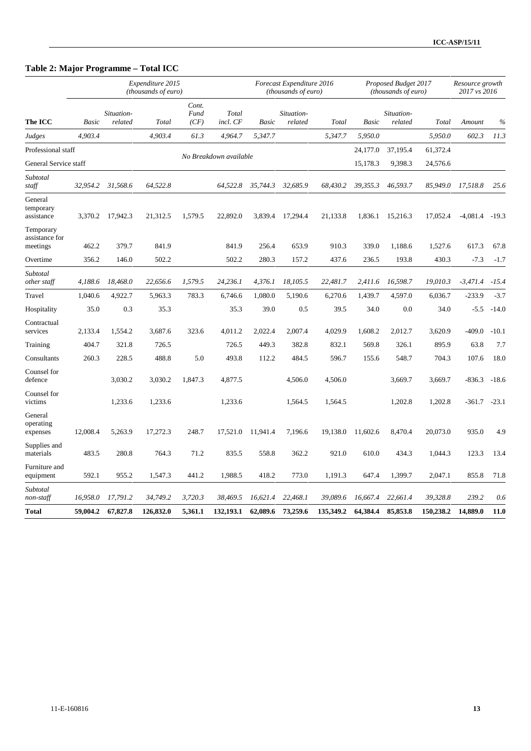### **Table 2: Major Programme – Total ICC**

|                                         |          |                       | Expenditure 2015<br>(thousands of euro) |                       |                        |          | Forecast Expenditure 2016<br>(thousands of euro) |           |              | Proposed Budget 2017<br>(thousands of euro) |           | Resource growth<br>2017 vs 2016 |         |
|-----------------------------------------|----------|-----------------------|-----------------------------------------|-----------------------|------------------------|----------|--------------------------------------------------|-----------|--------------|---------------------------------------------|-----------|---------------------------------|---------|
| The ICC                                 | Basic    | Situation-<br>related | Total                                   | Cont.<br>Fund<br>(CF) | Total<br>incl. CF      | Basic    | Situation-<br>related                            | Total     | <b>Basic</b> | Situation-<br>related                       | Total     | Amount                          | $\%$    |
| Judges                                  | 4.903.4  |                       | 4.903.4                                 | 61.3                  | 4,964.7                | 5,347.7  |                                                  | 5,347.7   | 5.950.0      |                                             | 5,950.0   | 602.3                           | 11.3    |
| Professional staff                      |          |                       |                                         |                       |                        |          |                                                  |           | 24,177.0     | 37,195.4                                    | 61,372.4  |                                 |         |
| General Service staff                   |          |                       |                                         |                       | No Breakdown available |          |                                                  |           | 15,178.3     | 9,398.3                                     | 24,576.6  |                                 |         |
| Subtotal<br>staff                       | 32,954.2 | 31,568.6              | 64,522.8                                |                       | 64,522.8               | 35,744.3 | 32.685.9                                         | 68,430.2  | 39,355.3     | 46,593.7                                    | 85,949.0  | 17,518.8                        | 25.6    |
| General<br>temporary<br>assistance      | 3,370.2  | 17,942.3              | 21,312.5                                | 1,579.5               | 22,892.0               | 3,839.4  | 17,294.4                                         | 21,133.8  | 1,836.1      | 15,216.3                                    | 17,052.4  | $-4,081.4$                      | $-19.3$ |
| Temporary<br>assistance for<br>meetings | 462.2    | 379.7                 | 841.9                                   |                       | 841.9                  | 256.4    | 653.9                                            | 910.3     | 339.0        | 1,188.6                                     | 1,527.6   | 617.3                           | 67.8    |
| Overtime                                | 356.2    | 146.0                 | 502.2                                   |                       | 502.2                  | 280.3    | 157.2                                            | 437.6     | 236.5        | 193.8                                       | 430.3     | $-7.3$                          | $-1.7$  |
| Subtotal<br>other staff                 | 4,188.6  | 18,468.0              | 22,656.6                                | 1,579.5               | 24,236.1               | 4,376.1  | 18,105.5                                         | 22,481.7  | 2,411.6      | 16,598.7                                    | 19,010.3  | $-3,471.4$                      | $-15.4$ |
| Travel                                  | 1,040.6  | 4,922.7               | 5,963.3                                 | 783.3                 | 6,746.6                | 1,080.0  | 5,190.6                                          | 6,270.6   | 1,439.7      | 4,597.0                                     | 6,036.7   | $-233.9$                        | $-3.7$  |
| Hospitality                             | 35.0     | 0.3                   | 35.3                                    |                       | 35.3                   | 39.0     | 0.5                                              | 39.5      | 34.0         | 0.0                                         | 34.0      | $-5.5$                          | $-14.0$ |
| Contractual<br>services                 | 2,133.4  | 1,554.2               | 3,687.6                                 | 323.6                 | 4,011.2                | 2,022.4  | 2,007.4                                          | 4,029.9   | 1,608.2      | 2,012.7                                     | 3,620.9   | $-409.0$                        | $-10.1$ |
| Training                                | 404.7    | 321.8                 | 726.5                                   |                       | 726.5                  | 449.3    | 382.8                                            | 832.1     | 569.8        | 326.1                                       | 895.9     | 63.8                            | 7.7     |
| Consultants                             | 260.3    | 228.5                 | 488.8                                   | 5.0                   | 493.8                  | 112.2    | 484.5                                            | 596.7     | 155.6        | 548.7                                       | 704.3     | 107.6                           | 18.0    |
| Counsel for<br>defence                  |          | 3,030.2               | 3,030.2                                 | 1,847.3               | 4,877.5                |          | 4,506.0                                          | 4,506.0   |              | 3,669.7                                     | 3,669.7   | $-836.3$                        | $-18.6$ |
| Counsel for<br>victims                  |          | 1,233.6               | 1,233.6                                 |                       | 1,233.6                |          | 1,564.5                                          | 1,564.5   |              | 1,202.8                                     | 1,202.8   | $-361.7$                        | $-23.1$ |
| General<br>operating<br>expenses        | 12,008.4 | 5,263.9               | 17,272.3                                | 248.7                 | 17,521.0               | 11,941.4 | 7,196.6                                          | 19,138.0  | 11,602.6     | 8,470.4                                     | 20,073.0  | 935.0                           | 4.9     |
| Supplies and<br>materials               | 483.5    | 280.8                 | 764.3                                   | 71.2                  | 835.5                  | 558.8    | 362.2                                            | 921.0     | 610.0        | 434.3                                       | 1,044.3   | 123.3                           | 13.4    |
| Furniture and<br>equipment              | 592.1    | 955.2                 | 1,547.3                                 | 441.2                 | 1,988.5                | 418.2    | 773.0                                            | 1,191.3   | 647.4        | 1,399.7                                     | 2,047.1   | 855.8                           | 71.8    |
| Subtotal<br>non-staff                   | 16,958.0 | 17,791.2              | 34,749.2                                | 3,720.3               | 38,469.5               | 16,621.4 | 22,468.1                                         | 39,089.6  | 16,667.4     | 22,661.4                                    | 39,328.8  | 239.2                           | 0.6     |
| Total                                   | 59,004.2 | 67,827.8              | 126,832.0                               | 5,361.1               | 132,193.1              | 62,089.6 | 73,259.6                                         | 135,349.2 | 64,384.4     | 85,853.8                                    | 150,238.2 | 14,889.0                        | 11.0    |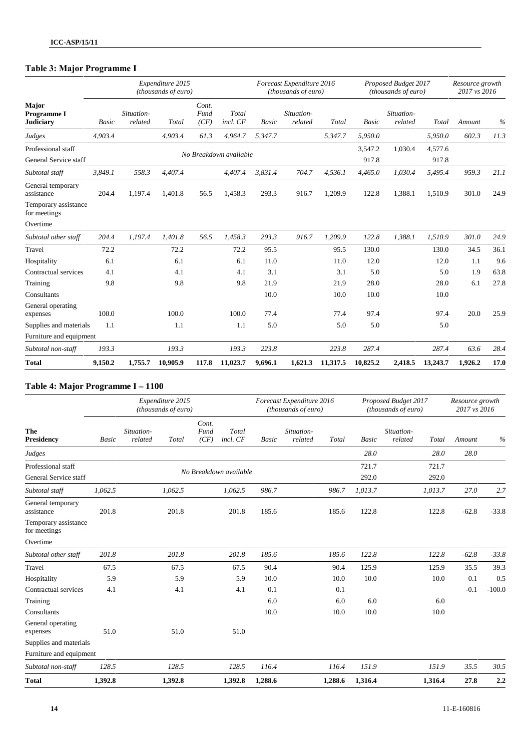## **Table 3: Major Programme I**

|                                             |         |                       | Expenditure 2015<br>(thousands of euro) |                       |                        |              | Forecast Expenditure 2016<br>(thousands of euro) |          |                  | Proposed Budget 2017<br>(thousands of euro) |                  | Resource growth<br>2017 vs 2016 |      |
|---------------------------------------------|---------|-----------------------|-----------------------------------------|-----------------------|------------------------|--------------|--------------------------------------------------|----------|------------------|---------------------------------------------|------------------|---------------------------------|------|
| Major<br>Programme I<br><b>Judiciary</b>    | Basic   | Situation-<br>related | Total                                   | Cont.<br>Fund<br>(CF) | Total<br>incl. CF      | <b>Basic</b> | Situation-<br>related                            | Total    | <b>Basic</b>     | Situation-<br>related                       | Total            | Amount                          | $\%$ |
| Judges                                      | 4,903.4 |                       | 4,903.4                                 | 61.3                  | 4,964.7                | 5,347.7      |                                                  | 5,347.7  | 5,950.0          |                                             | 5,950.0          | 602.3                           | 11.3 |
| Professional staff<br>General Service staff |         |                       |                                         |                       | No Breakdown available |              |                                                  |          | 3,547.2<br>917.8 | 1,030.4                                     | 4,577.6<br>917.8 |                                 |      |
| Subtotal staff                              | 3,849.1 | 558.3                 | 4,407.4                                 |                       | 4,407.4                | 3,831.4      | 704.7                                            | 4,536.1  | 4,465.0          | 1,030.4                                     | 5,495.4          | 959.3                           | 21.1 |
| General temporary<br>assistance             | 204.4   | 1,197.4               | 1,401.8                                 | 56.5                  | 1,458.3                | 293.3        | 916.7                                            | 1,209.9  | 122.8            | 1,388.1                                     | 1,510.9          | 301.0                           | 24.9 |
| Temporary assistance<br>for meetings        |         |                       |                                         |                       |                        |              |                                                  |          |                  |                                             |                  |                                 |      |
| Overtime                                    |         |                       |                                         |                       |                        |              |                                                  |          |                  |                                             |                  |                                 |      |
| Subtotal other staff                        | 204.4   | 1,197.4               | 1,401.8                                 | 56.5                  | 1,458.3                | 293.3        | 916.7                                            | 1,209.9  | 122.8            | 1,388.1                                     | 1,510.9          | 301.0                           | 24.9 |
| Travel                                      | 72.2    |                       | 72.2                                    |                       | 72.2                   | 95.5         |                                                  | 95.5     | 130.0            |                                             | 130.0            | 34.5                            | 36.1 |
| Hospitality                                 | 6.1     |                       | 6.1                                     |                       | 6.1                    | 11.0         |                                                  | 11.0     | 12.0             |                                             | 12.0             | 1.1                             | 9.6  |
| Contractual services                        | 4.1     |                       | 4.1                                     |                       | 4.1                    | 3.1          |                                                  | 3.1      | 5.0              |                                             | 5.0              | 1.9                             | 63.8 |
| Training                                    | 9.8     |                       | 9.8                                     |                       | 9.8                    | 21.9         |                                                  | 21.9     | 28.0             |                                             | 28.0             | 6.1                             | 27.8 |
| Consultants                                 |         |                       |                                         |                       |                        | 10.0         |                                                  | 10.0     | 10.0             |                                             | 10.0             |                                 |      |
| General operating<br>expenses               | 100.0   |                       | 100.0                                   |                       | 100.0                  | 77.4         |                                                  | 77.4     | 97.4             |                                             | 97.4             | 20.0                            | 25.9 |
| Supplies and materials                      | 1.1     |                       | 1.1                                     |                       | 1.1                    | 5.0          |                                                  | 5.0      | 5.0              |                                             | 5.0              |                                 |      |
| Furniture and equipment                     |         |                       |                                         |                       |                        |              |                                                  |          |                  |                                             |                  |                                 |      |
| Subtotal non-staff                          | 193.3   |                       | 193.3                                   |                       | 193.3                  | 223.8        |                                                  | 223.8    | 287.4            |                                             | 287.4            | 63.6                            | 28.4 |
| <b>Total</b>                                | 9,150.2 | 1,755.7               | 10,905.9                                | 117.8                 | 11,023.7               | 9,696.1      | 1,621.3                                          | 11,317.5 | 10,825.2         | 2,418.5                                     | 13,243.7         | 1,926.2                         | 17.0 |

### **Table 4: Major Programme I – 1100**

|                                      |              |                       | Expenditure 2015<br>(thousands of euro) |                       |                        |              | Forecast Expenditure 2016<br>(thousands of euro) |         |              | Proposed Budget 2017<br>(thousands of euro) |         | Resource growth<br>2017 vs 2016 |          |
|--------------------------------------|--------------|-----------------------|-----------------------------------------|-----------------------|------------------------|--------------|--------------------------------------------------|---------|--------------|---------------------------------------------|---------|---------------------------------|----------|
| The<br><b>Presidency</b>             | <b>Basic</b> | Situation-<br>related | Total                                   | Cont.<br>Fund<br>(CF) | Total<br>incl. CF      | <b>Basic</b> | Situation-<br>related                            | Total   | <b>Basic</b> | Situation-<br>related                       | Total   | Amount                          | $\%$     |
| Judges                               |              |                       |                                         |                       |                        |              |                                                  |         | 28.0         |                                             | 28.0    | 28.0                            |          |
| Professional staff                   |              |                       |                                         |                       | No Breakdown available |              |                                                  |         | 721.7        |                                             | 721.7   |                                 |          |
| General Service staff                |              |                       |                                         |                       |                        |              |                                                  |         | 292.0        |                                             | 292.0   |                                 |          |
| Subtotal staff                       | 1.062.5      |                       | 1,062.5                                 |                       | 1,062.5                | 986.7        |                                                  | 986.7   | 1,013.7      |                                             | 1,013.7 | 27.0                            | 2.7      |
| General temporary<br>assistance      | 201.8        |                       | 201.8                                   |                       | 201.8                  | 185.6        |                                                  | 185.6   | 122.8        |                                             | 122.8   | $-62.8$                         | $-33.8$  |
| Temporary assistance<br>for meetings |              |                       |                                         |                       |                        |              |                                                  |         |              |                                             |         |                                 |          |
| Overtime                             |              |                       |                                         |                       |                        |              |                                                  |         |              |                                             |         |                                 |          |
| Subtotal other staff                 | 201.8        |                       | 201.8                                   |                       | 201.8                  | 185.6        |                                                  | 185.6   | 122.8        |                                             | 122.8   | $-62.8$                         | $-33.8$  |
| Travel                               | 67.5         |                       | 67.5                                    |                       | 67.5                   | 90.4         |                                                  | 90.4    | 125.9        |                                             | 125.9   | 35.5                            | 39.3     |
| Hospitality                          | 5.9          |                       | 5.9                                     |                       | 5.9                    | 10.0         |                                                  | 10.0    | 10.0         |                                             | 10.0    | 0.1                             | 0.5      |
| Contractual services                 | 4.1          |                       | 4.1                                     |                       | 4.1                    | 0.1          |                                                  | 0.1     |              |                                             |         | $-0.1$                          | $-100.0$ |
| Training                             |              |                       |                                         |                       |                        | 6.0          |                                                  | 6.0     | 6.0          |                                             | 6.0     |                                 |          |
| Consultants                          |              |                       |                                         |                       |                        | 10.0         |                                                  | 10.0    | 10.0         |                                             | 10.0    |                                 |          |
| General operating<br>expenses        | 51.0         |                       | 51.0                                    |                       | 51.0                   |              |                                                  |         |              |                                             |         |                                 |          |
| Supplies and materials               |              |                       |                                         |                       |                        |              |                                                  |         |              |                                             |         |                                 |          |
| Furniture and equipment              |              |                       |                                         |                       |                        |              |                                                  |         |              |                                             |         |                                 |          |
| Subtotal non-staff                   | 128.5        |                       | 128.5                                   |                       | 128.5                  | 116.4        |                                                  | 116.4   | 151.9        |                                             | 151.9   | 35.5                            | 30.5     |
| <b>Total</b>                         | 1,392.8      |                       | 1,392.8                                 |                       | 1,392.8                | 1,288.6      |                                                  | 1,288.6 | 1,316.4      |                                             | 1.316.4 | 27.8                            | 2.2      |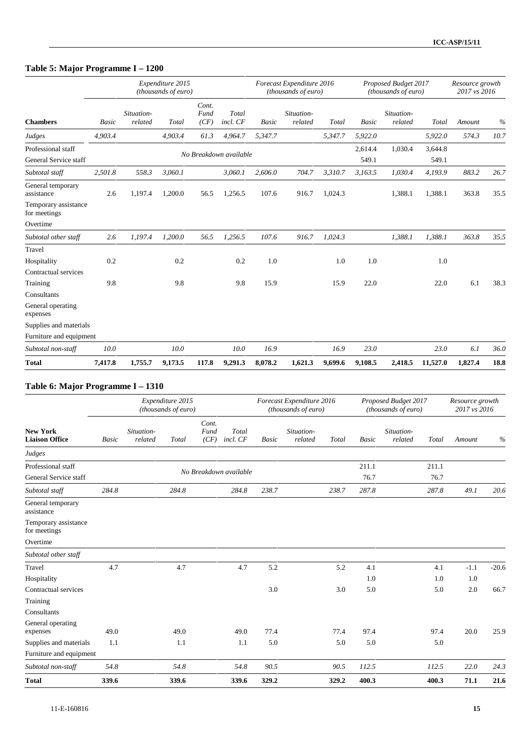## **Table 5: Major Programme I – 1200**

|                                             |              |                       | Expenditure 2015<br>(thousands of euro) |                       |                        |         | Forecast Expenditure 2016<br>(thousands of euro) |         |                  | Proposed Budget 2017<br>(thousands of euro) |                  | Resource growth<br>2017 vs 2016 |      |
|---------------------------------------------|--------------|-----------------------|-----------------------------------------|-----------------------|------------------------|---------|--------------------------------------------------|---------|------------------|---------------------------------------------|------------------|---------------------------------|------|
| <b>Chambers</b>                             | <b>Basic</b> | Situation-<br>related | Total                                   | Cont.<br>Fund<br>(CF) | Total<br>incl. CF      | Basic   | Situation-<br>related                            | Total   | <b>Basic</b>     | Situation-<br>related                       | Total            | Amount                          | $\%$ |
| Judges                                      | 4,903.4      |                       | 4,903.4                                 | 61.3                  | 4,964.7                | 5,347.7 |                                                  | 5,347.7 | 5,922.0          |                                             | 5,922.0          | 574.3                           | 10.7 |
| Professional staff<br>General Service staff |              |                       |                                         |                       | No Breakdown available |         |                                                  |         | 2,614.4<br>549.1 | 1,030.4                                     | 3,644.8<br>549.1 |                                 |      |
| Subtotal staff                              | 2,501.8      | 558.3                 | 3,060.1                                 |                       | 3,060.1                | 2,606.0 | 704.7                                            | 3,310.7 | 3,163.5          | 1,030.4                                     | 4,193.9          | 883.2                           | 26.7 |
| General temporary<br>assistance             | 2.6          | 1,197.4               | 1,200.0                                 | 56.5                  | 1,256.5                | 107.6   | 916.7                                            | 1,024.3 |                  | 1,388.1                                     | 1,388.1          | 363.8                           | 35.5 |
| Temporary assistance<br>for meetings        |              |                       |                                         |                       |                        |         |                                                  |         |                  |                                             |                  |                                 |      |
| Overtime                                    |              |                       |                                         |                       |                        |         |                                                  |         |                  |                                             |                  |                                 |      |
| Subtotal other staff                        | 2.6          | 1,197.4               | 1,200.0                                 | 56.5                  | 1,256.5                | 107.6   | 916.7                                            | 1,024.3 |                  | 1,388.1                                     | 1,388.1          | 363.8                           | 35.5 |
| Travel                                      |              |                       |                                         |                       |                        |         |                                                  |         |                  |                                             |                  |                                 |      |
| Hospitality<br>Contractual services         | 0.2          |                       | 0.2                                     |                       | 0.2                    | 1.0     |                                                  | 1.0     | 1.0              |                                             | 1.0              |                                 |      |
| Training                                    | 9.8          |                       | 9.8                                     |                       | 9.8                    | 15.9    |                                                  | 15.9    | 22.0             |                                             | 22.0             | 6.1                             | 38.3 |
| Consultants                                 |              |                       |                                         |                       |                        |         |                                                  |         |                  |                                             |                  |                                 |      |
| General operating<br>expenses               |              |                       |                                         |                       |                        |         |                                                  |         |                  |                                             |                  |                                 |      |
| Supplies and materials                      |              |                       |                                         |                       |                        |         |                                                  |         |                  |                                             |                  |                                 |      |
| Furniture and equipment                     |              |                       |                                         |                       |                        |         |                                                  |         |                  |                                             |                  |                                 |      |
| Subtotal non-staff                          | 10.0         |                       | 10.0                                    |                       | 10.0                   | 16.9    |                                                  | 16.9    | 23.0             |                                             | 23.0             | 6.1                             | 36.0 |
| <b>Total</b>                                | 7,417.8      | 1,755.7               | 9,173.5                                 | 117.8                 | 9,291.3                | 8,078.2 | 1,621.3                                          | 9,699.6 | 9,108.5          | 2,418.5                                     | 11,527.0         | 1,827.4                         | 18.8 |

### **Table 6: Major Programme I – 1310**

|                                             |              |                       | Expenditure 2015<br>(thousands of euro) |                       |                        |              | Forecast Expenditure 2016<br>(thousands of euro) |       |               | Proposed Budget 2017<br>(thousands of euro) |               | Resource growth<br>2017 vs 2016 |         |
|---------------------------------------------|--------------|-----------------------|-----------------------------------------|-----------------------|------------------------|--------------|--------------------------------------------------|-------|---------------|---------------------------------------------|---------------|---------------------------------|---------|
| <b>New York</b><br><b>Liaison Office</b>    | <b>Basic</b> | Situation-<br>related | Total                                   | Cont.<br>Fund<br>(CF) | Total<br>incl. CF      | <b>Basic</b> | Situation-<br>related                            | Total | Basic         | Situation-<br>related                       | Total         | Amount                          | $\%$    |
| Judges                                      |              |                       |                                         |                       |                        |              |                                                  |       |               |                                             |               |                                 |         |
| Professional staff<br>General Service staff |              |                       |                                         |                       | No Breakdown available |              |                                                  |       | 211.1<br>76.7 |                                             | 211.1<br>76.7 |                                 |         |
| Subtotal staff                              | 284.8        |                       | 284.8                                   |                       | 284.8                  | 238.7        |                                                  | 238.7 | 287.8         |                                             | 287.8         | 49.1                            | 20.6    |
| General temporary<br>assistance             |              |                       |                                         |                       |                        |              |                                                  |       |               |                                             |               |                                 |         |
| Temporary assistance<br>for meetings        |              |                       |                                         |                       |                        |              |                                                  |       |               |                                             |               |                                 |         |
| Overtime                                    |              |                       |                                         |                       |                        |              |                                                  |       |               |                                             |               |                                 |         |
| Subtotal other staff                        |              |                       |                                         |                       |                        |              |                                                  |       |               |                                             |               |                                 |         |
| Travel                                      | 4.7          |                       | 4.7                                     |                       | 4.7                    | 5.2          |                                                  | 5.2   | 4.1           |                                             | 4.1           | $-1.1$                          | $-20.6$ |
| Hospitality                                 |              |                       |                                         |                       |                        |              |                                                  |       | 1.0           |                                             | 1.0           | 1.0                             |         |
| Contractual services                        |              |                       |                                         |                       |                        | 3.0          |                                                  | 3.0   | 5.0           |                                             | 5.0           | 2.0                             | 66.7    |
| Training                                    |              |                       |                                         |                       |                        |              |                                                  |       |               |                                             |               |                                 |         |
| Consultants                                 |              |                       |                                         |                       |                        |              |                                                  |       |               |                                             |               |                                 |         |
| General operating<br>expenses               | 49.0         |                       | 49.0                                    |                       | 49.0                   | 77.4         |                                                  | 77.4  | 97.4          |                                             | 97.4          | 20.0                            | 25.9    |
| Supplies and materials                      | 1.1          |                       | 1.1                                     |                       | 1.1                    | 5.0          |                                                  | 5.0   | 5.0           |                                             | 5.0           |                                 |         |
| Furniture and equipment                     |              |                       |                                         |                       |                        |              |                                                  |       |               |                                             |               |                                 |         |
| Subtotal non-staff                          | 54.8         |                       | 54.8                                    |                       | 54.8                   | 90.5         |                                                  | 90.5  | 112.5         |                                             | 112.5         | 22.0                            | 24.3    |
| <b>Total</b>                                | 339.6        |                       | 339.6                                   |                       | 339.6                  | 329.2        |                                                  | 329.2 | 400.3         |                                             | 400.3         | 71.1                            | 21.6    |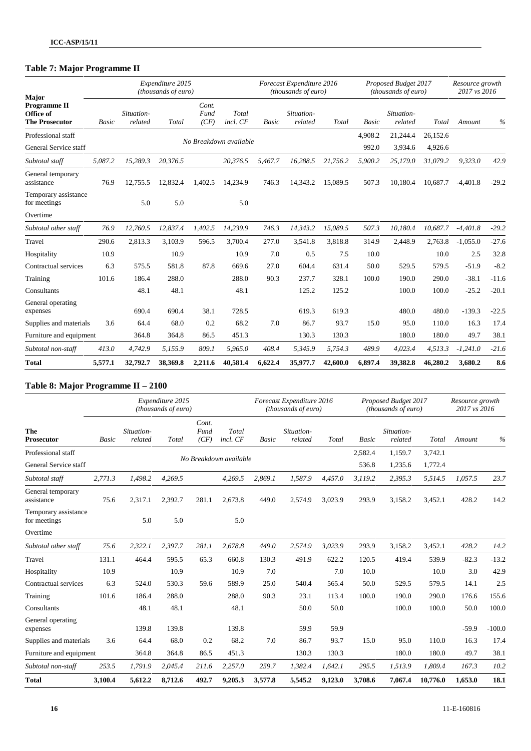## **Table 7: Major Programme II**

| <b>Major</b>                                              |         |                       | Expenditure 2015<br>(thousands of euro) |                       |                        |         | Forecast Expenditure 2016<br>(thousands of euro) |          |         | Proposed Budget 2017<br>(thousands of euro) |          | Resource growth<br>2017 vs 2016 |         |
|-----------------------------------------------------------|---------|-----------------------|-----------------------------------------|-----------------------|------------------------|---------|--------------------------------------------------|----------|---------|---------------------------------------------|----------|---------------------------------|---------|
| <b>Programme II</b><br>Office of<br><b>The Prosecutor</b> | Basic   | Situation-<br>related | Total                                   | Cont.<br>Fund<br>(CF) | Total<br>incl. CF      | Basic   | Situation-<br>related                            | Total    | Basic   | Situation-<br>related                       | Total    | Amount                          | $\%$    |
| Professional staff                                        |         |                       |                                         |                       |                        |         |                                                  |          | 4,908.2 | 21,244.4                                    | 26,152.6 |                                 |         |
| General Service staff                                     |         |                       |                                         |                       | No Breakdown available |         |                                                  |          | 992.0   | 3,934.6                                     | 4,926.6  |                                 |         |
| Subtotal staff                                            | 5,087.2 | 15,289.3              | 20,376.5                                |                       | 20,376.5               | 5,467.7 | 16,288.5                                         | 21,756.2 | 5,900.2 | 25,179.0                                    | 31,079.2 | 9,323.0                         | 42.9    |
| General temporary<br>assistance                           | 76.9    | 12,755.5              | 12,832.4                                | 1,402.5               | 14,234.9               | 746.3   | 14,343.2                                         | 15,089.5 | 507.3   | 10,180.4                                    | 10,687.7 | $-4,401.8$                      | $-29.2$ |
| Temporary assistance<br>for meetings                      |         | 5.0                   | 5.0                                     |                       | 5.0                    |         |                                                  |          |         |                                             |          |                                 |         |
| Overtime                                                  |         |                       |                                         |                       |                        |         |                                                  |          |         |                                             |          |                                 |         |
| Subtotal other staff                                      | 76.9    | 12,760.5              | 12,837.4                                | 1,402.5               | 14,239.9               | 746.3   | 14,343.2                                         | 15,089.5 | 507.3   | 10,180.4                                    | 10,687.7 | $-4,401.8$                      | $-29.2$ |
| Travel                                                    | 290.6   | 2,813.3               | 3,103.9                                 | 596.5                 | 3,700.4                | 277.0   | 3,541.8                                          | 3,818.8  | 314.9   | 2,448.9                                     | 2,763.8  | $-1,055.0$                      | $-27.6$ |
| Hospitality                                               | 10.9    |                       | 10.9                                    |                       | 10.9                   | 7.0     | 0.5                                              | 7.5      | 10.0    |                                             | 10.0     | 2.5                             | 32.8    |
| Contractual services                                      | 6.3     | 575.5                 | 581.8                                   | 87.8                  | 669.6                  | 27.0    | 604.4                                            | 631.4    | 50.0    | 529.5                                       | 579.5    | $-51.9$                         | $-8.2$  |
| Training                                                  | 101.6   | 186.4                 | 288.0                                   |                       | 288.0                  | 90.3    | 237.7                                            | 328.1    | 100.0   | 190.0                                       | 290.0    | $-38.1$                         | $-11.6$ |
| Consultants                                               |         | 48.1                  | 48.1                                    |                       | 48.1                   |         | 125.2                                            | 125.2    |         | 100.0                                       | 100.0    | $-25.2$                         | $-20.1$ |
| General operating<br>expenses                             |         | 690.4                 | 690.4                                   | 38.1                  | 728.5                  |         | 619.3                                            | 619.3    |         | 480.0                                       | 480.0    | $-139.3$                        | $-22.5$ |
| Supplies and materials                                    | 3.6     | 64.4                  | 68.0                                    | 0.2                   | 68.2                   | 7.0     | 86.7                                             | 93.7     | 15.0    | 95.0                                        | 110.0    | 16.3                            | 17.4    |
| Furniture and equipment                                   |         | 364.8                 | 364.8                                   | 86.5                  | 451.3                  |         | 130.3                                            | 130.3    |         | 180.0                                       | 180.0    | 49.7                            | 38.1    |
| Subtotal non-staff                                        | 413.0   | 4,742.9               | 5,155.9                                 | 809.1                 | 5,965.0                | 408.4   | 5,345.9                                          | 5,754.3  | 489.9   | 4,023.4                                     | 4,513.3  | $-1,241.0$                      | $-21.6$ |
| <b>Total</b>                                              | 5,577.1 | 32,792.7              | 38,369.8                                | 2,211.6               | 40,581.4               | 6,622.4 | 35,977.7                                         | 42,600.0 | 6,897.4 | 39,382.8                                    | 46,280.2 | 3,680.2                         | 8.6     |

### **Table 8: Major Programme II – 2100**

|                                      |         |                       | Expenditure 2015<br>(thousands of euro) |                       |                        |         | Forecast Expenditure 2016<br>(thousands of euro) |         |         | Proposed Budget 2017<br>(thousands of euro) |          | Resource growth<br>2017 vs 2016 |          |
|--------------------------------------|---------|-----------------------|-----------------------------------------|-----------------------|------------------------|---------|--------------------------------------------------|---------|---------|---------------------------------------------|----------|---------------------------------|----------|
| The<br><b>Prosecutor</b>             | Basic   | Situation-<br>related | Total                                   | Cont.<br>Fund<br>(CF) | Total<br>incl. CF      | Basic   | Situation-<br>related                            | Total   | Basic   | Situation-<br>related                       | Total    | Amount                          | $\%$     |
| Professional staff                   |         |                       |                                         |                       |                        |         |                                                  |         | 2,582.4 | 1,159.7                                     | 3,742.1  |                                 |          |
| General Service staff                |         |                       |                                         |                       | No Breakdown available |         |                                                  |         | 536.8   | 1,235.6                                     | 1,772.4  |                                 |          |
| Subtotal staff                       | 2,771.3 | 1,498.2               | 4,269.5                                 |                       | 4,269.5                | 2,869.1 | 1,587.9                                          | 4,457.0 | 3,119.2 | 2,395.3                                     | 5,514.5  | 1,057.5                         | 23.7     |
| General temporary<br>assistance      | 75.6    | 2,317.1               | 2,392.7                                 | 281.1                 | 2,673.8                | 449.0   | 2,574.9                                          | 3,023.9 | 293.9   | 3,158.2                                     | 3,452.1  | 428.2                           | 14.2     |
| Temporary assistance<br>for meetings |         | 5.0                   | 5.0                                     |                       | 5.0                    |         |                                                  |         |         |                                             |          |                                 |          |
| Overtime                             |         |                       |                                         |                       |                        |         |                                                  |         |         |                                             |          |                                 |          |
| Subtotal other staff                 | 75.6    | 2,322.1               | 2,397.7                                 | 281.1                 | 2,678.8                | 449.0   | 2,574.9                                          | 3,023.9 | 293.9   | 3,158.2                                     | 3,452.1  | 428.2                           | 14.2     |
| Travel                               | 131.1   | 464.4                 | 595.5                                   | 65.3                  | 660.8                  | 130.3   | 491.9                                            | 622.2   | 120.5   | 419.4                                       | 539.9    | $-82.3$                         | $-13.2$  |
| Hospitality                          | 10.9    |                       | 10.9                                    |                       | 10.9                   | 7.0     |                                                  | 7.0     | 10.0    |                                             | 10.0     | 3.0                             | 42.9     |
| Contractual services                 | 6.3     | 524.0                 | 530.3                                   | 59.6                  | 589.9                  | 25.0    | 540.4                                            | 565.4   | 50.0    | 529.5                                       | 579.5    | 14.1                            | 2.5      |
| Training                             | 101.6   | 186.4                 | 288.0                                   |                       | 288.0                  | 90.3    | 23.1                                             | 113.4   | 100.0   | 190.0                                       | 290.0    | 176.6                           | 155.6    |
| Consultants                          |         | 48.1                  | 48.1                                    |                       | 48.1                   |         | 50.0                                             | 50.0    |         | 100.0                                       | 100.0    | 50.0                            | 100.0    |
| General operating<br>expenses        |         | 139.8                 | 139.8                                   |                       | 139.8                  |         | 59.9                                             | 59.9    |         |                                             |          | $-59.9$                         | $-100.0$ |
| Supplies and materials               | 3.6     | 64.4                  | 68.0                                    | 0.2                   | 68.2                   | 7.0     | 86.7                                             | 93.7    | 15.0    | 95.0                                        | 110.0    | 16.3                            | 17.4     |
| Furniture and equipment              |         | 364.8                 | 364.8                                   | 86.5                  | 451.3                  |         | 130.3                                            | 130.3   |         | 180.0                                       | 180.0    | 49.7                            | 38.1     |
| Subtotal non-staff                   | 253.5   | 1,791.9               | 2,045.4                                 | 211.6                 | 2,257.0                | 259.7   | 1,382.4                                          | 1,642.1 | 295.5   | 1,513.9                                     | 1,809.4  | 167.3                           | 10.2     |
| <b>Total</b>                         | 3,100.4 | 5,612.2               | 8,712.6                                 | 492.7                 | 9,205.3                | 3,577.8 | 5,545.2                                          | 9,123.0 | 3,708.6 | 7.067.4                                     | 10.776.0 | 1.653.0                         | 18.1     |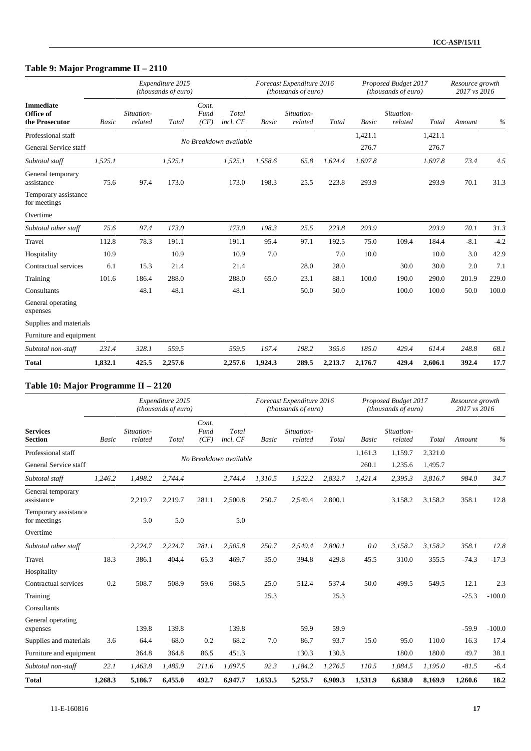## **Table 9: Major Programme II – 2110**

|                                                 |              |                       | Expenditure 2015<br>(thousands of euro) |                       |                        |         | Forecast Expenditure 2016<br>(thousands of euro) |         |              | Proposed Budget 2017<br>(thousands of euro) |         | Resource growth<br>2017 vs 2016 |        |
|-------------------------------------------------|--------------|-----------------------|-----------------------------------------|-----------------------|------------------------|---------|--------------------------------------------------|---------|--------------|---------------------------------------------|---------|---------------------------------|--------|
| <b>Immediate</b><br>Office of<br>the Prosecutor | <b>Basic</b> | Situation-<br>related | Total                                   | Cont.<br>Fund<br>(CF) | Total<br>incl. CF      | Basic   | Situation-<br>related                            | Total   | <b>Basic</b> | Situation-<br>related                       | Total   | Amount                          | $\%$   |
| Professional staff                              |              |                       |                                         |                       | No Breakdown available |         |                                                  |         | 1,421.1      |                                             | 1,421.1 |                                 |        |
| General Service staff                           |              |                       |                                         |                       |                        |         |                                                  |         | 276.7        |                                             | 276.7   |                                 |        |
| Subtotal staff                                  | 1,525.1      |                       | 1,525.1                                 |                       | 1,525.1                | 1,558.6 | 65.8                                             | 1,624.4 | 1.697.8      |                                             | 1,697.8 | 73.4                            | 4.5    |
| General temporary<br>assistance                 | 75.6         | 97.4                  | 173.0                                   |                       | 173.0                  | 198.3   | 25.5                                             | 223.8   | 293.9        |                                             | 293.9   | 70.1                            | 31.3   |
| Temporary assistance<br>for meetings            |              |                       |                                         |                       |                        |         |                                                  |         |              |                                             |         |                                 |        |
| Overtime                                        |              |                       |                                         |                       |                        |         |                                                  |         |              |                                             |         |                                 |        |
| Subtotal other staff                            | 75.6         | 97.4                  | 173.0                                   |                       | 173.0                  | 198.3   | 25.5                                             | 223.8   | 293.9        |                                             | 293.9   | 70.1                            | 31.3   |
| Travel                                          | 112.8        | 78.3                  | 191.1                                   |                       | 191.1                  | 95.4    | 97.1                                             | 192.5   | 75.0         | 109.4                                       | 184.4   | $-8.1$                          | $-4.2$ |
| Hospitality                                     | 10.9         |                       | 10.9                                    |                       | 10.9                   | 7.0     |                                                  | 7.0     | 10.0         |                                             | 10.0    | 3.0                             | 42.9   |
| Contractual services                            | 6.1          | 15.3                  | 21.4                                    |                       | 21.4                   |         | 28.0                                             | 28.0    |              | 30.0                                        | 30.0    | 2.0                             | 7.1    |
| Training                                        | 101.6        | 186.4                 | 288.0                                   |                       | 288.0                  | 65.0    | 23.1                                             | 88.1    | 100.0        | 190.0                                       | 290.0   | 201.9                           | 229.0  |
| Consultants                                     |              | 48.1                  | 48.1                                    |                       | 48.1                   |         | 50.0                                             | 50.0    |              | 100.0                                       | 100.0   | 50.0                            | 100.0  |
| General operating<br>expenses                   |              |                       |                                         |                       |                        |         |                                                  |         |              |                                             |         |                                 |        |
| Supplies and materials                          |              |                       |                                         |                       |                        |         |                                                  |         |              |                                             |         |                                 |        |
| Furniture and equipment                         |              |                       |                                         |                       |                        |         |                                                  |         |              |                                             |         |                                 |        |
| Subtotal non-staff                              | 231.4        | 328.1                 | 559.5                                   |                       | 559.5                  | 167.4   | 198.2                                            | 365.6   | 185.0        | 429.4                                       | 614.4   | 248.8                           | 68.1   |
| <b>Total</b>                                    | 1,832.1      | 425.5                 | 2,257.6                                 |                       | 2,257.6                | 1,924.3 | 289.5                                            | 2,213.7 | 2,176.7      | 429.4                                       | 2,606.1 | 392.4                           | 17.7   |

### **Table 10: Major Programme II – 2120**

|                                      |              |                       | Expenditure 2015<br>(thousands of euro) |                       |                        |              | Forecast Expenditure 2016<br>(thousands of euro) |         |              | Proposed Budget 2017<br>(thousands of euro) |         | Resource growth<br>2017 vs 2016 |          |
|--------------------------------------|--------------|-----------------------|-----------------------------------------|-----------------------|------------------------|--------------|--------------------------------------------------|---------|--------------|---------------------------------------------|---------|---------------------------------|----------|
| <b>Services</b><br><b>Section</b>    | <b>Basic</b> | Situation-<br>related | Total                                   | Cont.<br>Fund<br>(CF) | Total<br>incl. CF      | <b>Basic</b> | Situation-<br>related                            | Total   | <b>Basic</b> | Situation-<br>related                       | Total   | Amount                          | $\%$     |
| Professional staff                   |              |                       |                                         |                       |                        |              |                                                  |         | 1,161.3      | 1,159.7                                     | 2,321.0 |                                 |          |
| General Service staff                |              |                       |                                         |                       | No Breakdown available |              |                                                  |         | 260.1        | 1,235.6                                     | 1,495.7 |                                 |          |
| Subtotal staff                       | 1,246.2      | 1,498.2               | 2,744.4                                 |                       | 2,744.4                | 1,310.5      | 1,522.2                                          | 2,832.7 | 1,421.4      | 2,395.3                                     | 3,816.7 | 984.0                           | 34.7     |
| General temporary<br>assistance      |              | 2,219.7               | 2,219.7                                 | 281.1                 | 2,500.8                | 250.7        | 2,549.4                                          | 2,800.1 |              | 3,158.2                                     | 3,158.2 | 358.1                           | 12.8     |
| Temporary assistance<br>for meetings |              | 5.0                   | 5.0                                     |                       | 5.0                    |              |                                                  |         |              |                                             |         |                                 |          |
| Overtime                             |              |                       |                                         |                       |                        |              |                                                  |         |              |                                             |         |                                 |          |
| Subtotal other staff                 |              | 2,224.7               | 2,224.7                                 | 281.1                 | 2,505.8                | 250.7        | 2,549.4                                          | 2,800.1 | 0.0          | 3,158.2                                     | 3,158.2 | 358.1                           | 12.8     |
| Travel                               | 18.3         | 386.1                 | 404.4                                   | 65.3                  | 469.7                  | 35.0         | 394.8                                            | 429.8   | 45.5         | 310.0                                       | 355.5   | $-74.3$                         | $-17.3$  |
| Hospitality                          |              |                       |                                         |                       |                        |              |                                                  |         |              |                                             |         |                                 |          |
| Contractual services                 | 0.2          | 508.7                 | 508.9                                   | 59.6                  | 568.5                  | 25.0         | 512.4                                            | 537.4   | 50.0         | 499.5                                       | 549.5   | 12.1                            | 2.3      |
| Training                             |              |                       |                                         |                       |                        | 25.3         |                                                  | 25.3    |              |                                             |         | $-25.3$                         | $-100.0$ |
| Consultants                          |              |                       |                                         |                       |                        |              |                                                  |         |              |                                             |         |                                 |          |
| General operating<br>expenses        |              | 139.8                 | 139.8                                   |                       | 139.8                  |              | 59.9                                             | 59.9    |              |                                             |         | $-59.9$                         | $-100.0$ |
| Supplies and materials               | 3.6          | 64.4                  | 68.0                                    | 0.2                   | 68.2                   | 7.0          | 86.7                                             | 93.7    | 15.0         | 95.0                                        | 110.0   | 16.3                            | 17.4     |
| Furniture and equipment              |              | 364.8                 | 364.8                                   | 86.5                  | 451.3                  |              | 130.3                                            | 130.3   |              | 180.0                                       | 180.0   | 49.7                            | 38.1     |
| Subtotal non-staff                   | 22.1         | 1,463.8               | 1,485.9                                 | 211.6                 | 1,697.5                | 92.3         | 1,184.2                                          | 1,276.5 | 110.5        | 1,084.5                                     | 1,195.0 | $-81.5$                         | $-6.4$   |
| <b>Total</b>                         | 1,268.3      | 5,186.7               | 6.455.0                                 | 492.7                 | 6.947.7                | 1.653.5      | 5,255.7                                          | 6.909.3 | 1,531.9      | 6,638.0                                     | 8.169.9 | 1,260.6                         | 18.2     |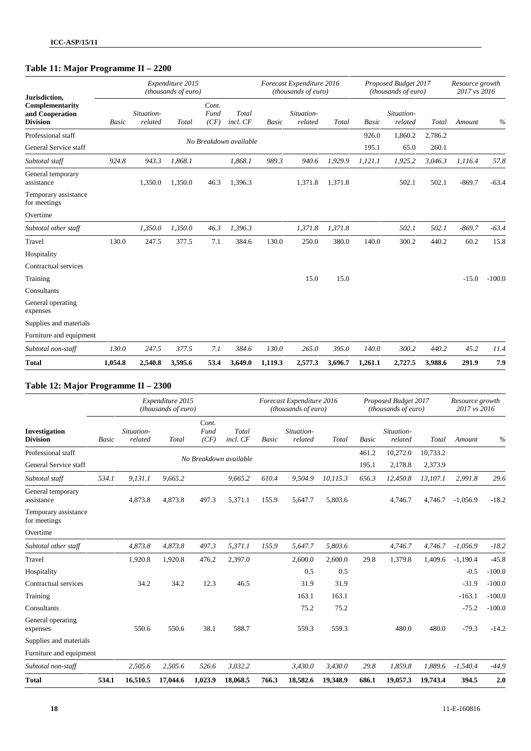## **Table 11: Major Programme II – 2200**

| Jurisdiction,                                         |              |                       | Expenditure 2015<br>(thousands of euro) |                       |                        |              | Forecast Expenditure 2016<br>(thousands of euro) |         |              | Proposed Budget 2017<br>(thousands of euro) |         | Resource growth<br>2017 vs 2016 |          |
|-------------------------------------------------------|--------------|-----------------------|-----------------------------------------|-----------------------|------------------------|--------------|--------------------------------------------------|---------|--------------|---------------------------------------------|---------|---------------------------------|----------|
| Complementarity<br>and Cooperation<br><b>Division</b> | <b>Basic</b> | Situation-<br>related | Total                                   | Cont.<br>Fund<br>(CF) | Total<br>incl. CF      | <b>Basic</b> | Situation-<br>related                            | Total   | <b>Basic</b> | Situation-<br>related                       | Total   | Amount                          | $\%$     |
| Professional staff                                    |              |                       |                                         |                       |                        |              |                                                  |         | 926.0        | 1,860.2                                     | 2,786.2 |                                 |          |
| General Service staff                                 |              |                       |                                         |                       | No Breakdown available |              |                                                  |         | 195.1        | 65.0                                        | 260.1   |                                 |          |
| Subtotal staff                                        | 924.8        | 943.3                 | 1,868.1                                 |                       | 1,868.1                | 989.3        | 940.6                                            | 1,929.9 | 1,121.1      | 1,925.2                                     | 3,046.3 | 1,116.4                         | 57.8     |
| General temporary<br>assistance                       |              | 1,350.0               | 1,350.0                                 | 46.3                  | 1,396.3                |              | 1,371.8                                          | 1,371.8 |              | 502.1                                       | 502.1   | $-869.7$                        | $-63.4$  |
| Temporary assistance<br>for meetings                  |              |                       |                                         |                       |                        |              |                                                  |         |              |                                             |         |                                 |          |
| Overtime                                              |              |                       |                                         |                       |                        |              |                                                  |         |              |                                             |         |                                 |          |
| Subtotal other staff                                  |              | 1,350.0               | 1,350.0                                 | 46.3                  | 1,396.3                |              | 1,371.8                                          | 1,371.8 |              | 502.1                                       | 502.1   | $-869.7$                        | $-63.4$  |
| Travel                                                | 130.0        | 247.5                 | 377.5                                   | 7.1                   | 384.6                  | 130.0        | 250.0                                            | 380.0   | 140.0        | 300.2                                       | 440.2   | 60.2                            | 15.8     |
| Hospitality                                           |              |                       |                                         |                       |                        |              |                                                  |         |              |                                             |         |                                 |          |
| Contractual services                                  |              |                       |                                         |                       |                        |              |                                                  |         |              |                                             |         |                                 |          |
| Training                                              |              |                       |                                         |                       |                        |              | 15.0                                             | 15.0    |              |                                             |         | $-15.0$                         | $-100.0$ |
| Consultants                                           |              |                       |                                         |                       |                        |              |                                                  |         |              |                                             |         |                                 |          |
| General operating<br>expenses                         |              |                       |                                         |                       |                        |              |                                                  |         |              |                                             |         |                                 |          |
| Supplies and materials                                |              |                       |                                         |                       |                        |              |                                                  |         |              |                                             |         |                                 |          |
| Furniture and equipment                               |              |                       |                                         |                       |                        |              |                                                  |         |              |                                             |         |                                 |          |
| Subtotal non-staff                                    | 130.0        | 247.5                 | 377.5                                   | 7.1                   | 384.6                  | 130.0        | 265.0                                            | 395.0   | 140.0        | 300.2                                       | 440.2   | 45.2                            | 11.4     |
| <b>Total</b>                                          | 1,054.8      | 2,540.8               | 3,595.6                                 | 53.4                  | 3,649.0                | 1,119.3      | 2,577.3                                          | 3,696.7 | 1,261.1      | 2,727.5                                     | 3,988.6 | 291.9                           | 7.9      |

### **Table 12: Major Programme II – 2300**

|                                      |       |                       | Expenditure 2015<br>(thousands of euro) |                       |                        |              | Forecast Expenditure 2016<br>(thousands of euro) |          |              | Proposed Budget 2017<br>(thousands of euro) |          | Resource growth<br>2017 vs 2016 |          |
|--------------------------------------|-------|-----------------------|-----------------------------------------|-----------------------|------------------------|--------------|--------------------------------------------------|----------|--------------|---------------------------------------------|----------|---------------------------------|----------|
| Investigation<br><b>Division</b>     | Basic | Situation-<br>related | Total                                   | Cont.<br>Fund<br>(CF) | Total<br>incl. CF      | <b>Basic</b> | Situation-<br>related                            | Total    | <b>Basic</b> | Situation-<br>related                       | Total    | Amount                          | $\%$     |
| Professional staff                   |       |                       |                                         |                       |                        |              |                                                  |          | 461.2        | 10,272.0                                    | 10,733.2 |                                 |          |
| General Service staff                |       |                       |                                         |                       | No Breakdown available |              |                                                  |          | 195.1        | 2,178.8                                     | 2,373.9  |                                 |          |
| Subtotal staff                       | 534.1 | 9,131.1               | 9,665.2                                 |                       | 9,665.2                | 610.4        | 9,504.9                                          | 10,115.3 | 656.3        | 12,450.8                                    | 13,107.1 | 2,991.8                         | 29.6     |
| General temporary<br>assistance      |       | 4,873.8               | 4,873.8                                 | 497.3                 | 5,371.1                | 155.9        | 5,647.7                                          | 5,803.6  |              | 4,746.7                                     | 4,746.7  | $-1,056.9$                      | $-18.2$  |
| Temporary assistance<br>for meetings |       |                       |                                         |                       |                        |              |                                                  |          |              |                                             |          |                                 |          |
| Overtime                             |       |                       |                                         |                       |                        |              |                                                  |          |              |                                             |          |                                 |          |
| Subtotal other staff                 |       | 4,873.8               | 4,873.8                                 | 497.3                 | 5,371.1                | 155.9        | 5,647.7                                          | 5,803.6  |              | 4,746.7                                     | 4,746.7  | $-1,056.9$                      | $-18.2$  |
| Travel                               |       | 1,920.8               | 1,920.8                                 | 476.2                 | 2,397.0                |              | 2,600.0                                          | 2,600.0  | 29.8         | 1.379.8                                     | 1,409.6  | $-1,190.4$                      | $-45.8$  |
| Hospitality                          |       |                       |                                         |                       |                        |              | 0.5                                              | 0.5      |              |                                             |          | $-0.5$                          | $-100.0$ |
| Contractual services                 |       | 34.2                  | 34.2                                    | 12.3                  | 46.5                   |              | 31.9                                             | 31.9     |              |                                             |          | $-31.9$                         | $-100.0$ |
| Training                             |       |                       |                                         |                       |                        |              | 163.1                                            | 163.1    |              |                                             |          | $-163.1$                        | $-100.0$ |
| Consultants                          |       |                       |                                         |                       |                        |              | 75.2                                             | 75.2     |              |                                             |          | $-75.2$                         | $-100.0$ |
| General operating<br>expenses        |       | 550.6                 | 550.6                                   | 38.1                  | 588.7                  |              | 559.3                                            | 559.3    |              | 480.0                                       | 480.0    | $-79.3$                         | $-14.2$  |
| Supplies and materials               |       |                       |                                         |                       |                        |              |                                                  |          |              |                                             |          |                                 |          |
| Furniture and equipment              |       |                       |                                         |                       |                        |              |                                                  |          |              |                                             |          |                                 |          |
| Subtotal non-staff                   |       | 2,505.6               | 2,505.6                                 | 526.6                 | 3,032.2                |              | 3,430.0                                          | 3,430.0  | 29.8         | 1,859.8                                     | 1,889.6  | $-1,540.4$                      | $-44.9$  |
| <b>Total</b>                         | 534.1 | 16,510.5              | 17,044.6                                | 1,023.9               | 18,068.5               | 766.3        | 18,582.6                                         | 19,348.9 | 686.1        | 19,057.3                                    | 19,743.4 | 394.5                           | 2.0      |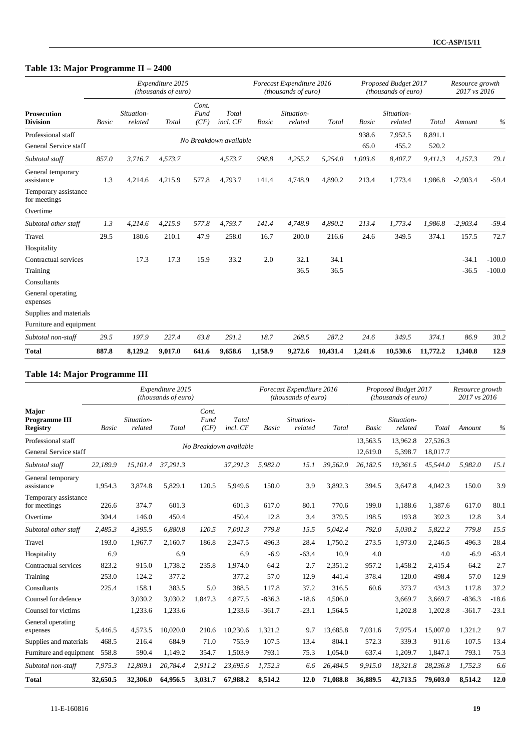## **Table 13: Major Programme II – 2400**

|                                       |       |                       | Expenditure 2015<br>(thousands of euro) |                       |                        |              | Forecast Expenditure 2016<br>(thousands of euro) |          |              | Proposed Budget 2017<br>(thousands of euro) |          | Resource growth<br>2017 vs 2016 |          |
|---------------------------------------|-------|-----------------------|-----------------------------------------|-----------------------|------------------------|--------------|--------------------------------------------------|----------|--------------|---------------------------------------------|----------|---------------------------------|----------|
| <b>Prosecution</b><br><b>Division</b> | Basic | Situation-<br>related | Total                                   | Cont.<br>Fund<br>(CF) | Total<br>incl. CF      | <b>Basic</b> | Situation-<br>related                            | Total    | <b>Basic</b> | Situation-<br>related                       | Total    | Amount                          | $\%$     |
| Professional staff                    |       |                       |                                         |                       |                        |              |                                                  |          | 938.6        | 7,952.5                                     | 8,891.1  |                                 |          |
| General Service staff                 |       |                       |                                         |                       | No Breakdown available |              |                                                  |          | 65.0         | 455.2                                       | 520.2    |                                 |          |
| Subtotal staff                        | 857.0 | 3,716.7               | 4,573.7                                 |                       | 4,573.7                | 998.8        | 4,255.2                                          | 5,254.0  | 1,003.6      | 8,407.7                                     | 9,411.3  | 4,157.3                         | 79.1     |
| General temporary<br>assistance       | 1.3   | 4,214.6               | 4,215.9                                 | 577.8                 | 4,793.7                | 141.4        | 4,748.9                                          | 4,890.2  | 213.4        | 1,773.4                                     | 1,986.8  | $-2,903.4$                      | $-59.4$  |
| Temporary assistance<br>for meetings  |       |                       |                                         |                       |                        |              |                                                  |          |              |                                             |          |                                 |          |
| Overtime                              |       |                       |                                         |                       |                        |              |                                                  |          |              |                                             |          |                                 |          |
| Subtotal other staff                  | 1.3   | 4,214.6               | 4,215.9                                 | 577.8                 | 4,793.7                | 141.4        | 4,748.9                                          | 4,890.2  | 213.4        | 1,773.4                                     | 1,986.8  | $-2,903.4$                      | $-59.4$  |
| Travel                                | 29.5  | 180.6                 | 210.1                                   | 47.9                  | 258.0                  | 16.7         | 200.0                                            | 216.6    | 24.6         | 349.5                                       | 374.1    | 157.5                           | 72.7     |
| Hospitality                           |       |                       |                                         |                       |                        |              |                                                  |          |              |                                             |          |                                 |          |
| Contractual services                  |       | 17.3                  | 17.3                                    | 15.9                  | 33.2                   | 2.0          | 32.1                                             | 34.1     |              |                                             |          | $-34.1$                         | $-100.0$ |
| Training                              |       |                       |                                         |                       |                        |              | 36.5                                             | 36.5     |              |                                             |          | $-36.5$                         | $-100.0$ |
| Consultants                           |       |                       |                                         |                       |                        |              |                                                  |          |              |                                             |          |                                 |          |
| General operating<br>expenses         |       |                       |                                         |                       |                        |              |                                                  |          |              |                                             |          |                                 |          |
| Supplies and materials                |       |                       |                                         |                       |                        |              |                                                  |          |              |                                             |          |                                 |          |
| Furniture and equipment               |       |                       |                                         |                       |                        |              |                                                  |          |              |                                             |          |                                 |          |
| Subtotal non-staff                    | 29.5  | 197.9                 | 227.4                                   | 63.8                  | 291.2                  | 18.7         | 268.5                                            | 287.2    | 24.6         | 349.5                                       | 374.1    | 86.9                            | 30.2     |
| <b>Total</b>                          | 887.8 | 8,129.2               | 9,017.0                                 | 641.6                 | 9,658.6                | 1,158.9      | 9,272.6                                          | 10,431.4 | 1,241.6      | 10,530.6                                    | 11,772.2 | 1,340.8                         | 12.9     |

### **Table 14: Major Programme III**

|                                                  |          |                       | Expenditure 2015<br>(thousands of euro) |                       |                        |              | Forecast Expenditure 2016<br>(thousands of euro) |          |                      | Proposed Budget 2017<br><i>(thousands of euro)</i> |                      | Resource growth<br>2017 vs 2016 |         |
|--------------------------------------------------|----------|-----------------------|-----------------------------------------|-----------------------|------------------------|--------------|--------------------------------------------------|----------|----------------------|----------------------------------------------------|----------------------|---------------------------------|---------|
| Major<br><b>Programme III</b><br><b>Registry</b> | Basic    | Situation-<br>related | Total                                   | Cont.<br>Fund<br>(CF) | Total<br>incl. CF      | <b>Basic</b> | Situation-<br>related                            | Total    | <b>Basic</b>         | Situation-<br>related                              | Total                | Amount                          | $\%$    |
| Professional staff<br>General Service staff      |          |                       |                                         |                       | No Breakdown available |              |                                                  |          | 13,563.5<br>12,619.0 | 13,962.8<br>5,398.7                                | 27,526.3<br>18,017.7 |                                 |         |
| Subtotal staff                                   | 22,189.9 | 15,101.4              | 37,291.3                                |                       | 37,291.3               | 5,982.0      | 15.1                                             | 39,562.0 | 26,182.5             | 19,361.5                                           | 45,544.0             | 5,982.0                         | 15.1    |
| General temporary<br>assistance                  | 1,954.3  | 3,874.8               | 5,829.1                                 | 120.5                 | 5,949.6                | 150.0        | 3.9                                              | 3,892.3  | 394.5                | 3,647.8                                            | 4,042.3              | 150.0                           | 3.9     |
| Temporary assistance<br>for meetings             | 226.6    | 374.7                 | 601.3                                   |                       | 601.3                  | 617.0        | 80.1                                             | 770.6    | 199.0                | 1.188.6                                            | 1,387.6              | 617.0                           | 80.1    |
| Overtime                                         | 304.4    | 146.0                 | 450.4                                   |                       | 450.4                  | 12.8         | 3.4                                              | 379.5    | 198.5                | 193.8                                              | 392.3                | 12.8                            | 3.4     |
| Subtotal other staff                             | 2,485.3  | 4,395.5               | 6.880.8                                 | 120.5                 | 7.001.3                | 779.8        | 15.5                                             | 5.042.4  | 792.0                | 5,030.2                                            | 5,822.2              | 779.8                           | 15.5    |
| Travel                                           | 193.0    | 1,967.7               | 2,160.7                                 | 186.8                 | 2,347.5                | 496.3        | 28.4                                             | 1,750.2  | 273.5                | 1.973.0                                            | 2,246.5              | 496.3                           | 28.4    |
| Hospitality                                      | 6.9      |                       | 6.9                                     |                       | 6.9                    | $-6.9$       | $-63.4$                                          | 10.9     | 4.0                  |                                                    | 4.0                  | $-6.9$                          | $-63.4$ |
| Contractual services                             | 823.2    | 915.0                 | 1.738.2                                 | 235.8                 | 1.974.0                | 64.2         | 2.7                                              | 2,351.2  | 957.2                | 1,458.2                                            | 2,415.4              | 64.2                            | 2.7     |
| Training                                         | 253.0    | 124.2                 | 377.2                                   |                       | 377.2                  | 57.0         | 12.9                                             | 441.4    | 378.4                | 120.0                                              | 498.4                | 57.0                            | 12.9    |
| Consultants                                      | 225.4    | 158.1                 | 383.5                                   | 5.0                   | 388.5                  | 117.8        | 37.2                                             | 316.5    | 60.6                 | 373.7                                              | 434.3                | 117.8                           | 37.2    |
| Counsel for defence                              |          | 3,030.2               | 3,030.2                                 | 1,847.3               | 4,877.5                | $-836.3$     | $-18.6$                                          | 4,506.0  |                      | 3,669.7                                            | 3,669.7              | $-836.3$                        | $-18.6$ |
| Counsel for victims                              |          | 1,233.6               | 1,233.6                                 |                       | 1,233.6                | $-361.7$     | $-23.1$                                          | 1,564.5  |                      | 1,202.8                                            | 1,202.8              | $-361.7$                        | $-23.1$ |
| General operating<br>expenses                    | 5,446.5  | 4,573.5               | 10.020.0                                | 210.6                 | 10,230.6               | 1,321.2      | 9.7                                              | 13,685.8 | 7,031.6              | 7.975.4                                            | 15,007.0             | 1,321.2                         | 9.7     |
| Supplies and materials                           | 468.5    | 216.4                 | 684.9                                   | 71.0                  | 755.9                  | 107.5        | 13.4                                             | 804.1    | 572.3                | 339.3                                              | 911.6                | 107.5                           | 13.4    |
| Furniture and equipment                          | 558.8    | 590.4                 | 1,149.2                                 | 354.7                 | 1,503.9                | 793.1        | 75.3                                             | 1,054.0  | 637.4                | 1,209.7                                            | 1,847.1              | 793.1                           | 75.3    |
| Subtotal non-staff                               | 7,975.3  | 12,809.1              | 20,784.4                                | 2,911.2               | 23,695.6               | 1,752.3      | 6.6                                              | 26,484.5 | 9,915.0              | 18,321.8                                           | 28,236.8             | 1,752.3                         | 6.6     |
| <b>Total</b>                                     | 32,650.5 | 32,306.0              | 64,956.5                                | 3,031.7               | 67,988.2               | 8,514.2      | 12.0                                             | 71,088.8 | 36,889.5             | 42,713.5                                           | 79,603.0             | 8,514.2                         | 12.0    |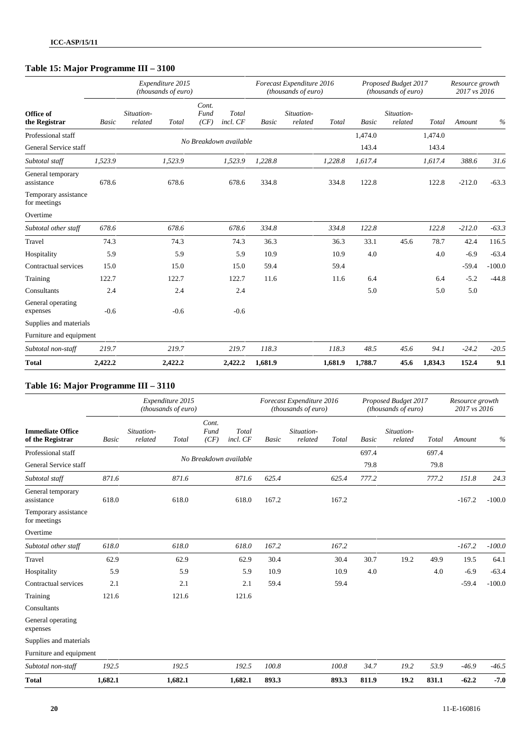### **Table 15: Major Programme III – 3100**

|                                      |              |                       | Expenditure 2015<br>(thousands of euro) |                       |                        |              | Forecast Expenditure 2016<br>(thousands of euro) |         |         | Proposed Budget 2017<br>(thousands of euro) |         | Resource growth<br>2017 vs 2016 |          |
|--------------------------------------|--------------|-----------------------|-----------------------------------------|-----------------------|------------------------|--------------|--------------------------------------------------|---------|---------|---------------------------------------------|---------|---------------------------------|----------|
| Office of<br>the Registrar           | <b>Basic</b> | Situation-<br>related | Total                                   | Cont.<br>Fund<br>(CF) | Total<br>incl. CF      | <b>Basic</b> | Situation-<br>related                            | Total   | Basic   | Situation-<br>related                       | Total   | Amount                          | $\%$     |
| Professional staff                   |              |                       |                                         |                       |                        |              |                                                  |         | 1,474.0 |                                             | 1,474.0 |                                 |          |
| General Service staff                |              |                       |                                         |                       | No Breakdown available |              |                                                  |         | 143.4   |                                             | 143.4   |                                 |          |
| Subtotal staff                       | 1,523.9      |                       | 1,523.9                                 |                       | 1,523.9                | 1,228.8      |                                                  | 1,228.8 | 1,617.4 |                                             | 1,617.4 | 388.6                           | 31.6     |
| General temporary<br>assistance      | 678.6        |                       | 678.6                                   |                       | 678.6                  | 334.8        |                                                  | 334.8   | 122.8   |                                             | 122.8   | $-212.0$                        | $-63.3$  |
| Temporary assistance<br>for meetings |              |                       |                                         |                       |                        |              |                                                  |         |         |                                             |         |                                 |          |
| Overtime                             |              |                       |                                         |                       |                        |              |                                                  |         |         |                                             |         |                                 |          |
| Subtotal other staff                 | 678.6        |                       | 678.6                                   |                       | 678.6                  | 334.8        |                                                  | 334.8   | 122.8   |                                             | 122.8   | $-212.0$                        | $-63.3$  |
| Travel                               | 74.3         |                       | 74.3                                    |                       | 74.3                   | 36.3         |                                                  | 36.3    | 33.1    | 45.6                                        | 78.7    | 42.4                            | 116.5    |
| Hospitality                          | 5.9          |                       | 5.9                                     |                       | 5.9                    | 10.9         |                                                  | 10.9    | 4.0     |                                             | 4.0     | $-6.9$                          | $-63.4$  |
| Contractual services                 | 15.0         |                       | 15.0                                    |                       | 15.0                   | 59.4         |                                                  | 59.4    |         |                                             |         | $-59.4$                         | $-100.0$ |
| Training                             | 122.7        |                       | 122.7                                   |                       | 122.7                  | 11.6         |                                                  | 11.6    | 6.4     |                                             | 6.4     | $-5.2$                          | $-44.8$  |
| Consultants                          | 2.4          |                       | 2.4                                     |                       | 2.4                    |              |                                                  |         | 5.0     |                                             | 5.0     | 5.0                             |          |
| General operating<br>expenses        | $-0.6$       |                       | $-0.6$                                  |                       | $-0.6$                 |              |                                                  |         |         |                                             |         |                                 |          |
| Supplies and materials               |              |                       |                                         |                       |                        |              |                                                  |         |         |                                             |         |                                 |          |
| Furniture and equipment              |              |                       |                                         |                       |                        |              |                                                  |         |         |                                             |         |                                 |          |
| Subtotal non-staff                   | 219.7        |                       | 219.7                                   |                       | 219.7                  | 118.3        |                                                  | 118.3   | 48.5    | 45.6                                        | 94.1    | $-24.2$                         | $-20.5$  |
| <b>Total</b>                         | 2,422.2      |                       | 2,422.2                                 |                       | 2,422.2                | 1,681.9      |                                                  | 1,681.9 | 1,788.7 | 45.6                                        | 1,834.3 | 152.4                           | 9.1      |

### **Table 16: Major Programme III – 3110**

|                                             |              |                       | Expenditure 2015<br>(thousands of euro) |                       |                        |       | Forecast Expenditure 2016<br>(thousands of euro) |       |              | Proposed Budget 2017<br>(thousands of euro) |       | Resource growth<br>2017 vs 2016 |          |
|---------------------------------------------|--------------|-----------------------|-----------------------------------------|-----------------------|------------------------|-------|--------------------------------------------------|-------|--------------|---------------------------------------------|-------|---------------------------------|----------|
| <b>Immediate Office</b><br>of the Registrar | <b>Basic</b> | Situation-<br>related | Total                                   | Cont.<br>Fund<br>(CF) | Total<br>incl. CF      | Basic | Situation-<br>related                            | Total | <b>Basic</b> | Situation-<br>related                       | Total | Amount                          | $\%$     |
| Professional staff                          |              |                       |                                         |                       | No Breakdown available |       |                                                  |       | 697.4        |                                             | 697.4 |                                 |          |
| General Service staff                       |              |                       |                                         |                       |                        |       |                                                  |       | 79.8         |                                             | 79.8  |                                 |          |
| Subtotal staff                              | 871.6        |                       | 871.6                                   |                       | 871.6                  | 625.4 |                                                  | 625.4 | 777.2        |                                             | 777.2 | 151.8                           | 24.3     |
| General temporary<br>assistance             | 618.0        |                       | 618.0                                   |                       | 618.0                  | 167.2 |                                                  | 167.2 |              |                                             |       | $-167.2$                        | $-100.0$ |
| Temporary assistance<br>for meetings        |              |                       |                                         |                       |                        |       |                                                  |       |              |                                             |       |                                 |          |
| Overtime                                    |              |                       |                                         |                       |                        |       |                                                  |       |              |                                             |       |                                 |          |
| Subtotal other staff                        | 618.0        |                       | 618.0                                   |                       | 618.0                  | 167.2 |                                                  | 167.2 |              |                                             |       | $-167.2$                        | $-100.0$ |
| Travel                                      | 62.9         |                       | 62.9                                    |                       | 62.9                   | 30.4  |                                                  | 30.4  | 30.7         | 19.2                                        | 49.9  | 19.5                            | 64.1     |
| Hospitality                                 | 5.9          |                       | 5.9                                     |                       | 5.9                    | 10.9  |                                                  | 10.9  | 4.0          |                                             | 4.0   | $-6.9$                          | $-63.4$  |
| Contractual services                        | 2.1          |                       | 2.1                                     |                       | 2.1                    | 59.4  |                                                  | 59.4  |              |                                             |       | $-59.4$                         | $-100.0$ |
| Training                                    | 121.6        |                       | 121.6                                   |                       | 121.6                  |       |                                                  |       |              |                                             |       |                                 |          |
| Consultants                                 |              |                       |                                         |                       |                        |       |                                                  |       |              |                                             |       |                                 |          |
| General operating<br>expenses               |              |                       |                                         |                       |                        |       |                                                  |       |              |                                             |       |                                 |          |
| Supplies and materials                      |              |                       |                                         |                       |                        |       |                                                  |       |              |                                             |       |                                 |          |
| Furniture and equipment                     |              |                       |                                         |                       |                        |       |                                                  |       |              |                                             |       |                                 |          |
| Subtotal non-staff                          | 192.5        |                       | 192.5                                   |                       | 192.5                  | 100.8 |                                                  | 100.8 | 34.7         | 19.2                                        | 53.9  | $-46.9$                         | $-46.5$  |
| <b>Total</b>                                | 1,682.1      |                       | 1,682.1                                 |                       | 1,682.1                | 893.3 |                                                  | 893.3 | 811.9        | 19.2                                        | 831.1 | $-62.2$                         | $-7.0$   |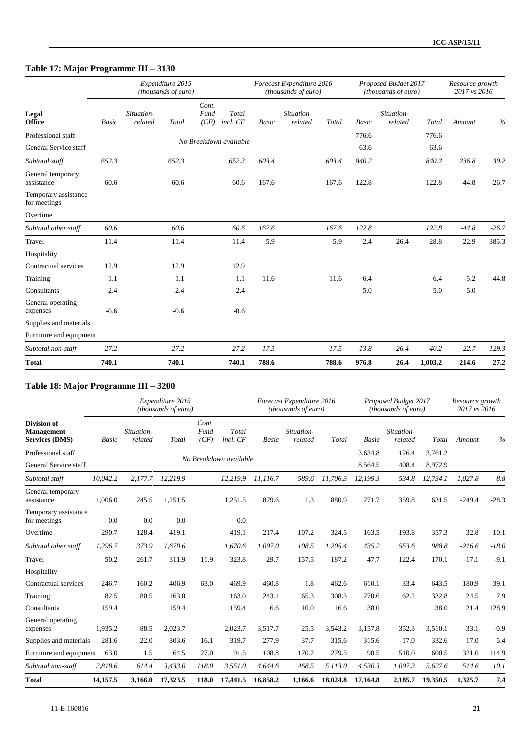## **Table 17: Major Programme III – 3130**

|                                      |              |                       | Expenditure 2015<br>(thousands of euro) |                       |                        |              | Forecast Expenditure 2016<br>(thousands of euro) |       |              | Proposed Budget 2017<br>(thousands of euro) |         | Resource growth<br>2017 vs 2016 |         |
|--------------------------------------|--------------|-----------------------|-----------------------------------------|-----------------------|------------------------|--------------|--------------------------------------------------|-------|--------------|---------------------------------------------|---------|---------------------------------|---------|
| Legal<br><b>Office</b>               | <b>Basic</b> | Situation-<br>related | Total                                   | Cont.<br>Fund<br>(CF) | Total<br>incl. CF      | <b>Basic</b> | Situation-<br>related                            | Total | <b>Basic</b> | Situation-<br>related                       | Total   | Amount                          | $\%$    |
| Professional staff                   |              |                       |                                         |                       |                        |              |                                                  |       | 776.6        |                                             | 776.6   |                                 |         |
| General Service staff                |              |                       |                                         |                       | No Breakdown available |              |                                                  |       | 63.6         |                                             | 63.6    |                                 |         |
| Subtotal staff                       | 652.3        |                       | 652.3                                   |                       | 652.3                  | 603.4        |                                                  | 603.4 | 840.2        |                                             | 840.2   | 236.8                           | 39.2    |
| General temporary<br>assistance      | 60.6         |                       | 60.6                                    |                       | 60.6                   | 167.6        |                                                  | 167.6 | 122.8        |                                             | 122.8   | $-44.8$                         | $-26.7$ |
| Temporary assistance<br>for meetings |              |                       |                                         |                       |                        |              |                                                  |       |              |                                             |         |                                 |         |
| Overtime                             |              |                       |                                         |                       |                        |              |                                                  |       |              |                                             |         |                                 |         |
| Subtotal other staff                 | 60.6         |                       | 60.6                                    |                       | 60.6                   | 167.6        |                                                  | 167.6 | 122.8        |                                             | 122.8   | $-44.8$                         | $-26.7$ |
| Travel                               | 11.4         |                       | 11.4                                    |                       | 11.4                   | 5.9          |                                                  | 5.9   | 2.4          | 26.4                                        | 28.8    | 22.9                            | 385.3   |
| Hospitality                          |              |                       |                                         |                       |                        |              |                                                  |       |              |                                             |         |                                 |         |
| Contractual services                 | 12.9         |                       | 12.9                                    |                       | 12.9                   |              |                                                  |       |              |                                             |         |                                 |         |
| Training                             | 1.1          |                       | 1.1                                     |                       | 1.1                    | 11.6         |                                                  | 11.6  | 6.4          |                                             | 6.4     | $-5.2$                          | $-44.8$ |
| Consultants                          | 2.4          |                       | 2.4                                     |                       | 2.4                    |              |                                                  |       | 5.0          |                                             | 5.0     | 5.0                             |         |
| General operating<br>expenses        | $-0.6$       |                       | $-0.6$                                  |                       | $-0.6$                 |              |                                                  |       |              |                                             |         |                                 |         |
| Supplies and materials               |              |                       |                                         |                       |                        |              |                                                  |       |              |                                             |         |                                 |         |
| Furniture and equipment              |              |                       |                                         |                       |                        |              |                                                  |       |              |                                             |         |                                 |         |
| Subtotal non-staff                   | 27.2         |                       | 27.2                                    |                       | 27.2                   | 17.5         |                                                  | 17.5  | 13.8         | 26.4                                        | 40.2    | 22.7                            | 129.3   |
| <b>Total</b>                         | 740.1        |                       | 740.1                                   |                       | 740.1                  | 788.6        |                                                  | 788.6 | 976.8        | 26.4                                        | 1,003.2 | 214.6                           | 27.2    |

### **Table 18: Major Programme III – 3200**

|                                                           |              |                       | Expenditure 2015<br>(thousands of euro) |                       |                        |              | Forecast Expenditure 2016<br><i>(thousands of euro)</i> |          |          | Proposed Budget 2017<br><i>(thousands of euro)</i> |          | Resource growth<br>2017 vs 2016 |         |
|-----------------------------------------------------------|--------------|-----------------------|-----------------------------------------|-----------------------|------------------------|--------------|---------------------------------------------------------|----------|----------|----------------------------------------------------|----------|---------------------------------|---------|
| <b>Division of</b><br>Management<br><b>Services (DMS)</b> | <b>Basic</b> | Situation-<br>related | Total                                   | Cont.<br>Fund<br>(CF) | Total<br>incl. CF      | <b>Basic</b> | Situation-<br>related                                   | Total    | Basic    | Situation-<br>related                              | Total    | Amount                          | $\%$    |
| Professional staff                                        |              |                       |                                         |                       |                        |              |                                                         |          | 3,634.8  | 126.4                                              | 3.761.2  |                                 |         |
| General Service staff                                     |              |                       |                                         |                       | No Breakdown available |              |                                                         |          | 8,564.5  | 408.4                                              | 8,972.9  |                                 |         |
| Subtotal staff                                            | 10,042.2     | 2,177.7               | 12,219.9                                |                       | 12,219.9               | 11,116.7     | 589.6                                                   | 11,706.3 | 12,199.3 | 534.8                                              | 12,734.1 | 1,027.8                         | 8.8     |
| General temporary<br>assistance                           | 1,006.0      | 245.5                 | 1,251.5                                 |                       | 1,251.5                | 879.6        | 1.3                                                     | 880.9    | 271.7    | 359.8                                              | 631.5    | $-249.4$                        | $-28.3$ |
| Temporary assistance<br>for meetings                      | 0.0          | 0.0                   | 0.0                                     |                       | 0.0                    |              |                                                         |          |          |                                                    |          |                                 |         |
| Overtime                                                  | 290.7        | 128.4                 | 419.1                                   |                       | 419.1                  | 217.4        | 107.2                                                   | 324.5    | 163.5    | 193.8                                              | 357.3    | 32.8                            | 10.1    |
| Subtotal other staff                                      | 1.296.7      | 373.9                 | 1,670.6                                 |                       | 1.670.6                | 1.097.0      | 108.5                                                   | 1,205.4  | 435.2    | 553.6                                              | 988.8    | $-216.6$                        | $-18.0$ |
| Travel                                                    | 50.2         | 261.7                 | 311.9                                   | 11.9                  | 323.8                  | 29.7         | 157.5                                                   | 187.2    | 47.7     | 122.4                                              | 170.1    | $-17.1$                         | $-9.1$  |
| Hospitality                                               |              |                       |                                         |                       |                        |              |                                                         |          |          |                                                    |          |                                 |         |
| Contractual services                                      | 246.7        | 160.2                 | 406.9                                   | 63.0                  | 469.9                  | 460.8        | 1.8                                                     | 462.6    | 610.1    | 33.4                                               | 643.5    | 180.9                           | 39.1    |
| Training                                                  | 82.5         | 80.5                  | 163.0                                   |                       | 163.0                  | 243.1        | 65.3                                                    | 308.3    | 270.6    | 62.2                                               | 332.8    | 24.5                            | 7.9     |
| Consultants                                               | 159.4        |                       | 159.4                                   |                       | 159.4                  | 6.6          | 10.0                                                    | 16.6     | 38.0     |                                                    | 38.0     | 21.4                            | 128.9   |
| General operating<br>expenses                             | 1,935.2      | 88.5                  | 2,023.7                                 |                       | 2,023.7                | 3,517.7      | 25.5                                                    | 3,543.2  | 3,157.8  | 352.3                                              | 3,510.1  | $-33.1$                         | $-0.9$  |
| Supplies and materials                                    | 281.6        | 22.0                  | 303.6                                   | 16.1                  | 319.7                  | 277.9        | 37.7                                                    | 315.6    | 315.6    | 17.0                                               | 332.6    | 17.0                            | 5.4     |
| Furniture and equipment                                   | 63.0         | 1.5                   | 64.5                                    | 27.0                  | 91.5                   | 108.8        | 170.7                                                   | 279.5    | 90.5     | 510.0                                              | 600.5    | 321.0                           | 114.9   |
| Subtotal non-staff                                        | 2,818.6      | 614.4                 | 3,433.0                                 | 118.0                 | 3,551.0                | 4.644.6      | 468.5                                                   | 5,113.0  | 4,530.3  | 1,097.3                                            | 5,627.6  | 514.6                           | 10.1    |
| <b>Total</b>                                              | 14,157.5     | 3,166.0               | 17,323.5                                | 118.0                 | 17,441.5               | 16,858.2     | 1,166.6                                                 | 18,024.8 | 17,164.8 | 2,185.7                                            | 19,350.5 | 1,325.7                         | 7.4     |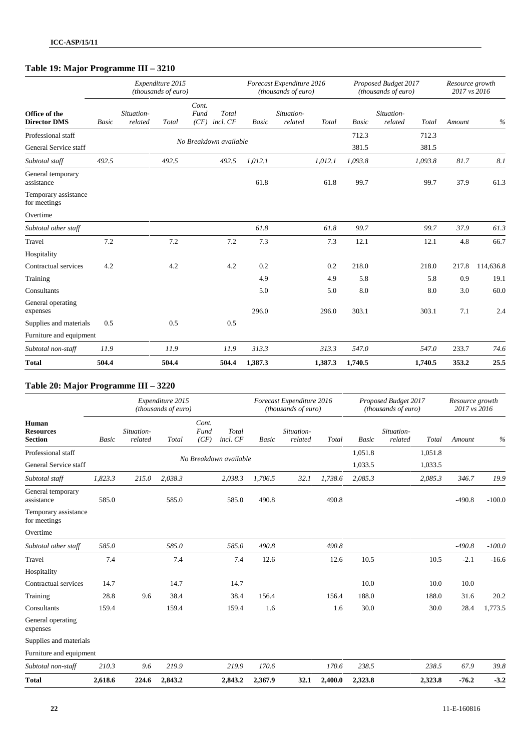## **Table 19: Major Programme III – 3210**

|                                      |              |                       | Expenditure 2015<br>(thousands of euro) |                                            |              | Forecast Expenditure 2016<br>(thousands of euro) |         |              | Proposed Budget 2017<br>(thousands of euro) |         | Resource growth<br>2017 vs 2016 |           |
|--------------------------------------|--------------|-----------------------|-----------------------------------------|--------------------------------------------|--------------|--------------------------------------------------|---------|--------------|---------------------------------------------|---------|---------------------------------|-----------|
| Office of the<br><b>Director DMS</b> | <b>Basic</b> | Situation-<br>related | Total                                   | Cont.<br>Fund<br>Total<br>(CF)<br>incl. CF | <b>Basic</b> | Situation-<br>related                            | Total   | <b>Basic</b> | Situation-<br>related                       | Total   | Amount                          | $\%$      |
| Professional staff                   |              |                       |                                         |                                            |              |                                                  |         | 712.3        |                                             | 712.3   |                                 |           |
| General Service staff                |              |                       |                                         | No Breakdown available                     |              |                                                  |         | 381.5        |                                             | 381.5   |                                 |           |
| Subtotal staff                       | 492.5        |                       | 492.5                                   | 492.5                                      | 1,012.1      |                                                  | 1,012.1 | 1,093.8      |                                             | 1,093.8 | 81.7                            | 8.1       |
| General temporary<br>assistance      |              |                       |                                         |                                            | 61.8         |                                                  | 61.8    | 99.7         |                                             | 99.7    | 37.9                            | 61.3      |
| Temporary assistance<br>for meetings |              |                       |                                         |                                            |              |                                                  |         |              |                                             |         |                                 |           |
| Overtime                             |              |                       |                                         |                                            |              |                                                  |         |              |                                             |         |                                 |           |
| Subtotal other staff                 |              |                       |                                         |                                            | 61.8         |                                                  | 61.8    | 99.7         |                                             | 99.7    | 37.9                            | 61.3      |
| Travel                               | 7.2          |                       | 7.2                                     | 7.2                                        | 7.3          |                                                  | 7.3     | 12.1         |                                             | 12.1    | 4.8                             | 66.7      |
| Hospitality                          |              |                       |                                         |                                            |              |                                                  |         |              |                                             |         |                                 |           |
| Contractual services                 | 4.2          |                       | 4.2                                     | 4.2                                        | 0.2          |                                                  | 0.2     | 218.0        |                                             | 218.0   | 217.8                           | 114,636.8 |
| Training                             |              |                       |                                         |                                            | 4.9          |                                                  | 4.9     | 5.8          |                                             | 5.8     | 0.9                             | 19.1      |
| Consultants                          |              |                       |                                         |                                            | 5.0          |                                                  | 5.0     | 8.0          |                                             | 8.0     | 3.0                             | 60.0      |
| General operating<br>expenses        |              |                       |                                         |                                            | 296.0        |                                                  | 296.0   | 303.1        |                                             | 303.1   | 7.1                             | 2.4       |
| Supplies and materials               | 0.5          |                       | 0.5                                     | 0.5                                        |              |                                                  |         |              |                                             |         |                                 |           |
| Furniture and equipment              |              |                       |                                         |                                            |              |                                                  |         |              |                                             |         |                                 |           |
| Subtotal non-staff                   | 11.9         |                       | 11.9                                    | 11.9                                       | 313.3        |                                                  | 313.3   | 547.0        |                                             | 547.0   | 233.7                           | 74.6      |
| <b>Total</b>                         | 504.4        |                       | 504.4                                   | 504.4                                      | 1,387.3      |                                                  | 1,387.3 | 1,740.5      |                                             | 1,740.5 | 353.2                           | 25.5      |

### **Table 20: Major Programme III – 3220**

|                                             |              |                       | Expenditure 2015<br>(thousands of euro) |                       |                        |              | Forecast Expenditure 2016<br>(thousands of euro) |         |              | Proposed Budget 2017<br>(thousands of euro) |         | Resource growth<br>2017 vs 2016 |          |
|---------------------------------------------|--------------|-----------------------|-----------------------------------------|-----------------------|------------------------|--------------|--------------------------------------------------|---------|--------------|---------------------------------------------|---------|---------------------------------|----------|
| Human<br><b>Resources</b><br><b>Section</b> | <b>Basic</b> | Situation-<br>related | Total                                   | Cont.<br>Fund<br>(CF) | Total<br>incl. CF      | <b>Basic</b> | Situation-<br>related                            | Total   | <b>Basic</b> | Situation-<br>related                       | Total   | Amount                          | $\%$     |
| Professional staff                          |              |                       |                                         |                       |                        |              |                                                  |         | 1,051.8      |                                             | 1,051.8 |                                 |          |
| General Service staff                       |              |                       |                                         |                       | No Breakdown available |              |                                                  |         | 1.033.5      |                                             | 1,033.5 |                                 |          |
| Subtotal staff                              | 1,823.3      | 215.0                 | 2,038.3                                 |                       | 2,038.3                | 1,706.5      | 32.1                                             | 1,738.6 | 2,085.3      |                                             | 2,085.3 | 346.7                           | 19.9     |
| General temporary<br>assistance             | 585.0        |                       | 585.0                                   |                       | 585.0                  | 490.8        |                                                  | 490.8   |              |                                             |         | $-490.8$                        | $-100.0$ |
| Temporary assistance<br>for meetings        |              |                       |                                         |                       |                        |              |                                                  |         |              |                                             |         |                                 |          |
| Overtime                                    |              |                       |                                         |                       |                        |              |                                                  |         |              |                                             |         |                                 |          |
| Subtotal other staff                        | 585.0        |                       | 585.0                                   |                       | 585.0                  | 490.8        |                                                  | 490.8   |              |                                             |         | $-490.8$                        | $-100.0$ |
| Travel                                      | 7.4          |                       | 7.4                                     |                       | 7.4                    | 12.6         |                                                  | 12.6    | 10.5         |                                             | 10.5    | $-2.1$                          | $-16.6$  |
| Hospitality                                 |              |                       |                                         |                       |                        |              |                                                  |         |              |                                             |         |                                 |          |
| Contractual services                        | 14.7         |                       | 14.7                                    |                       | 14.7                   |              |                                                  |         | 10.0         |                                             | 10.0    | 10.0                            |          |
| Training                                    | 28.8         | 9.6                   | 38.4                                    |                       | 38.4                   | 156.4        |                                                  | 156.4   | 188.0        |                                             | 188.0   | 31.6                            | 20.2     |
| Consultants                                 | 159.4        |                       | 159.4                                   |                       | 159.4                  | 1.6          |                                                  | 1.6     | 30.0         |                                             | 30.0    | 28.4                            | 1,773.5  |
| General operating<br>expenses               |              |                       |                                         |                       |                        |              |                                                  |         |              |                                             |         |                                 |          |
| Supplies and materials                      |              |                       |                                         |                       |                        |              |                                                  |         |              |                                             |         |                                 |          |
| Furniture and equipment                     |              |                       |                                         |                       |                        |              |                                                  |         |              |                                             |         |                                 |          |
| Subtotal non-staff                          | 210.3        | 9.6                   | 219.9                                   |                       | 219.9                  | 170.6        |                                                  | 170.6   | 238.5        |                                             | 238.5   | 67.9                            | 39.8     |
| <b>Total</b>                                | 2,618.6      | 224.6                 | 2,843.2                                 |                       | 2,843.2                | 2,367.9      | 32.1                                             | 2,400.0 | 2,323.8      |                                             | 2,323.8 | $-76.2$                         | $-3.2$   |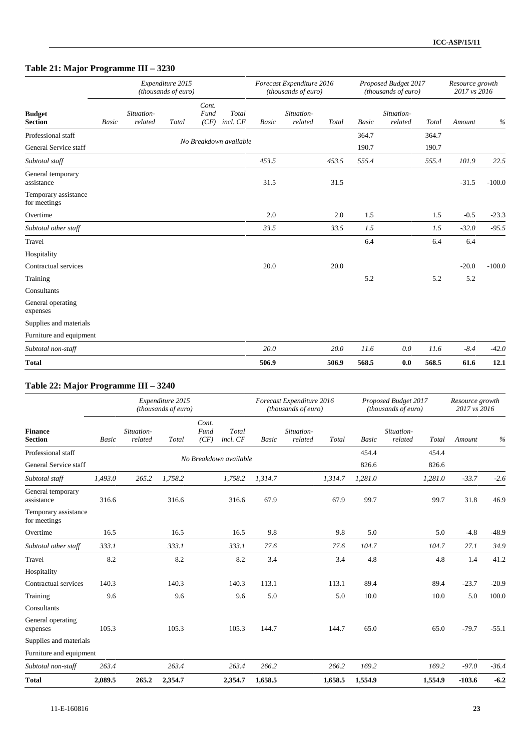## **Table 21: Major Programme III – 3230**

|                                      |       |                       | Expenditure 2015<br>(thousands of euro) |                       |                        |              | Forecast Expenditure 2016<br>(thousands of euro) |          |       | Proposed Budget 2017<br>(thousands of euro) |       | Resource growth<br>2017 vs 2016 |          |
|--------------------------------------|-------|-----------------------|-----------------------------------------|-----------------------|------------------------|--------------|--------------------------------------------------|----------|-------|---------------------------------------------|-------|---------------------------------|----------|
| <b>Budget</b><br><b>Section</b>      | Basic | Situation-<br>related | Total                                   | Cont.<br>Fund<br>(CF) | Total<br>incl. CF      | <b>Basic</b> | Situation-<br>related                            | Total    | Basic | Situation-<br>related                       | Total | Amount                          | $\%$     |
| Professional staff                   |       |                       |                                         |                       | No Breakdown available |              |                                                  |          | 364.7 |                                             | 364.7 |                                 |          |
| General Service staff                |       |                       |                                         |                       |                        |              |                                                  |          | 190.7 |                                             | 190.7 |                                 |          |
| Subtotal staff                       |       |                       |                                         |                       |                        | 453.5        |                                                  | 453.5    | 555.4 |                                             | 555.4 | 101.9                           | 22.5     |
| General temporary<br>assistance      |       |                       |                                         |                       |                        | 31.5         |                                                  | 31.5     |       |                                             |       | $-31.5$                         | $-100.0$ |
| Temporary assistance<br>for meetings |       |                       |                                         |                       |                        |              |                                                  |          |       |                                             |       |                                 |          |
| Overtime                             |       |                       |                                         |                       |                        | 2.0          |                                                  | 2.0      | 1.5   |                                             | 1.5   | $-0.5$                          | $-23.3$  |
| Subtotal other staff                 |       |                       |                                         |                       |                        | 33.5         |                                                  | 33.5     | 1.5   |                                             | 1.5   | $-32.0$                         | $-95.5$  |
| Travel                               |       |                       |                                         |                       |                        |              |                                                  |          | 6.4   |                                             | 6.4   | 6.4                             |          |
| Hospitality                          |       |                       |                                         |                       |                        |              |                                                  |          |       |                                             |       |                                 |          |
| Contractual services                 |       |                       |                                         |                       |                        | 20.0         |                                                  | 20.0     |       |                                             |       | $-20.0$                         | $-100.0$ |
| Training                             |       |                       |                                         |                       |                        |              |                                                  |          | 5.2   |                                             | 5.2   | 5.2                             |          |
| Consultants                          |       |                       |                                         |                       |                        |              |                                                  |          |       |                                             |       |                                 |          |
| General operating<br>expenses        |       |                       |                                         |                       |                        |              |                                                  |          |       |                                             |       |                                 |          |
| Supplies and materials               |       |                       |                                         |                       |                        |              |                                                  |          |       |                                             |       |                                 |          |
| Furniture and equipment              |       |                       |                                         |                       |                        |              |                                                  |          |       |                                             |       |                                 |          |
| Subtotal non-staff                   |       |                       |                                         |                       |                        | 20.0         |                                                  | $20.0\,$ | 11.6  | 0.0                                         | 11.6  | $-8.4$                          | $-42.0$  |
| <b>Total</b>                         |       |                       |                                         |                       |                        | 506.9        |                                                  | 506.9    | 568.5 | 0.0                                         | 568.5 | 61.6                            | 12.1     |

### **Table 22: Major Programme III – 3240**

|                                      |              |                       | Expenditure 2015<br>(thousands of euro) |                       |                        |              | Forecast Expenditure 2016<br>(thousands of euro) |         |              | Proposed Budget 2017<br>(thousands of euro) |         | Resource growth<br>2017 vs 2016 |         |
|--------------------------------------|--------------|-----------------------|-----------------------------------------|-----------------------|------------------------|--------------|--------------------------------------------------|---------|--------------|---------------------------------------------|---------|---------------------------------|---------|
| Finance<br><b>Section</b>            | <b>Basic</b> | Situation-<br>related | Total                                   | Cont.<br>Fund<br>(CF) | Total<br>incl. CF      | <b>Basic</b> | Situation-<br>related                            | Total   | <b>Basic</b> | Situation-<br>related                       | Total   | Amount                          | $\%$    |
| Professional staff                   |              |                       |                                         |                       | No Breakdown available |              |                                                  |         | 454.4        |                                             | 454.4   |                                 |         |
| General Service staff                |              |                       |                                         |                       |                        |              |                                                  |         | 826.6        |                                             | 826.6   |                                 |         |
| Subtotal staff                       | 1,493.0      | 265.2                 | 1,758.2                                 |                       | 1,758.2                | 1,314.7      |                                                  | 1,314.7 | 1,281.0      |                                             | 1,281.0 | $-33.7$                         | $-2.6$  |
| General temporary<br>assistance      | 316.6        |                       | 316.6                                   |                       | 316.6                  | 67.9         |                                                  | 67.9    | 99.7         |                                             | 99.7    | 31.8                            | 46.9    |
| Temporary assistance<br>for meetings |              |                       |                                         |                       |                        |              |                                                  |         |              |                                             |         |                                 |         |
| Overtime                             | 16.5         |                       | 16.5                                    |                       | 16.5                   | 9.8          |                                                  | 9.8     | 5.0          |                                             | 5.0     | $-4.8$                          | $-48.9$ |
| Subtotal other staff                 | 333.1        |                       | 333.1                                   |                       | 333.1                  | 77.6         |                                                  | 77.6    | 104.7        |                                             | 104.7   | 27.1                            | 34.9    |
| Travel                               | 8.2          |                       | 8.2                                     |                       | 8.2                    | 3.4          |                                                  | 3.4     | 4.8          |                                             | 4.8     | 1.4                             | 41.2    |
| Hospitality                          |              |                       |                                         |                       |                        |              |                                                  |         |              |                                             |         |                                 |         |
| Contractual services                 | 140.3        |                       | 140.3                                   |                       | 140.3                  | 113.1        |                                                  | 113.1   | 89.4         |                                             | 89.4    | $-23.7$                         | $-20.9$ |
| Training                             | 9.6          |                       | 9.6                                     |                       | 9.6                    | 5.0          |                                                  | 5.0     | 10.0         |                                             | 10.0    | 5.0                             | 100.0   |
| Consultants                          |              |                       |                                         |                       |                        |              |                                                  |         |              |                                             |         |                                 |         |
| General operating<br>expenses        | 105.3        |                       | 105.3                                   |                       | 105.3                  | 144.7        |                                                  | 144.7   | 65.0         |                                             | 65.0    | $-79.7$                         | $-55.1$ |
| Supplies and materials               |              |                       |                                         |                       |                        |              |                                                  |         |              |                                             |         |                                 |         |
| Furniture and equipment              |              |                       |                                         |                       |                        |              |                                                  |         |              |                                             |         |                                 |         |
| Subtotal non-staff                   | 263.4        |                       | 263.4                                   |                       | 263.4                  | 266.2        |                                                  | 266.2   | 169.2        |                                             | 169.2   | $-97.0$                         | $-36.4$ |
| <b>Total</b>                         | 2,089.5      | 265.2                 | 2,354.7                                 |                       | 2,354.7                | 1,658.5      |                                                  | 1,658.5 | 1,554.9      |                                             | 1,554.9 | $-103.6$                        | $-6.2$  |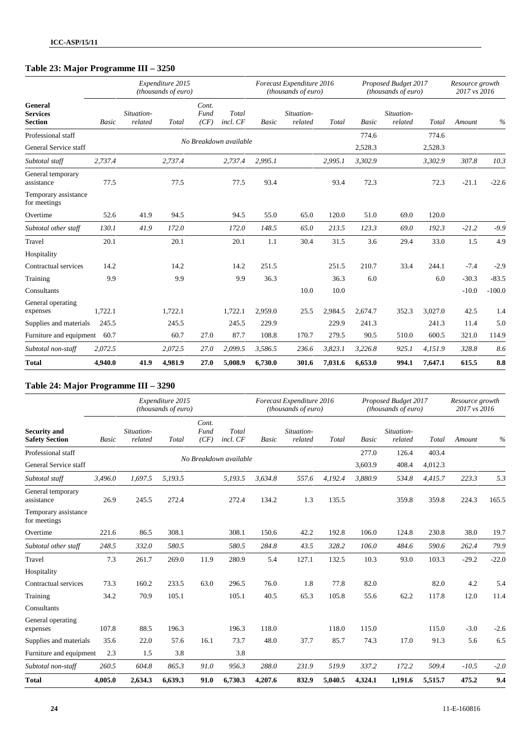## **Table 23: Major Programme III – 3250**

|                                              |              |                       | Expenditure 2015<br>(thousands of euro) |                       |                        |              | Forecast Expenditure 2016<br>(thousands of euro) |         |              | Proposed Budget 2017<br>(thousands of euro) |         | Resource growth<br>2017 vs 2016 |          |
|----------------------------------------------|--------------|-----------------------|-----------------------------------------|-----------------------|------------------------|--------------|--------------------------------------------------|---------|--------------|---------------------------------------------|---------|---------------------------------|----------|
| General<br><b>Services</b><br><b>Section</b> | <b>Basic</b> | Situation-<br>related | Total                                   | Cont.<br>Fund<br>(CF) | Total<br>incl. CF      | <b>Basic</b> | Situation-<br>related                            | Total   | <b>Basic</b> | Situation-<br>related                       | Total   | Amount                          | $\%$     |
| Professional staff                           |              |                       |                                         |                       | No Breakdown available |              |                                                  |         | 774.6        |                                             | 774.6   |                                 |          |
| General Service staff                        |              |                       |                                         |                       |                        |              |                                                  |         | 2,528.3      |                                             | 2,528.3 |                                 |          |
| Subtotal staff                               | 2,737.4      |                       | 2,737.4                                 |                       | 2,737.4                | 2,995.1      |                                                  | 2,995.1 | 3,302.9      |                                             | 3,302.9 | 307.8                           | 10.3     |
| General temporary<br>assistance              | 77.5         |                       | 77.5                                    |                       | 77.5                   | 93.4         |                                                  | 93.4    | 72.3         |                                             | 72.3    | $-21.1$                         | $-22.6$  |
| Temporary assistance<br>for meetings         |              |                       |                                         |                       |                        |              |                                                  |         |              |                                             |         |                                 |          |
| Overtime                                     | 52.6         | 41.9                  | 94.5                                    |                       | 94.5                   | 55.0         | 65.0                                             | 120.0   | 51.0         | 69.0                                        | 120.0   |                                 |          |
| Subtotal other staff                         | 130.1        | 41.9                  | 172.0                                   |                       | 172.0                  | 148.5        | 65.0                                             | 213.5   | 123.3        | 69.0                                        | 192.3   | $-21.2$                         | $-9.9$   |
| Travel                                       | 20.1         |                       | 20.1                                    |                       | 20.1                   | 1.1          | 30.4                                             | 31.5    | 3.6          | 29.4                                        | 33.0    | 1.5                             | 4.9      |
| Hospitality                                  |              |                       |                                         |                       |                        |              |                                                  |         |              |                                             |         |                                 |          |
| Contractual services                         | 14.2         |                       | 14.2                                    |                       | 14.2                   | 251.5        |                                                  | 251.5   | 210.7        | 33.4                                        | 244.1   | $-7.4$                          | $-2.9$   |
| Training                                     | 9.9          |                       | 9.9                                     |                       | 9.9                    | 36.3         |                                                  | 36.3    | 6.0          |                                             | 6.0     | $-30.3$                         | $-83.5$  |
| Consultants                                  |              |                       |                                         |                       |                        |              | 10.0                                             | 10.0    |              |                                             |         | $-10.0$                         | $-100.0$ |
| General operating<br>expenses                | 1,722.1      |                       | 1,722.1                                 |                       | 1,722.1                | 2,959.0      | 25.5                                             | 2,984.5 | 2,674.7      | 352.3                                       | 3,027.0 | 42.5                            | 1.4      |
| Supplies and materials                       | 245.5        |                       | 245.5                                   |                       | 245.5                  | 229.9        |                                                  | 229.9   | 241.3        |                                             | 241.3   | 11.4                            | 5.0      |
| Furniture and equipment                      | 60.7         |                       | 60.7                                    | 27.0                  | 87.7                   | 108.8        | 170.7                                            | 279.5   | 90.5         | 510.0                                       | 600.5   | 321.0                           | 114.9    |
| Subtotal non-staff                           | 2,072.5      |                       | 2,072.5                                 | 27.0                  | 2,099.5                | 3,586.5      | 236.6                                            | 3,823.1 | 3,226.8      | 925.1                                       | 4,151.9 | 328.8                           | 8.6      |
| <b>Total</b>                                 | 4,940.0      | 41.9                  | 4,981.9                                 | 27.0                  | 5,008.9                | 6,730.0      | 301.6                                            | 7,031.6 | 6,653.0      | 994.1                                       | 7,647.1 | 615.5                           | 8.8      |

### **Table 24: Major Programme III – 3290**

|                                              |              |                       | Expenditure 2015<br>(thousands of euro) |                       |                        |              | Forecast Expenditure 2016<br>(thousands of euro) |         |              | Proposed Budget 2017<br>(thousands of euro) |         | Resource growth<br>2017 vs 2016 |         |
|----------------------------------------------|--------------|-----------------------|-----------------------------------------|-----------------------|------------------------|--------------|--------------------------------------------------|---------|--------------|---------------------------------------------|---------|---------------------------------|---------|
| <b>Security and</b><br><b>Safety Section</b> | <b>Basic</b> | Situation-<br>related | Total                                   | Cont.<br>Fund<br>(CF) | Total<br>incl. CF      | <b>Basic</b> | Situation-<br>related                            | Total   | <b>Basic</b> | Situation-<br>related                       | Total   | Amount                          | $\%$    |
| Professional staff                           |              |                       |                                         |                       |                        |              |                                                  |         | 277.0        | 126.4                                       | 403.4   |                                 |         |
| General Service staff                        |              |                       |                                         |                       | No Breakdown available |              |                                                  |         | 3,603.9      | 408.4                                       | 4,012.3 |                                 |         |
| Subtotal staff                               | 3,496.0      | 1,697.5               | 5,193.5                                 |                       | 5,193.5                | 3,634.8      | 557.6                                            | 4,192.4 | 3,880.9      | 534.8                                       | 4,415.7 | 223.3                           | 5.3     |
| General temporary<br>assistance              | 26.9         | 245.5                 | 272.4                                   |                       | 272.4                  | 134.2        | 1.3                                              | 135.5   |              | 359.8                                       | 359.8   | 224.3                           | 165.5   |
| Temporary assistance<br>for meetings         |              |                       |                                         |                       |                        |              |                                                  |         |              |                                             |         |                                 |         |
| Overtime                                     | 221.6        | 86.5                  | 308.1                                   |                       | 308.1                  | 150.6        | 42.2                                             | 192.8   | 106.0        | 124.8                                       | 230.8   | 38.0                            | 19.7    |
| Subtotal other staff                         | 248.5        | 332.0                 | 580.5                                   |                       | 580.5                  | 284.8        | 43.5                                             | 328.2   | 106.0        | 484.6                                       | 590.6   | 262.4                           | 79.9    |
| Travel                                       | 7.3          | 261.7                 | 269.0                                   | 11.9                  | 280.9                  | 5.4          | 127.1                                            | 132.5   | 10.3         | 93.0                                        | 103.3   | $-29.2$                         | $-22.0$ |
| Hospitality                                  |              |                       |                                         |                       |                        |              |                                                  |         |              |                                             |         |                                 |         |
| Contractual services                         | 73.3         | 160.2                 | 233.5                                   | 63.0                  | 296.5                  | 76.0         | 1.8                                              | 77.8    | 82.0         |                                             | 82.0    | 4.2                             | 5.4     |
| Training                                     | 34.2         | 70.9                  | 105.1                                   |                       | 105.1                  | 40.5         | 65.3                                             | 105.8   | 55.6         | 62.2                                        | 117.8   | 12.0                            | 11.4    |
| Consultants                                  |              |                       |                                         |                       |                        |              |                                                  |         |              |                                             |         |                                 |         |
| General operating<br>expenses                | 107.8        | 88.5                  | 196.3                                   |                       | 196.3                  | 118.0        |                                                  | 118.0   | 115.0        |                                             | 115.0   | $-3.0$                          | $-2.6$  |
| Supplies and materials                       | 35.6         | 22.0                  | 57.6                                    | 16.1                  | 73.7                   | 48.0         | 37.7                                             | 85.7    | 74.3         | 17.0                                        | 91.3    | 5.6                             | 6.5     |
| Furniture and equipment                      | 2.3          | 1.5                   | 3.8                                     |                       | 3.8                    |              |                                                  |         |              |                                             |         |                                 |         |
| Subtotal non-staff                           | 260.5        | 604.8                 | 865.3                                   | 91.0                  | 956.3                  | 288.0        | 231.9                                            | 519.9   | 337.2        | 172.2                                       | 509.4   | $-10.5$                         | $-2.0$  |
| <b>Total</b>                                 | 4,005.0      | 2,634.3               | 6,639.3                                 | 91.0                  | 6,730.3                | 4,207.6      | 832.9                                            | 5,040.5 | 4,324.1      | 1,191.6                                     | 5,515.7 | 475.2                           | 9.4     |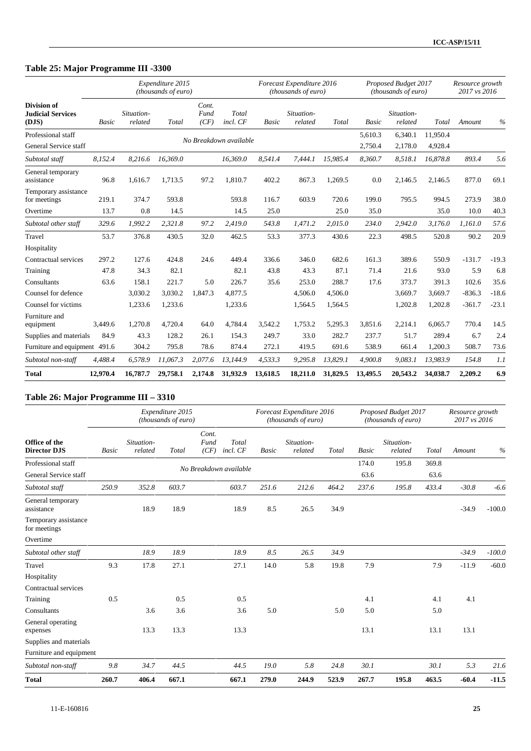## **Table 25: Major Programme III -3300**

|                                                         |              |                       | Expenditure 2015<br>(thousands of euro) |                       |                        |              | Forecast Expenditure 2016<br>(thousands of euro) |          |          | Proposed Budget 2017<br>(thousands of euro) |          | Resource growth<br>2017 vs 2016 |         |
|---------------------------------------------------------|--------------|-----------------------|-----------------------------------------|-----------------------|------------------------|--------------|--------------------------------------------------|----------|----------|---------------------------------------------|----------|---------------------------------|---------|
| <b>Division of</b><br><b>Judicial Services</b><br>(DJS) | <b>Basic</b> | Situation-<br>related | Total                                   | Cont.<br>Fund<br>(CF) | Total<br>incl. CF      | <b>Basic</b> | Situation-<br>related                            | Total    | Basic    | Situation-<br>related                       | Total    | Amount                          | $\%$    |
| Professional staff                                      |              |                       |                                         |                       |                        |              |                                                  |          | 5.610.3  | 6.340.1                                     | 11.950.4 |                                 |         |
| General Service staff                                   |              |                       |                                         |                       | No Breakdown available |              |                                                  |          | 2,750.4  | 2,178.0                                     | 4,928.4  |                                 |         |
| Subtotal staff                                          | 8,152.4      | 8,216.6               | 16,369.0                                |                       | 16,369.0               | 8,541.4      | 7,444.1                                          | 15,985.4 | 8,360.7  | 8,518.1                                     | 16,878.8 | 893.4                           | 5.6     |
| General temporary<br>assistance                         | 96.8         | 1,616.7               | 1,713.5                                 | 97.2                  | 1,810.7                | 402.2        | 867.3                                            | 1,269.5  | 0.0      | 2,146.5                                     | 2,146.5  | 877.0                           | 69.1    |
| Temporary assistance<br>for meetings                    | 219.1        | 374.7                 | 593.8                                   |                       | 593.8                  | 116.7        | 603.9                                            | 720.6    | 199.0    | 795.5                                       | 994.5    | 273.9                           | 38.0    |
| Overtime                                                | 13.7         | 0.8                   | 14.5                                    |                       | 14.5                   | 25.0         |                                                  | 25.0     | 35.0     |                                             | 35.0     | 10.0                            | 40.3    |
| Subtotal other staff                                    | 329.6        | 1,992.2               | 2,321.8                                 | 97.2                  | 2.419.0                | 543.8        | 1,471.2                                          | 2,015.0  | 234.0    | 2,942.0                                     | 3,176.0  | 1.161.0                         | 57.6    |
| Travel                                                  | 53.7         | 376.8                 | 430.5                                   | 32.0                  | 462.5                  | 53.3         | 377.3                                            | 430.6    | 22.3     | 498.5                                       | 520.8    | 90.2                            | 20.9    |
| Hospitality                                             |              |                       |                                         |                       |                        |              |                                                  |          |          |                                             |          |                                 |         |
| Contractual services                                    | 297.2        | 127.6                 | 424.8                                   | 24.6                  | 449.4                  | 336.6        | 346.0                                            | 682.6    | 161.3    | 389.6                                       | 550.9    | $-131.7$                        | $-19.3$ |
| Training                                                | 47.8         | 34.3                  | 82.1                                    |                       | 82.1                   | 43.8         | 43.3                                             | 87.1     | 71.4     | 21.6                                        | 93.0     | 5.9                             | 6.8     |
| Consultants                                             | 63.6         | 158.1                 | 221.7                                   | 5.0                   | 226.7                  | 35.6         | 253.0                                            | 288.7    | 17.6     | 373.7                                       | 391.3    | 102.6                           | 35.6    |
| Counsel for defence                                     |              | 3,030.2               | 3,030.2                                 | 1,847.3               | 4,877.5                |              | 4,506.0                                          | 4,506.0  |          | 3,669.7                                     | 3,669.7  | $-836.3$                        | $-18.6$ |
| Counsel for victims                                     |              | 1,233.6               | 1,233.6                                 |                       | 1,233.6                |              | 1,564.5                                          | 1,564.5  |          | 1,202.8                                     | 1,202.8  | $-361.7$                        | $-23.1$ |
| Furniture and<br>equipment                              | 3.449.6      | 1,270.8               | 4,720.4                                 | 64.0                  | 4.784.4                | 3,542.2      | 1,753.2                                          | 5,295.3  | 3,851.6  | 2,214.1                                     | 6.065.7  | 770.4                           | 14.5    |
| Supplies and materials                                  | 84.9         | 43.3                  | 128.2                                   | 26.1                  | 154.3                  | 249.7        | 33.0                                             | 282.7    | 237.7    | 51.7                                        | 289.4    | 6.7                             | 2.4     |
| Furniture and equipment 491.6                           |              | 304.2                 | 795.8                                   | 78.6                  | 874.4                  | 272.1        | 419.5                                            | 691.6    | 538.9    | 661.4                                       | 1,200.3  | 508.7                           | 73.6    |
| Subtotal non-staff                                      | 4,488.4      | 6,578.9               | 11,067.3                                | 2,077.6               | 13,144.9               | 4,533.3      | 9,295.8                                          | 13,829.1 | 4,900.8  | 9,083.1                                     | 13,983.9 | 154.8                           | 1.1     |
| <b>Total</b>                                            | 12,970.4     | 16,787.7              | 29,758.1                                | 2,174.8               | 31,932.9               | 13,618.5     | 18,211.0                                         | 31,829.5 | 13,495.5 | 20,543.2                                    | 34,038.7 | 2,209.2                         | 6.9     |

### **Table 26: Major Programme III – 3310**

|                                      |              |                       | Expenditure 2015<br>(thousands of euro) |                                            |              | Forecast Expenditure 2016<br>(thousands of euro) |       |              | Proposed Budget 2017<br>(thousands of euro) |       | Resource growth<br>2017 vs 2016 |          |
|--------------------------------------|--------------|-----------------------|-----------------------------------------|--------------------------------------------|--------------|--------------------------------------------------|-------|--------------|---------------------------------------------|-------|---------------------------------|----------|
| Office of the<br><b>Director DJS</b> | <b>Basic</b> | Situation-<br>related | Total                                   | Cont.<br>Fund<br>Total<br>incl. CF<br>(CF) | <b>Basic</b> | Situation-<br>related                            | Total | <b>Basic</b> | Situation-<br>related                       | Total | Amount                          | $\%$     |
| Professional staff                   |              |                       |                                         | No Breakdown available                     |              |                                                  |       | 174.0        | 195.8                                       | 369.8 |                                 |          |
| General Service staff                |              |                       |                                         |                                            |              |                                                  |       | 63.6         |                                             | 63.6  |                                 |          |
| Subtotal staff                       | 250.9        | 352.8                 | 603.7                                   | 603.7                                      | 251.6        | 212.6                                            | 464.2 | 237.6        | 195.8                                       | 433.4 | $-30.8$                         | $-6.6$   |
| General temporary<br>assistance      |              | 18.9                  | 18.9                                    | 18.9                                       | 8.5          | 26.5                                             | 34.9  |              |                                             |       | $-34.9$                         | $-100.0$ |
| Temporary assistance<br>for meetings |              |                       |                                         |                                            |              |                                                  |       |              |                                             |       |                                 |          |
| Overtime                             |              |                       |                                         |                                            |              |                                                  |       |              |                                             |       |                                 |          |
| Subtotal other staff                 |              | 18.9                  | 18.9                                    | 18.9                                       | 8.5          | 26.5                                             | 34.9  |              |                                             |       | $-34.9$                         | $-100.0$ |
| Travel                               | 9.3          | 17.8                  | 27.1                                    | 27.1                                       | 14.0         | 5.8                                              | 19.8  | 7.9          |                                             | 7.9   | $-11.9$                         | $-60.0$  |
| Hospitality                          |              |                       |                                         |                                            |              |                                                  |       |              |                                             |       |                                 |          |
| Contractual services                 |              |                       |                                         |                                            |              |                                                  |       |              |                                             |       |                                 |          |
| Training                             | 0.5          |                       | 0.5                                     | 0.5                                        |              |                                                  |       | 4.1          |                                             | 4.1   | 4.1                             |          |
| Consultants                          |              | 3.6                   | 3.6                                     | 3.6                                        | 5.0          |                                                  | 5.0   | 5.0          |                                             | 5.0   |                                 |          |
| General operating<br>expenses        |              | 13.3                  | 13.3                                    | 13.3                                       |              |                                                  |       | 13.1         |                                             | 13.1  | 13.1                            |          |
| Supplies and materials               |              |                       |                                         |                                            |              |                                                  |       |              |                                             |       |                                 |          |
| Furniture and equipment              |              |                       |                                         |                                            |              |                                                  |       |              |                                             |       |                                 |          |
| Subtotal non-staff                   | 9.8          | 34.7                  | 44.5                                    | 44.5                                       | 19.0         | 5.8                                              | 24.8  | 30.1         |                                             | 30.1  | 5.3                             | 21.6     |
| <b>Total</b>                         | 260.7        | 406.4                 | 667.1                                   | 667.1                                      | 279.0        | 244.9                                            | 523.9 | 267.7        | 195.8                                       | 463.5 | $-60.4$                         | $-11.5$  |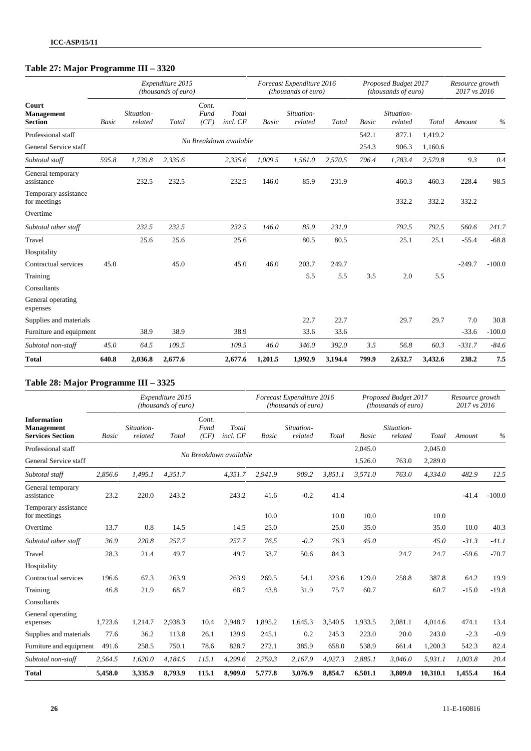## **Table 27: Major Programme III – 3320**

|                                              |              |                       | Expenditure 2015<br>(thousands of euro) |                       |                        |              | Forecast Expenditure 2016<br>(thousands of euro) |         |              | Proposed Budget 2017<br>(thousands of euro) |         | Resource growth<br>2017 vs 2016 |          |
|----------------------------------------------|--------------|-----------------------|-----------------------------------------|-----------------------|------------------------|--------------|--------------------------------------------------|---------|--------------|---------------------------------------------|---------|---------------------------------|----------|
| Court<br><b>Management</b><br><b>Section</b> | <b>Basic</b> | Situation-<br>related | Total                                   | Cont.<br>Fund<br>(CF) | Total<br>incl. CF      | <b>Basic</b> | Situation-<br>related                            | Total   | <b>Basic</b> | Situation-<br>related                       | Total   | Amount                          | $\%$     |
| Professional staff                           |              |                       |                                         |                       | No Breakdown available |              |                                                  |         | 542.1        | 877.1                                       | 1,419.2 |                                 |          |
| General Service staff                        |              |                       |                                         |                       |                        |              |                                                  |         | 254.3        | 906.3                                       | 1,160.6 |                                 |          |
| Subtotal staff                               | 595.8        | 1,739.8               | 2,335.6                                 |                       | 2,335.6                | 1,009.5      | 1,561.0                                          | 2,570.5 | 796.4        | 1,783.4                                     | 2,579.8 | 9.3                             | 0.4      |
| General temporary<br>assistance              |              | 232.5                 | 232.5                                   |                       | 232.5                  | 146.0        | 85.9                                             | 231.9   |              | 460.3                                       | 460.3   | 228.4                           | 98.5     |
| Temporary assistance<br>for meetings         |              |                       |                                         |                       |                        |              |                                                  |         |              | 332.2                                       | 332.2   | 332.2                           |          |
| Overtime                                     |              |                       |                                         |                       |                        |              |                                                  |         |              |                                             |         |                                 |          |
| Subtotal other staff                         |              | 232.5                 | 232.5                                   |                       | 232.5                  | 146.0        | 85.9                                             | 231.9   |              | 792.5                                       | 792.5   | 560.6                           | 241.7    |
| Travel                                       |              | 25.6                  | 25.6                                    |                       | 25.6                   |              | 80.5                                             | 80.5    |              | 25.1                                        | 25.1    | $-55.4$                         | $-68.8$  |
| Hospitality                                  |              |                       |                                         |                       |                        |              |                                                  |         |              |                                             |         |                                 |          |
| Contractual services                         | 45.0         |                       | 45.0                                    |                       | 45.0                   | 46.0         | 203.7                                            | 249.7   |              |                                             |         | $-249.7$                        | $-100.0$ |
| Training                                     |              |                       |                                         |                       |                        |              | 5.5                                              | 5.5     | 3.5          | 2.0                                         | 5.5     |                                 |          |
| Consultants                                  |              |                       |                                         |                       |                        |              |                                                  |         |              |                                             |         |                                 |          |
| General operating<br>expenses                |              |                       |                                         |                       |                        |              |                                                  |         |              |                                             |         |                                 |          |
| Supplies and materials                       |              |                       |                                         |                       |                        |              | 22.7                                             | 22.7    |              | 29.7                                        | 29.7    | 7.0                             | 30.8     |
| Furniture and equipment                      |              | 38.9                  | 38.9                                    |                       | 38.9                   |              | 33.6                                             | 33.6    |              |                                             |         | $-33.6$                         | $-100.0$ |
| Subtotal non-staff                           | 45.0         | 64.5                  | 109.5                                   |                       | 109.5                  | 46.0         | 346.0                                            | 392.0   | 3.5          | 56.8                                        | 60.3    | $-331.7$                        | $-84.6$  |
| <b>Total</b>                                 | 640.8        | 2,036.8               | 2,677.6                                 |                       | 2,677.6                | 1,201.5      | 1,992.9                                          | 3,194.4 | 799.9        | 2,632.7                                     | 3,432.6 | 238.2                           | 7.5      |

## **Table 28: Major Programme III – 3325**

|                                                             |              |                       | Expenditure 2015<br>(thousands of euro) |                       |                        |              | Forecast Expenditure 2016<br>(thousands of euro) |         |         | Proposed Budget 2017<br>(thousands of euro) |          | Resource growth<br>2017 vs 2016 |          |
|-------------------------------------------------------------|--------------|-----------------------|-----------------------------------------|-----------------------|------------------------|--------------|--------------------------------------------------|---------|---------|---------------------------------------------|----------|---------------------------------|----------|
| <b>Information</b><br>Management<br><b>Services Section</b> | <b>Basic</b> | Situation-<br>related | Total                                   | Cont.<br>Fund<br>(CF) | Total<br>incl. CF      | <b>Basic</b> | Situation-<br>related                            | Total   | Basic   | Situation-<br>related                       | Total    | Amount                          | $\%$     |
| Professional staff                                          |              |                       |                                         |                       |                        |              |                                                  |         | 2,045.0 |                                             | 2,045.0  |                                 |          |
| General Service staff                                       |              |                       |                                         |                       | No Breakdown available |              |                                                  |         | 1,526.0 | 763.0                                       | 2,289.0  |                                 |          |
| Subtotal staff                                              | 2,856.6      | 1,495.1               | 4.351.7                                 |                       | 4,351.7                | 2.941.9      | 909.2                                            | 3,851.1 | 3,571.0 | 763.0                                       | 4,334.0  | 482.9                           | 12.5     |
| General temporary<br>assistance                             | 23.2         | 220.0                 | 243.2                                   |                       | 243.2                  | 41.6         | $-0.2$                                           | 41.4    |         |                                             |          | $-41.4$                         | $-100.0$ |
| Temporary assistance<br>for meetings                        |              |                       |                                         |                       |                        | 10.0         |                                                  | 10.0    | 10.0    |                                             | 10.0     |                                 |          |
| Overtime                                                    | 13.7         | 0.8                   | 14.5                                    |                       | 14.5                   | 25.0         |                                                  | 25.0    | 35.0    |                                             | 35.0     | 10.0                            | 40.3     |
| Subtotal other staff                                        | 36.9         | 220.8                 | 257.7                                   |                       | 257.7                  | 76.5         | $-0.2$                                           | 76.3    | 45.0    |                                             | 45.0     | $-31.3$                         | $-41.1$  |
| Travel                                                      | 28.3         | 21.4                  | 49.7                                    |                       | 49.7                   | 33.7         | 50.6                                             | 84.3    |         | 24.7                                        | 24.7     | $-59.6$                         | $-70.7$  |
| Hospitality                                                 |              |                       |                                         |                       |                        |              |                                                  |         |         |                                             |          |                                 |          |
| Contractual services                                        | 196.6        | 67.3                  | 263.9                                   |                       | 263.9                  | 269.5        | 54.1                                             | 323.6   | 129.0   | 258.8                                       | 387.8    | 64.2                            | 19.9     |
| Training                                                    | 46.8         | 21.9                  | 68.7                                    |                       | 68.7                   | 43.8         | 31.9                                             | 75.7    | 60.7    |                                             | 60.7     | $-15.0$                         | $-19.8$  |
| Consultants                                                 |              |                       |                                         |                       |                        |              |                                                  |         |         |                                             |          |                                 |          |
| General operating<br>expenses                               | 1,723.6      | 1,214.7               | 2,938.3                                 | 10.4                  | 2,948.7                | 1,895.2      | 1,645.3                                          | 3,540.5 | 1,933.5 | 2,081.1                                     | 4,014.6  | 474.1                           | 13.4     |
| Supplies and materials                                      | 77.6         | 36.2                  | 113.8                                   | 26.1                  | 139.9                  | 245.1        | 0.2                                              | 245.3   | 223.0   | 20.0                                        | 243.0    | $-2.3$                          | $-0.9$   |
| Furniture and equipment                                     | 491.6        | 258.5                 | 750.1                                   | 78.6                  | 828.7                  | 272.1        | 385.9                                            | 658.0   | 538.9   | 661.4                                       | 1,200.3  | 542.3                           | 82.4     |
| Subtotal non-staff                                          | 2,564.5      | 1,620.0               | 4,184.5                                 | 115.1                 | 4,299.6                | 2,759.3      | 2,167.9                                          | 4,927.3 | 2,885.1 | 3,046.0                                     | 5,931.1  | 1,003.8                         | 20.4     |
| <b>Total</b>                                                | 5,458.0      | 3,335.9               | 8,793.9                                 | 115.1                 | 8,909.0                | 5,777.8      | 3,076.9                                          | 8,854.7 | 6,501.1 | 3,809.0                                     | 10,310.1 | 1,455.4                         | 16.4     |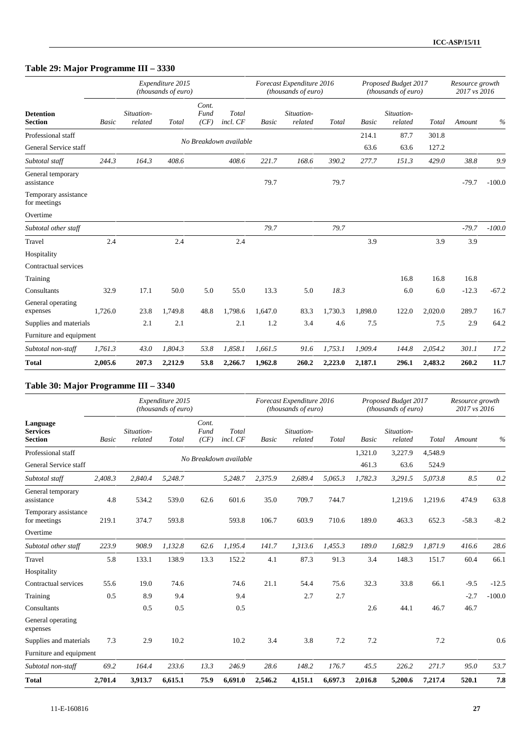## **Table 29: Major Programme III – 3330**

|                                      |              |                       | Expenditure 2015<br>(thousands of euro) |                       |                        |         | Forecast Expenditure 2016<br>(thousands of euro) |         |              | Proposed Budget 2017<br>(thousands of euro) |         | Resource growth<br>2017 vs 2016 |          |
|--------------------------------------|--------------|-----------------------|-----------------------------------------|-----------------------|------------------------|---------|--------------------------------------------------|---------|--------------|---------------------------------------------|---------|---------------------------------|----------|
| <b>Detention</b><br><b>Section</b>   | <b>Basic</b> | Situation-<br>related | Total                                   | Cont.<br>Fund<br>(CF) | Total<br>incl. CF      | Basic   | Situation-<br>related                            | Total   | <b>Basic</b> | Situation-<br>related                       | Total   | Amount                          | $\%$     |
| Professional staff                   |              |                       |                                         |                       |                        |         |                                                  |         | 214.1        | 87.7                                        | 301.8   |                                 |          |
| General Service staff                |              |                       |                                         |                       | No Breakdown available |         |                                                  |         | 63.6         | 63.6                                        | 127.2   |                                 |          |
| Subtotal staff                       | 244.3        | 164.3                 | 408.6                                   |                       | 408.6                  | 221.7   | 168.6                                            | 390.2   | 277.7        | 151.3                                       | 429.0   | 38.8                            | 9.9      |
| General temporary<br>assistance      |              |                       |                                         |                       |                        | 79.7    |                                                  | 79.7    |              |                                             |         | $-79.7$                         | $-100.0$ |
| Temporary assistance<br>for meetings |              |                       |                                         |                       |                        |         |                                                  |         |              |                                             |         |                                 |          |
| Overtime                             |              |                       |                                         |                       |                        |         |                                                  |         |              |                                             |         |                                 |          |
| Subtotal other staff                 |              |                       |                                         |                       |                        | 79.7    |                                                  | 79.7    |              |                                             |         | $-79.7$                         | $-100.0$ |
| Travel                               | 2.4          |                       | 2.4                                     |                       | 2.4                    |         |                                                  |         | 3.9          |                                             | 3.9     | 3.9                             |          |
| Hospitality                          |              |                       |                                         |                       |                        |         |                                                  |         |              |                                             |         |                                 |          |
| Contractual services                 |              |                       |                                         |                       |                        |         |                                                  |         |              |                                             |         |                                 |          |
| Training                             |              |                       |                                         |                       |                        |         |                                                  |         |              | 16.8                                        | 16.8    | 16.8                            |          |
| Consultants                          | 32.9         | 17.1                  | 50.0                                    | 5.0                   | 55.0                   | 13.3    | 5.0                                              | 18.3    |              | 6.0                                         | 6.0     | $-12.3$                         | $-67.2$  |
| General operating<br>expenses        | 1,726.0      | 23.8                  | 1,749.8                                 | 48.8                  | 1,798.6                | 1,647.0 | 83.3                                             | 1,730.3 | 1,898.0      | 122.0                                       | 2,020.0 | 289.7                           | 16.7     |
| Supplies and materials               |              | 2.1                   | 2.1                                     |                       | 2.1                    | 1.2     | 3.4                                              | 4.6     | 7.5          |                                             | 7.5     | 2.9                             | 64.2     |
| Furniture and equipment              |              |                       |                                         |                       |                        |         |                                                  |         |              |                                             |         |                                 |          |
| Subtotal non-staff                   | 1,761.3      | 43.0                  | 1,804.3                                 | 53.8                  | 1,858.1                | 1,661.5 | 91.6                                             | 1,753.1 | 1,909.4      | 144.8                                       | 2,054.2 | 301.1                           | 17.2     |
| <b>Total</b>                         | 2,005.6      | 207.3                 | 2,212.9                                 | 53.8                  | 2,266.7                | 1,962.8 | 260.2                                            | 2,223.0 | 2,187.1      | 296.1                                       | 2,483.2 | 260.2                           | 11.7     |

### **Table 30: Major Programme III – 3340**

|                                               |              |                       | Expenditure 2015<br>(thousands of euro) |                       |                        |              | Forecast Expenditure 2016<br>(thousands of euro) |         |              | Proposed Budget 2017<br>(thousands of euro) |         | Resource growth<br>2017 vs 2016 |          |
|-----------------------------------------------|--------------|-----------------------|-----------------------------------------|-----------------------|------------------------|--------------|--------------------------------------------------|---------|--------------|---------------------------------------------|---------|---------------------------------|----------|
| Language<br><b>Services</b><br><b>Section</b> | <b>Basic</b> | Situation-<br>related | Total                                   | Cont.<br>Fund<br>(CF) | Total<br>incl. CF      | <b>Basic</b> | Situation-<br>related                            | Total   | <b>Basic</b> | Situation-<br>related                       | Total   | Amount                          | $\%$     |
| Professional staff                            |              |                       |                                         |                       |                        |              |                                                  |         | 1,321.0      | 3,227.9                                     | 4,548.9 |                                 |          |
| General Service staff                         |              |                       |                                         |                       | No Breakdown available |              |                                                  |         | 461.3        | 63.6                                        | 524.9   |                                 |          |
| Subtotal staff                                | 2,408.3      | 2,840.4               | 5,248.7                                 |                       | 5,248.7                | 2,375.9      | 2,689.4                                          | 5,065.3 | 1,782.3      | 3,291.5                                     | 5,073.8 | 8.5                             | 0.2      |
| General temporary<br>assistance               | 4.8          | 534.2                 | 539.0                                   | 62.6                  | 601.6                  | 35.0         | 709.7                                            | 744.7   |              | 1,219.6                                     | 1,219.6 | 474.9                           | 63.8     |
| Temporary assistance<br>for meetings          | 219.1        | 374.7                 | 593.8                                   |                       | 593.8                  | 106.7        | 603.9                                            | 710.6   | 189.0        | 463.3                                       | 652.3   | $-58.3$                         | $-8.2$   |
| Overtime                                      |              |                       |                                         |                       |                        |              |                                                  |         |              |                                             |         |                                 |          |
| Subtotal other staff                          | 223.9        | 908.9                 | 1,132.8                                 | 62.6                  | 1.195.4                | 141.7        | 1,313.6                                          | 1,455.3 | 189.0        | 1,682.9                                     | 1,871.9 | 416.6                           | 28.6     |
| Travel                                        | 5.8          | 133.1                 | 138.9                                   | 13.3                  | 152.2                  | 4.1          | 87.3                                             | 91.3    | 3.4          | 148.3                                       | 151.7   | 60.4                            | 66.1     |
| Hospitality                                   |              |                       |                                         |                       |                        |              |                                                  |         |              |                                             |         |                                 |          |
| Contractual services                          | 55.6         | 19.0                  | 74.6                                    |                       | 74.6                   | 21.1         | 54.4                                             | 75.6    | 32.3         | 33.8                                        | 66.1    | $-9.5$                          | $-12.5$  |
| Training                                      | 0.5          | 8.9                   | 9.4                                     |                       | 9.4                    |              | 2.7                                              | 2.7     |              |                                             |         | $-2.7$                          | $-100.0$ |
| Consultants                                   |              | 0.5                   | 0.5                                     |                       | 0.5                    |              |                                                  |         | 2.6          | 44.1                                        | 46.7    | 46.7                            |          |
| General operating<br>expenses                 |              |                       |                                         |                       |                        |              |                                                  |         |              |                                             |         |                                 |          |
| Supplies and materials                        | 7.3          | 2.9                   | 10.2                                    |                       | 10.2                   | 3.4          | 3.8                                              | 7.2     | 7.2          |                                             | 7.2     |                                 | 0.6      |
| Furniture and equipment                       |              |                       |                                         |                       |                        |              |                                                  |         |              |                                             |         |                                 |          |
| Subtotal non-staff                            | 69.2         | 164.4                 | 233.6                                   | 13.3                  | 246.9                  | 28.6         | 148.2                                            | 176.7   | 45.5         | 226.2                                       | 271.7   | 95.0                            | 53.7     |
| <b>Total</b>                                  | 2,701.4      | 3.913.7               | 6.615.1                                 | 75.9                  | 6.691.0                | 2.546.2      | 4.151.1                                          | 6.697.3 | 2.016.8      | 5,200.6                                     | 7.217.4 | 520.1                           | 7.8      |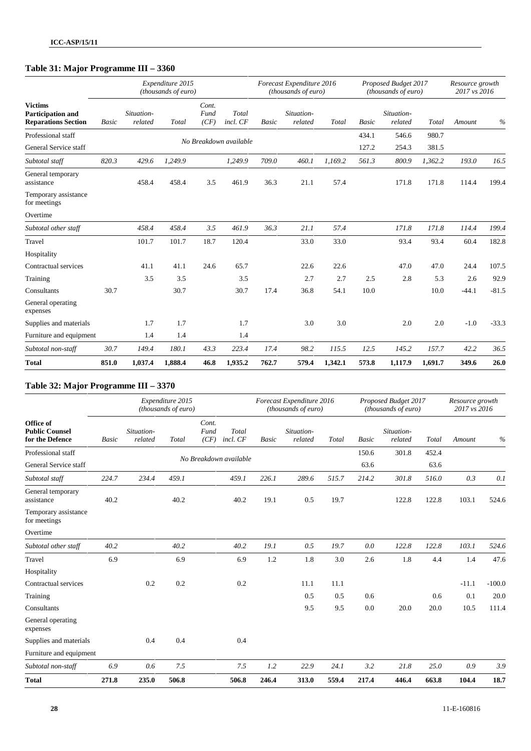## **Table 31: Major Programme III – 3360**

|                                                                          |       |                       | Expenditure 2015<br>(thousands of euro) |                       |                        |              | Forecast Expenditure 2016<br>(thousands of euro) |         |              | Proposed Budget 2017<br>(thousands of euro) |         | Resource growth<br>2017 vs 2016 |         |
|--------------------------------------------------------------------------|-------|-----------------------|-----------------------------------------|-----------------------|------------------------|--------------|--------------------------------------------------|---------|--------------|---------------------------------------------|---------|---------------------------------|---------|
| <b>Victims</b><br><b>Participation and</b><br><b>Reparations Section</b> | Basic | Situation-<br>related | Total                                   | Cont.<br>Fund<br>(CF) | Total<br>incl. CF      | <b>Basic</b> | Situation-<br>related                            | Total   | <b>Basic</b> | Situation-<br>related                       | Total   | Amount                          | $\%$    |
| Professional staff                                                       |       |                       |                                         |                       |                        |              |                                                  |         | 434.1        | 546.6                                       | 980.7   |                                 |         |
| General Service staff                                                    |       |                       |                                         |                       | No Breakdown available |              |                                                  |         | 127.2        | 254.3                                       | 381.5   |                                 |         |
| Subtotal staff                                                           | 820.3 | 429.6                 | 1,249.9                                 |                       | 1,249.9                | 709.0        | 460.1                                            | 1,169.2 | 561.3        | 800.9                                       | 1,362.2 | 193.0                           | 16.5    |
| General temporary<br>assistance                                          |       | 458.4                 | 458.4                                   | 3.5                   | 461.9                  | 36.3         | 21.1                                             | 57.4    |              | 171.8                                       | 171.8   | 114.4                           | 199.4   |
| Temporary assistance<br>for meetings                                     |       |                       |                                         |                       |                        |              |                                                  |         |              |                                             |         |                                 |         |
| Overtime                                                                 |       |                       |                                         |                       |                        |              |                                                  |         |              |                                             |         |                                 |         |
| Subtotal other staff                                                     |       | 458.4                 | 458.4                                   | 3.5                   | 461.9                  | 36.3         | 21.1                                             | 57.4    |              | 171.8                                       | 171.8   | 114.4                           | 199.4   |
| Travel                                                                   |       | 101.7                 | 101.7                                   | 18.7                  | 120.4                  |              | 33.0                                             | 33.0    |              | 93.4                                        | 93.4    | 60.4                            | 182.8   |
| Hospitality                                                              |       |                       |                                         |                       |                        |              |                                                  |         |              |                                             |         |                                 |         |
| Contractual services                                                     |       | 41.1                  | 41.1                                    | 24.6                  | 65.7                   |              | 22.6                                             | 22.6    |              | 47.0                                        | 47.0    | 24.4                            | 107.5   |
| Training                                                                 |       | 3.5                   | 3.5                                     |                       | 3.5                    |              | 2.7                                              | 2.7     | 2.5          | 2.8                                         | 5.3     | 2.6                             | 92.9    |
| Consultants                                                              | 30.7  |                       | 30.7                                    |                       | 30.7                   | 17.4         | 36.8                                             | 54.1    | 10.0         |                                             | 10.0    | $-44.1$                         | $-81.5$ |
| General operating<br>expenses                                            |       |                       |                                         |                       |                        |              |                                                  |         |              |                                             |         |                                 |         |
| Supplies and materials                                                   |       | 1.7                   | 1.7                                     |                       | 1.7                    |              | 3.0                                              | 3.0     |              | 2.0                                         | 2.0     | $-1.0$                          | $-33.3$ |
| Furniture and equipment                                                  |       | 1.4                   | 1.4                                     |                       | 1.4                    |              |                                                  |         |              |                                             |         |                                 |         |
| Subtotal non-staff                                                       | 30.7  | 149.4                 | 180.1                                   | 43.3                  | 223.4                  | 17.4         | 98.2                                             | 115.5   | 12.5         | 145.2                                       | 157.7   | 42.2                            | 36.5    |
| <b>Total</b>                                                             | 851.0 | 1,037.4               | 1,888.4                                 | 46.8                  | 1,935.2                | 762.7        | 579.4                                            | 1,342.1 | 573.8        | 1,117.9                                     | 1,691.7 | 349.6                           | 26.0    |

### **Table 32: Major Programme III – 3370**

|                                                       |              |                       | Expenditure 2015<br>(thousands of euro) |                       |                        |       | Forecast Expenditure 2016<br>(thousands of euro) |       |              | Proposed Budget 2017<br>(thousands of euro) |       | Resource growth<br>2017 vs 2016 |          |
|-------------------------------------------------------|--------------|-----------------------|-----------------------------------------|-----------------------|------------------------|-------|--------------------------------------------------|-------|--------------|---------------------------------------------|-------|---------------------------------|----------|
| Office of<br><b>Public Counsel</b><br>for the Defence | <b>Basic</b> | Situation-<br>related | Total                                   | Cont.<br>Fund<br>(CF) | Total<br>incl. CF      | Basic | Situation-<br>related                            | Total | <b>Basic</b> | Situation-<br>related                       | Total | Amount                          | $\%$     |
| Professional staff                                    |              |                       |                                         |                       |                        |       |                                                  |       | 150.6        | 301.8                                       | 452.4 |                                 |          |
| General Service staff                                 |              |                       |                                         |                       | No Breakdown available |       |                                                  |       | 63.6         |                                             | 63.6  |                                 |          |
| Subtotal staff                                        | 224.7        | 234.4                 | 459.1                                   |                       | 459.1                  | 226.1 | 289.6                                            | 515.7 | 214.2        | 301.8                                       | 516.0 | 0.3                             | 0.1      |
| General temporary<br>assistance                       | 40.2         |                       | 40.2                                    |                       | 40.2                   | 19.1  | 0.5                                              | 19.7  |              | 122.8                                       | 122.8 | 103.1                           | 524.6    |
| Temporary assistance<br>for meetings                  |              |                       |                                         |                       |                        |       |                                                  |       |              |                                             |       |                                 |          |
| Overtime                                              |              |                       |                                         |                       |                        |       |                                                  |       |              |                                             |       |                                 |          |
| Subtotal other staff                                  | 40.2         |                       | 40.2                                    |                       | 40.2                   | 19.1  | 0.5                                              | 19.7  | 0.0          | 122.8                                       | 122.8 | 103.1                           | 524.6    |
| Travel                                                | 6.9          |                       | 6.9                                     |                       | 6.9                    | 1.2   | 1.8                                              | 3.0   | 2.6          | 1.8                                         | 4.4   | 1.4                             | 47.6     |
| Hospitality                                           |              |                       |                                         |                       |                        |       |                                                  |       |              |                                             |       |                                 |          |
| Contractual services                                  |              | 0.2                   | 0.2                                     |                       | 0.2                    |       | 11.1                                             | 11.1  |              |                                             |       | $-11.1$                         | $-100.0$ |
| Training                                              |              |                       |                                         |                       |                        |       | 0.5                                              | 0.5   | 0.6          |                                             | 0.6   | 0.1                             | 20.0     |
| Consultants                                           |              |                       |                                         |                       |                        |       | 9.5                                              | 9.5   | 0.0          | 20.0                                        | 20.0  | 10.5                            | 111.4    |
| General operating<br>expenses                         |              |                       |                                         |                       |                        |       |                                                  |       |              |                                             |       |                                 |          |
| Supplies and materials                                |              | 0.4                   | 0.4                                     |                       | 0.4                    |       |                                                  |       |              |                                             |       |                                 |          |
| Furniture and equipment                               |              |                       |                                         |                       |                        |       |                                                  |       |              |                                             |       |                                 |          |
| Subtotal non-staff                                    | 6.9          | 0.6                   | 7.5                                     |                       | 7.5                    | 1.2   | 22.9                                             | 24.1  | 3.2          | 21.8                                        | 25.0  | 0.9                             | 3.9      |
| <b>Total</b>                                          | 271.8        | 235.0                 | 506.8                                   |                       | 506.8                  | 246.4 | 313.0                                            | 559.4 | 217.4        | 446.4                                       | 663.8 | 104.4                           | 18.7     |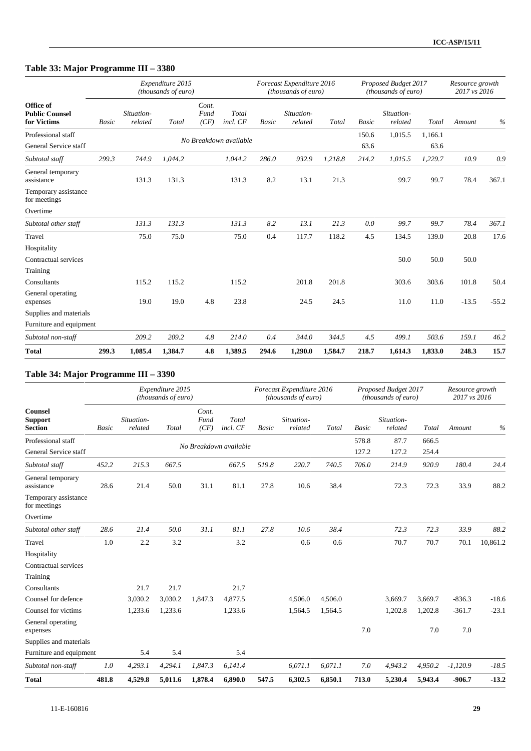## **Table 33: Major Programme III – 3380**

|                                                   |       |                       | Expenditure 2015<br>(thousands of euro) |                       |                        |              | Forecast Expenditure 2016<br>(thousands of euro) |         |               | Proposed Budget 2017<br>(thousands of euro) |                 | Resource growth<br>2017 vs 2016 |         |
|---------------------------------------------------|-------|-----------------------|-----------------------------------------|-----------------------|------------------------|--------------|--------------------------------------------------|---------|---------------|---------------------------------------------|-----------------|---------------------------------|---------|
| Office of<br><b>Public Counsel</b><br>for Victims | Basic | Situation-<br>related | Total                                   | Cont.<br>Fund<br>(CF) | Total<br>incl. CF      | <b>Basic</b> | Situation-<br>related                            | Total   | <b>Basic</b>  | Situation-<br>related                       | Total           | Amount                          | $\%$    |
| Professional staff<br>General Service staff       |       |                       |                                         |                       | No Breakdown available |              |                                                  |         | 150.6<br>63.6 | 1,015.5                                     | 1,166.1<br>63.6 |                                 |         |
| Subtotal staff                                    | 299.3 | 744.9                 | 1,044.2                                 |                       | 1,044.2                | 286.0        | 932.9                                            | 1,218.8 | 214.2         | 1,015.5                                     | 1,229.7         | 10.9                            | 0.9     |
| General temporary<br>assistance                   |       | 131.3                 | 131.3                                   |                       | 131.3                  | 8.2          | 13.1                                             | 21.3    |               | 99.7                                        | 99.7            | 78.4                            | 367.1   |
| Temporary assistance<br>for meetings              |       |                       |                                         |                       |                        |              |                                                  |         |               |                                             |                 |                                 |         |
| Overtime                                          |       |                       |                                         |                       |                        |              |                                                  |         |               |                                             |                 |                                 |         |
| Subtotal other staff                              |       | 131.3                 | 131.3                                   |                       | 131.3                  | 8.2          | 13.1                                             | 21.3    | 0.0           | 99.7                                        | 99.7            | 78.4                            | 367.1   |
| Travel                                            |       | 75.0                  | 75.0                                    |                       | 75.0                   | 0.4          | 117.7                                            | 118.2   | 4.5           | 134.5                                       | 139.0           | 20.8                            | 17.6    |
| Hospitality                                       |       |                       |                                         |                       |                        |              |                                                  |         |               |                                             |                 |                                 |         |
| Contractual services                              |       |                       |                                         |                       |                        |              |                                                  |         |               | 50.0                                        | 50.0            | 50.0                            |         |
| Training                                          |       |                       |                                         |                       |                        |              |                                                  |         |               |                                             |                 |                                 |         |
| Consultants                                       |       | 115.2                 | 115.2                                   |                       | 115.2                  |              | 201.8                                            | 201.8   |               | 303.6                                       | 303.6           | 101.8                           | 50.4    |
| General operating<br>expenses                     |       | 19.0                  | 19.0                                    | 4.8                   | 23.8                   |              | 24.5                                             | 24.5    |               | 11.0                                        | 11.0            | $-13.5$                         | $-55.2$ |
| Supplies and materials                            |       |                       |                                         |                       |                        |              |                                                  |         |               |                                             |                 |                                 |         |
| Furniture and equipment                           |       |                       |                                         |                       |                        |              |                                                  |         |               |                                             |                 |                                 |         |
| Subtotal non-staff                                |       | 209.2                 | 209.2                                   | 4.8                   | 214.0                  | 0.4          | 344.0                                            | 344.5   | 4.5           | 499.1                                       | 503.6           | 159.1                           | 46.2    |
| <b>Total</b>                                      | 299.3 | 1,085.4               | 1,384.7                                 | 4.8                   | 1,389.5                | 294.6        | 1,290.0                                          | 1,584.7 | 218.7         | 1,614.3                                     | 1,833.0         | 248.3                           | 15.7    |

## **Table 34: Major Programme III – 3390**

|                                                    |              |                       | Expenditure 2015<br>(thousands of euro) |                        |                   |              | Forecast Expenditure 2016<br>(thousands of euro) |         |              | Proposed Budget 2017<br>(thousands of euro) |         | Resource growth<br>2017 vs 2016 |          |
|----------------------------------------------------|--------------|-----------------------|-----------------------------------------|------------------------|-------------------|--------------|--------------------------------------------------|---------|--------------|---------------------------------------------|---------|---------------------------------|----------|
| <b>Counsel</b><br><b>Support</b><br><b>Section</b> | <b>Basic</b> | Situation-<br>related | Total                                   | Cont.<br>Fund<br>(CF)  | Total<br>incl. CF | <b>Basic</b> | Situation-<br>related                            | Total   | <b>Basic</b> | Situation-<br>related                       | Total   | Amount                          | $\%$     |
| Professional staff                                 |              |                       |                                         |                        |                   |              |                                                  |         | 578.8        | 87.7                                        | 666.5   |                                 |          |
| General Service staff                              |              |                       |                                         | No Breakdown available |                   |              |                                                  |         | 127.2        | 127.2                                       | 254.4   |                                 |          |
| Subtotal staff                                     | 452.2        | 215.3                 | 667.5                                   |                        | 667.5             | 519.8        | 220.7                                            | 740.5   | 706.0        | 214.9                                       | 920.9   | 180.4                           | 24.4     |
| General temporary<br>assistance                    | 28.6         | 21.4                  | 50.0                                    | 31.1                   | 81.1              | 27.8         | 10.6                                             | 38.4    |              | 72.3                                        | 72.3    | 33.9                            | 88.2     |
| Temporary assistance<br>for meetings               |              |                       |                                         |                        |                   |              |                                                  |         |              |                                             |         |                                 |          |
| Overtime                                           |              |                       |                                         |                        |                   |              |                                                  |         |              |                                             |         |                                 |          |
| Subtotal other staff                               | 28.6         | 21.4                  | 50.0                                    | 31.1                   | 81.1              | 27.8         | 10.6                                             | 38.4    |              | 72.3                                        | 72.3    | 33.9                            | 88.2     |
| Travel                                             | 1.0          | 2.2                   | 3.2                                     |                        | 3.2               |              | 0.6                                              | 0.6     |              | 70.7                                        | 70.7    | 70.1                            | 10,861.2 |
| Hospitality                                        |              |                       |                                         |                        |                   |              |                                                  |         |              |                                             |         |                                 |          |
| Contractual services                               |              |                       |                                         |                        |                   |              |                                                  |         |              |                                             |         |                                 |          |
| Training                                           |              |                       |                                         |                        |                   |              |                                                  |         |              |                                             |         |                                 |          |
| Consultants                                        |              | 21.7                  | 21.7                                    |                        | 21.7              |              |                                                  |         |              |                                             |         |                                 |          |
| Counsel for defence                                |              | 3,030.2               | 3,030.2                                 | 1,847.3                | 4,877.5           |              | 4,506.0                                          | 4,506.0 |              | 3,669.7                                     | 3,669.7 | $-836.3$                        | $-18.6$  |
| Counsel for victims                                |              | 1,233.6               | 1,233.6                                 |                        | 1,233.6           |              | 1,564.5                                          | 1,564.5 |              | 1,202.8                                     | 1,202.8 | $-361.7$                        | $-23.1$  |
| General operating<br>expenses                      |              |                       |                                         |                        |                   |              |                                                  |         | 7.0          |                                             | 7.0     | 7.0                             |          |
| Supplies and materials                             |              |                       |                                         |                        |                   |              |                                                  |         |              |                                             |         |                                 |          |
| Furniture and equipment                            |              | 5.4                   | 5.4                                     |                        | 5.4               |              |                                                  |         |              |                                             |         |                                 |          |
| Subtotal non-staff                                 | 1.0          | 4,293.1               | 4,294.1                                 | 1,847.3                | 6,141.4           |              | 6,071.1                                          | 6,071.1 | 7.0          | 4,943.2                                     | 4,950.2 | $-1,120.9$                      | $-18.5$  |
| <b>Total</b>                                       | 481.8        | 4,529.8               | 5,011.6                                 | 1,878.4                | 6,890.0           | 547.5        | 6,302.5                                          | 6,850.1 | 713.0        | 5,230.4                                     | 5,943.4 | $-906.7$                        | $-13.2$  |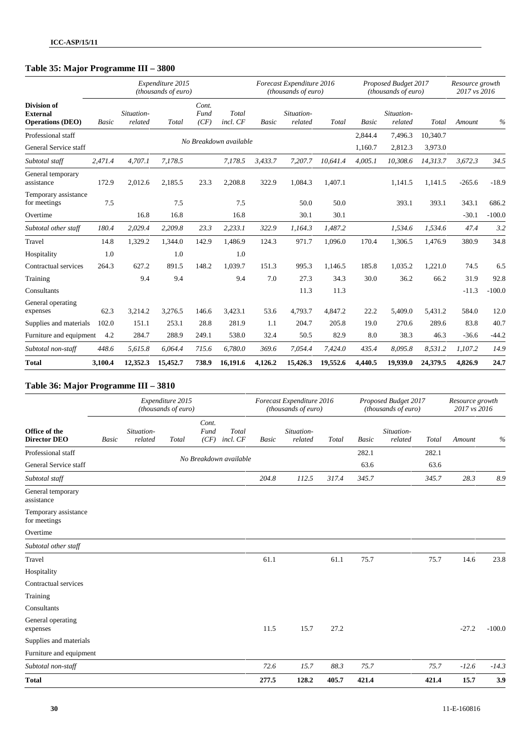## **Table 35: Major Programme III – 3800**

|                                                                  |              |                       | Expenditure 2015<br>(thousands of euro) |                       |                        |              | Forecast Expenditure 2016<br>(thousands of euro) |          |              | Proposed Budget 2017<br>(thousands of euro) |          | Resource growth<br>2017 vs 2016 |          |
|------------------------------------------------------------------|--------------|-----------------------|-----------------------------------------|-----------------------|------------------------|--------------|--------------------------------------------------|----------|--------------|---------------------------------------------|----------|---------------------------------|----------|
| <b>Division of</b><br><b>External</b><br><b>Operations (DEO)</b> | <b>Basic</b> | Situation-<br>related | Total                                   | Cont.<br>Fund<br>(CF) | Total<br>incl. CF      | <b>Basic</b> | Situation-<br>related                            | Total    | <b>Basic</b> | Situation-<br>related                       | Total    | Amount                          | $\%$     |
| Professional staff                                               |              |                       |                                         |                       |                        |              |                                                  |          | 2,844.4      | 7,496.3                                     | 10,340.7 |                                 |          |
| General Service staff                                            |              |                       |                                         |                       | No Breakdown available |              |                                                  |          | 1,160.7      | 2,812.3                                     | 3,973.0  |                                 |          |
| Subtotal staff                                                   | 2,471.4      | 4,707.1               | 7,178.5                                 |                       | 7,178.5                | 3,433.7      | 7,207.7                                          | 10,641.4 | 4,005.1      | 10,308.6                                    | 14,313.7 | 3,672.3                         | 34.5     |
| General temporary<br>assistance                                  | 172.9        | 2,012.6               | 2,185.5                                 | 23.3                  | 2,208.8                | 322.9        | 1.084.3                                          | 1.407.1  |              | 1,141.5                                     | 1.141.5  | $-265.6$                        | $-18.9$  |
| Temporary assistance<br>for meetings                             | 7.5          |                       | 7.5                                     |                       | 7.5                    |              | 50.0                                             | 50.0     |              | 393.1                                       | 393.1    | 343.1                           | 686.2    |
| Overtime                                                         |              | 16.8                  | 16.8                                    |                       | 16.8                   |              | 30.1                                             | 30.1     |              |                                             |          | $-30.1$                         | $-100.0$ |
| Subtotal other staff                                             | 180.4        | 2,029.4               | 2,209.8                                 | 23.3                  | 2,233.1                | 322.9        | 1,164.3                                          | 1,487.2  |              | 1,534.6                                     | 1,534.6  | 47.4                            | 3.2      |
| Travel                                                           | 14.8         | 1,329.2               | 1,344.0                                 | 142.9                 | 1,486.9                | 124.3        | 971.7                                            | 1,096.0  | 170.4        | 1,306.5                                     | 1,476.9  | 380.9                           | 34.8     |
| Hospitality                                                      | 1.0          |                       | 1.0                                     |                       | 1.0                    |              |                                                  |          |              |                                             |          |                                 |          |
| Contractual services                                             | 264.3        | 627.2                 | 891.5                                   | 148.2                 | 1,039.7                | 151.3        | 995.3                                            | 1,146.5  | 185.8        | 1,035.2                                     | 1,221.0  | 74.5                            | 6.5      |
| Training                                                         |              | 9.4                   | 9.4                                     |                       | 9.4                    | 7.0          | 27.3                                             | 34.3     | 30.0         | 36.2                                        | 66.2     | 31.9                            | 92.8     |
| Consultants                                                      |              |                       |                                         |                       |                        |              | 11.3                                             | 11.3     |              |                                             |          | $-11.3$                         | $-100.0$ |
| General operating<br>expenses                                    | 62.3         | 3,214.2               | 3,276.5                                 | 146.6                 | 3,423.1                | 53.6         | 4,793.7                                          | 4,847.2  | 22.2         | 5,409.0                                     | 5,431.2  | 584.0                           | 12.0     |
| Supplies and materials                                           | 102.0        | 151.1                 | 253.1                                   | 28.8                  | 281.9                  | 1.1          | 204.7                                            | 205.8    | 19.0         | 270.6                                       | 289.6    | 83.8                            | 40.7     |
| Furniture and equipment                                          | 4.2          | 284.7                 | 288.9                                   | 249.1                 | 538.0                  | 32.4         | 50.5                                             | 82.9     | 8.0          | 38.3                                        | 46.3     | $-36.6$                         | $-44.2$  |
| Subtotal non-staff                                               | 448.6        | 5,615.8               | 6,064.4                                 | 715.6                 | 6,780.0                | 369.6        | 7,054.4                                          | 7,424.0  | 435.4        | 8,095.8                                     | 8,531.2  | 1,107.2                         | 14.9     |
| <b>Total</b>                                                     | 3,100.4      | 12,352.3              | 15,452.7                                | 738.9                 | 16,191.6               | 4,126.2      | 15,426.3                                         | 19,552.6 | 4,440.5      | 19,939.0                                    | 24,379.5 | 4,826.9                         | 24.7     |

### **Table 36: Major Programme III – 3810**

|                                      |              |                       | Expenditure 2015<br>(thousands of euro) |                       |                        |              | Forecast Expenditure 2016<br>(thousands of euro) |       |              | Proposed Budget 2017<br>(thousands of euro) |       | Resource growth<br>2017 vs 2016 |          |
|--------------------------------------|--------------|-----------------------|-----------------------------------------|-----------------------|------------------------|--------------|--------------------------------------------------|-------|--------------|---------------------------------------------|-------|---------------------------------|----------|
| Office of the<br><b>Director DEO</b> | <b>Basic</b> | Situation-<br>related | Total                                   | Cont.<br>Fund<br>(CF) | Total<br>incl. CF      | <b>Basic</b> | Situation-<br>related                            | Total | <b>Basic</b> | Situation-<br>related                       | Total | Amount                          | $\%$     |
| Professional staff                   |              |                       |                                         |                       |                        |              |                                                  |       | 282.1        |                                             | 282.1 |                                 |          |
| General Service staff                |              |                       |                                         |                       | No Breakdown available |              |                                                  |       | 63.6         |                                             | 63.6  |                                 |          |
| Subtotal staff                       |              |                       |                                         |                       |                        | 204.8        | 112.5                                            | 317.4 | 345.7        |                                             | 345.7 | 28.3                            | 8.9      |
| General temporary<br>assistance      |              |                       |                                         |                       |                        |              |                                                  |       |              |                                             |       |                                 |          |
| Temporary assistance<br>for meetings |              |                       |                                         |                       |                        |              |                                                  |       |              |                                             |       |                                 |          |
| Overtime                             |              |                       |                                         |                       |                        |              |                                                  |       |              |                                             |       |                                 |          |
| Subtotal other staff                 |              |                       |                                         |                       |                        |              |                                                  |       |              |                                             |       |                                 |          |
| Travel                               |              |                       |                                         |                       |                        | 61.1         |                                                  | 61.1  | 75.7         |                                             | 75.7  | 14.6                            | 23.8     |
| Hospitality                          |              |                       |                                         |                       |                        |              |                                                  |       |              |                                             |       |                                 |          |
| Contractual services                 |              |                       |                                         |                       |                        |              |                                                  |       |              |                                             |       |                                 |          |
| Training                             |              |                       |                                         |                       |                        |              |                                                  |       |              |                                             |       |                                 |          |
| Consultants                          |              |                       |                                         |                       |                        |              |                                                  |       |              |                                             |       |                                 |          |
| General operating<br>expenses        |              |                       |                                         |                       |                        | 11.5         | 15.7                                             | 27.2  |              |                                             |       | $-27.2$                         | $-100.0$ |
| Supplies and materials               |              |                       |                                         |                       |                        |              |                                                  |       |              |                                             |       |                                 |          |
| Furniture and equipment              |              |                       |                                         |                       |                        |              |                                                  |       |              |                                             |       |                                 |          |
| Subtotal non-staff                   |              |                       |                                         |                       |                        | 72.6         | 15.7                                             | 88.3  | 75.7         |                                             | 75.7  | $-12.6$                         | $-14.3$  |
| <b>Total</b>                         |              |                       |                                         |                       |                        | 277.5        | 128.2                                            | 405.7 | 421.4        |                                             | 421.4 | 15.7                            | 3.9      |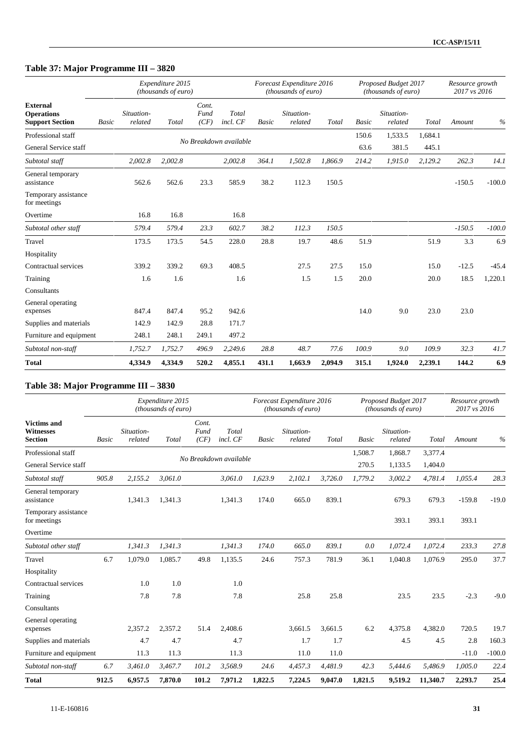## **Table 37: Major Programme III – 3820**

|                                                                |       |                       | Expenditure 2015<br>(thousands of euro) |                       |                        |              | Forecast Expenditure 2016<br>(thousands of euro) |         |              | Proposed Budget 2017<br>(thousands of euro) |         | Resource growth<br>2017 vs 2016 |          |
|----------------------------------------------------------------|-------|-----------------------|-----------------------------------------|-----------------------|------------------------|--------------|--------------------------------------------------|---------|--------------|---------------------------------------------|---------|---------------------------------|----------|
| <b>External</b><br><b>Operations</b><br><b>Support Section</b> | Basic | Situation-<br>related | Total                                   | Cont.<br>Fund<br>(CF) | Total<br>incl. CF      | <b>Basic</b> | Situation-<br>related                            | Total   | <b>Basic</b> | Situation-<br>related                       | Total   | Amount                          | $\%$     |
| Professional staff                                             |       |                       |                                         |                       |                        |              |                                                  |         | 150.6        | 1,533.5                                     | 1,684.1 |                                 |          |
| General Service staff                                          |       |                       |                                         |                       | No Breakdown available |              |                                                  |         | 63.6         | 381.5                                       | 445.1   |                                 |          |
| Subtotal staff                                                 |       | 2,002.8               | 2,002.8                                 |                       | 2,002.8                | 364.1        | 1,502.8                                          | 1,866.9 | 214.2        | 1,915.0                                     | 2,129.2 | 262.3                           | 14.1     |
| General temporary<br>assistance                                |       | 562.6                 | 562.6                                   | 23.3                  | 585.9                  | 38.2         | 112.3                                            | 150.5   |              |                                             |         | $-150.5$                        | $-100.0$ |
| Temporary assistance<br>for meetings                           |       |                       |                                         |                       |                        |              |                                                  |         |              |                                             |         |                                 |          |
| Overtime                                                       |       | 16.8                  | 16.8                                    |                       | 16.8                   |              |                                                  |         |              |                                             |         |                                 |          |
| Subtotal other staff                                           |       | 579.4                 | 579.4                                   | 23.3                  | 602.7                  | 38.2         | 112.3                                            | 150.5   |              |                                             |         | $-150.5$                        | $-100.0$ |
| Travel                                                         |       | 173.5                 | 173.5                                   | 54.5                  | 228.0                  | 28.8         | 19.7                                             | 48.6    | 51.9         |                                             | 51.9    | 3.3                             | 6.9      |
| Hospitality                                                    |       |                       |                                         |                       |                        |              |                                                  |         |              |                                             |         |                                 |          |
| Contractual services                                           |       | 339.2                 | 339.2                                   | 69.3                  | 408.5                  |              | 27.5                                             | 27.5    | 15.0         |                                             | 15.0    | $-12.5$                         | $-45.4$  |
| Training                                                       |       | 1.6                   | 1.6                                     |                       | 1.6                    |              | 1.5                                              | 1.5     | 20.0         |                                             | 20.0    | 18.5                            | 1,220.1  |
| Consultants                                                    |       |                       |                                         |                       |                        |              |                                                  |         |              |                                             |         |                                 |          |
| General operating<br>expenses                                  |       | 847.4                 | 847.4                                   | 95.2                  | 942.6                  |              |                                                  |         | 14.0         | 9.0                                         | 23.0    | 23.0                            |          |
| Supplies and materials                                         |       | 142.9                 | 142.9                                   | 28.8                  | 171.7                  |              |                                                  |         |              |                                             |         |                                 |          |
| Furniture and equipment                                        |       | 248.1                 | 248.1                                   | 249.1                 | 497.2                  |              |                                                  |         |              |                                             |         |                                 |          |
| Subtotal non-staff                                             |       | 1,752.7               | 1,752.7                                 | 496.9                 | 2,249.6                | 28.8         | 48.7                                             | 77.6    | 100.9        | 9.0                                         | 109.9   | 32.3                            | 41.7     |
| <b>Total</b>                                                   |       | 4,334.9               | 4,334.9                                 | 520.2                 | 4,855.1                | 431.1        | 1,663.9                                          | 2,094.9 | 315.1        | 1,924.0                                     | 2,239.1 | 144.2                           | 6.9      |

### **Table 38: Major Programme III – 3830**

|                                                          |       |                       | Expenditure 2015<br>(thousands of euro) |                       |                        |         | Forecast Expenditure 2016<br>(thousands of euro) |         |              | Proposed Budget 2017<br>(thousands of euro) |          | Resource growth<br>2017 vs 2016 |          |
|----------------------------------------------------------|-------|-----------------------|-----------------------------------------|-----------------------|------------------------|---------|--------------------------------------------------|---------|--------------|---------------------------------------------|----------|---------------------------------|----------|
| <b>Victims and</b><br><b>Witnesses</b><br><b>Section</b> | Basic | Situation-<br>related | Total                                   | Cont.<br>Fund<br>(CF) | Total<br>incl. CF      | Basic   | Situation-<br>related                            | Total   | <b>Basic</b> | Situation-<br>related                       | Total    | Amount                          | $\%$     |
| Professional staff                                       |       |                       |                                         |                       |                        |         |                                                  |         | 1,508.7      | 1,868.7                                     | 3,377.4  |                                 |          |
| General Service staff                                    |       |                       |                                         |                       | No Breakdown available |         |                                                  |         | 270.5        | 1,133.5                                     | 1,404.0  |                                 |          |
| Subtotal staff                                           | 905.8 | 2,155.2               | 3,061.0                                 |                       | 3,061.0                | 1,623.9 | 2,102.1                                          | 3,726.0 | 1,779.2      | 3,002.2                                     | 4,781.4  | 1,055.4                         | 28.3     |
| General temporary<br>assistance                          |       | 1,341.3               | 1,341.3                                 |                       | 1,341.3                | 174.0   | 665.0                                            | 839.1   |              | 679.3                                       | 679.3    | $-159.8$                        | $-19.0$  |
| Temporary assistance<br>for meetings                     |       |                       |                                         |                       |                        |         |                                                  |         |              | 393.1                                       | 393.1    | 393.1                           |          |
| Overtime                                                 |       |                       |                                         |                       |                        |         |                                                  |         |              |                                             |          |                                 |          |
| Subtotal other staff                                     |       | 1,341.3               | 1,341.3                                 |                       | 1,341.3                | 174.0   | 665.0                                            | 839.1   | 0.0          | 1,072.4                                     | 1,072.4  | 233.3                           | 27.8     |
| Travel                                                   | 6.7   | 1,079.0               | 1,085.7                                 | 49.8                  | 1,135.5                | 24.6    | 757.3                                            | 781.9   | 36.1         | 1,040.8                                     | 1,076.9  | 295.0                           | 37.7     |
| Hospitality                                              |       |                       |                                         |                       |                        |         |                                                  |         |              |                                             |          |                                 |          |
| Contractual services                                     |       | 1.0                   | 1.0                                     |                       | 1.0                    |         |                                                  |         |              |                                             |          |                                 |          |
| Training                                                 |       | 7.8                   | 7.8                                     |                       | 7.8                    |         | 25.8                                             | 25.8    |              | 23.5                                        | 23.5     | $-2.3$                          | $-9.0$   |
| Consultants                                              |       |                       |                                         |                       |                        |         |                                                  |         |              |                                             |          |                                 |          |
| General operating<br>expenses                            |       | 2,357.2               | 2,357.2                                 | 51.4                  | 2.408.6                |         | 3,661.5                                          | 3.661.5 | 6.2          | 4,375.8                                     | 4,382.0  | 720.5                           | 19.7     |
| Supplies and materials                                   |       | 4.7                   | 4.7                                     |                       | 4.7                    |         | 1.7                                              | 1.7     |              | 4.5                                         | 4.5      | 2.8                             | 160.3    |
| Furniture and equipment                                  |       | 11.3                  | 11.3                                    |                       | 11.3                   |         | 11.0                                             | 11.0    |              |                                             |          | $-11.0$                         | $-100.0$ |
| Subtotal non-staff                                       | 6.7   | 3,461.0               | 3,467.7                                 | 101.2                 | 3,568.9                | 24.6    | 4,457.3                                          | 4,481.9 | 42.3         | 5,444.6                                     | 5,486.9  | 1,005.0                         | 22.4     |
| <b>Total</b>                                             | 912.5 | 6,957.5               | 7,870.0                                 | 101.2                 | 7,971.2                | 1,822.5 | 7,224.5                                          | 9.047.0 | 1.821.5      | 9,519.2                                     | 11,340.7 | 2,293.7                         | 25.4     |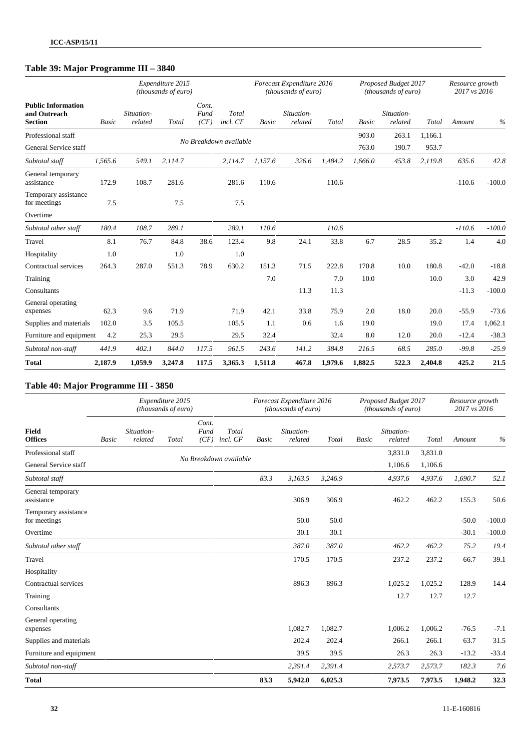## **Table 39: Major Programme III – 3840**

|                                                             |         |                       | Expenditure 2015<br>(thousands of euro) |                       |                        |         | Forecast Expenditure 2016<br>(thousands of euro) |         |         | Proposed Budget 2017<br>( <i>thousands of euro</i> ) |         | Resource growth<br>2017 vs 2016 |          |
|-------------------------------------------------------------|---------|-----------------------|-----------------------------------------|-----------------------|------------------------|---------|--------------------------------------------------|---------|---------|------------------------------------------------------|---------|---------------------------------|----------|
| <b>Public Information</b><br>and Outreach<br><b>Section</b> | Basic   | Situation-<br>related | Total                                   | Cont.<br>Fund<br>(CF) | Total<br>incl. CF      | Basic   | Situation-<br>related                            | Total   | Basic   | Situation-<br>related                                | Total   | Amount                          | $\%$     |
| Professional staff                                          |         |                       |                                         |                       |                        |         |                                                  |         | 903.0   | 263.1                                                | 1,166.1 |                                 |          |
| General Service staff                                       |         |                       |                                         |                       | No Breakdown available |         |                                                  |         | 763.0   | 190.7                                                | 953.7   |                                 |          |
| Subtotal staff                                              | 1,565.6 | 549.1                 | 2,114.7                                 |                       | 2,114.7                | 1,157.6 | 326.6                                            | 1,484.2 | 1,666.0 | 453.8                                                | 2,119.8 | 635.6                           | 42.8     |
| General temporary<br>assistance                             | 172.9   | 108.7                 | 281.6                                   |                       | 281.6                  | 110.6   |                                                  | 110.6   |         |                                                      |         | $-110.6$                        | $-100.0$ |
| Temporary assistance<br>for meetings                        | 7.5     |                       | 7.5                                     |                       | 7.5                    |         |                                                  |         |         |                                                      |         |                                 |          |
| Overtime                                                    |         |                       |                                         |                       |                        |         |                                                  |         |         |                                                      |         |                                 |          |
| Subtotal other staff                                        | 180.4   | 108.7                 | 289.1                                   |                       | 289.1                  | 110.6   |                                                  | 110.6   |         |                                                      |         | $-110.6$                        | $-100.0$ |
| Travel                                                      | 8.1     | 76.7                  | 84.8                                    | 38.6                  | 123.4                  | 9.8     | 24.1                                             | 33.8    | 6.7     | 28.5                                                 | 35.2    | 1.4                             | 4.0      |
| Hospitality                                                 | 1.0     |                       | 1.0                                     |                       | 1.0                    |         |                                                  |         |         |                                                      |         |                                 |          |
| Contractual services                                        | 264.3   | 287.0                 | 551.3                                   | 78.9                  | 630.2                  | 151.3   | 71.5                                             | 222.8   | 170.8   | 10.0                                                 | 180.8   | $-42.0$                         | $-18.8$  |
| Training                                                    |         |                       |                                         |                       |                        | 7.0     |                                                  | 7.0     | 10.0    |                                                      | 10.0    | 3.0                             | 42.9     |
| Consultants                                                 |         |                       |                                         |                       |                        |         | 11.3                                             | 11.3    |         |                                                      |         | $-11.3$                         | $-100.0$ |
| General operating<br>expenses                               | 62.3    | 9.6                   | 71.9                                    |                       | 71.9                   | 42.1    | 33.8                                             | 75.9    | 2.0     | 18.0                                                 | 20.0    | $-55.9$                         | $-73.6$  |
| Supplies and materials                                      | 102.0   | 3.5                   | 105.5                                   |                       | 105.5                  | 1.1     | 0.6                                              | 1.6     | 19.0    |                                                      | 19.0    | 17.4                            | 1,062.1  |
| Furniture and equipment                                     | 4.2     | 25.3                  | 29.5                                    |                       | 29.5                   | 32.4    |                                                  | 32.4    | 8.0     | 12.0                                                 | 20.0    | $-12.4$                         | $-38.3$  |
| Subtotal non-staff                                          | 441.9   | 402.1                 | 844.0                                   | 117.5                 | 961.5                  | 243.6   | 141.2                                            | 384.8   | 216.5   | 68.5                                                 | 285.0   | $-99.8$                         | $-25.9$  |
| <b>Total</b>                                                | 2,187.9 | 1,059.9               | 3,247.8                                 | 117.5                 | 3,365.3                | 1,511.8 | 467.8                                            | 1,979.6 | 1,882.5 | 522.3                                                | 2,404.8 | 425.2                           | 21.5     |

### **Table 40: Major Programme III - 3850**

|                                      |       |                       | Expenditure 2015<br>(thousands of euro) |                       |                        |              | Forecast Expenditure 2016<br>(thousands of euro) |         |       | Proposed Budget 2017<br>(thousands of euro) |         | Resource growth<br>2017 vs 2016 |          |
|--------------------------------------|-------|-----------------------|-----------------------------------------|-----------------------|------------------------|--------------|--------------------------------------------------|---------|-------|---------------------------------------------|---------|---------------------------------|----------|
| <b>Field</b><br><b>Offices</b>       | Basic | Situation-<br>related | Total                                   | Cont.<br>Fund<br>(CF) | Total<br>incl. CF      | <b>Basic</b> | Situation-<br>related                            | Total   | Basic | Situation-<br>related                       | Total   | Amount                          | $\%$     |
| Professional staff                   |       |                       |                                         |                       | No Breakdown available |              |                                                  |         |       | 3,831.0                                     | 3,831.0 |                                 |          |
| General Service staff                |       |                       |                                         |                       |                        |              |                                                  |         |       | 1,106.6                                     | 1,106.6 |                                 |          |
| Subtotal staff                       |       |                       |                                         |                       |                        | 83.3         | 3,163.5                                          | 3,246.9 |       | 4,937.6                                     | 4,937.6 | 1,690.7                         | 52.1     |
| General temporary<br>assistance      |       |                       |                                         |                       |                        |              | 306.9                                            | 306.9   |       | 462.2                                       | 462.2   | 155.3                           | 50.6     |
| Temporary assistance<br>for meetings |       |                       |                                         |                       |                        |              | 50.0                                             | 50.0    |       |                                             |         | $-50.0$                         | $-100.0$ |
| Overtime                             |       |                       |                                         |                       |                        |              | 30.1                                             | 30.1    |       |                                             |         | $-30.1$                         | $-100.0$ |
| Subtotal other staff                 |       |                       |                                         |                       |                        |              | 387.0                                            | 387.0   |       | 462.2                                       | 462.2   | 75.2                            | 19.4     |
| Travel                               |       |                       |                                         |                       |                        |              | 170.5                                            | 170.5   |       | 237.2                                       | 237.2   | 66.7                            | 39.1     |
| Hospitality                          |       |                       |                                         |                       |                        |              |                                                  |         |       |                                             |         |                                 |          |
| Contractual services                 |       |                       |                                         |                       |                        |              | 896.3                                            | 896.3   |       | 1,025.2                                     | 1,025.2 | 128.9                           | 14.4     |
| Training                             |       |                       |                                         |                       |                        |              |                                                  |         |       | 12.7                                        | 12.7    | 12.7                            |          |
| Consultants                          |       |                       |                                         |                       |                        |              |                                                  |         |       |                                             |         |                                 |          |
| General operating<br>expenses        |       |                       |                                         |                       |                        |              | 1,082.7                                          | 1,082.7 |       | 1,006.2                                     | 1,006.2 | $-76.5$                         | $-7.1$   |
| Supplies and materials               |       |                       |                                         |                       |                        |              | 202.4                                            | 202.4   |       | 266.1                                       | 266.1   | 63.7                            | 31.5     |
| Furniture and equipment              |       |                       |                                         |                       |                        |              | 39.5                                             | 39.5    |       | 26.3                                        | 26.3    | $-13.2$                         | $-33.4$  |
| Subtotal non-staff                   |       |                       |                                         |                       |                        |              | 2,391.4                                          | 2,391.4 |       | 2,573.7                                     | 2,573.7 | 182.3                           | 7.6      |
| <b>Total</b>                         |       |                       |                                         |                       |                        | 83.3         | 5,942.0                                          | 6,025.3 |       | 7,973.5                                     | 7,973.5 | 1,948.2                         | 32.3     |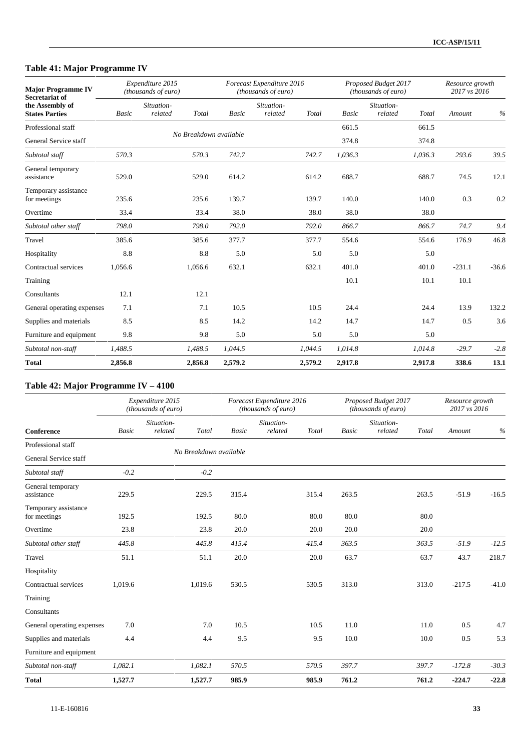## **Table 41: Major Programme IV**

| <b>Major Programme IV</b><br><b>Secretariat of</b> |         | Expenditure 2015<br>(thousands of euro) |                        | Forecast Expenditure 2016<br>(thousands of euro) |         |         | Proposed Budget 2017<br>(thousands of euro) |         | Resource growth<br>2017 vs 2016 |         |
|----------------------------------------------------|---------|-----------------------------------------|------------------------|--------------------------------------------------|---------|---------|---------------------------------------------|---------|---------------------------------|---------|
| the Assembly of<br><b>States Parties</b>           | Basic   | Situation-<br>related<br>Total          | <b>Basic</b>           | Situation-<br>related                            | Total   | Basic   | Situation-<br>related                       | Total   | Amount                          | $\%$    |
| Professional staff                                 |         |                                         | No Breakdown available |                                                  |         | 661.5   |                                             | 661.5   |                                 |         |
| General Service staff                              |         |                                         |                        |                                                  |         | 374.8   |                                             | 374.8   |                                 |         |
| Subtotal staff                                     | 570.3   | 570.3                                   | 742.7                  |                                                  | 742.7   | 1,036.3 |                                             | 1,036.3 | 293.6                           | 39.5    |
| General temporary<br>assistance                    | 529.0   | 529.0                                   | 614.2                  |                                                  | 614.2   | 688.7   |                                             | 688.7   | 74.5                            | 12.1    |
| Temporary assistance<br>for meetings               | 235.6   | 235.6                                   | 139.7                  |                                                  | 139.7   | 140.0   |                                             | 140.0   | 0.3                             | 0.2     |
| Overtime                                           | 33.4    | 33.4                                    | 38.0                   |                                                  | 38.0    | 38.0    |                                             | 38.0    |                                 |         |
| Subtotal other staff                               | 798.0   | 798.0                                   | 792.0                  |                                                  | 792.0   | 866.7   |                                             | 866.7   | 74.7                            | 9.4     |
| Travel                                             | 385.6   | 385.6                                   | 377.7                  |                                                  | 377.7   | 554.6   |                                             | 554.6   | 176.9                           | 46.8    |
| Hospitality                                        | 8.8     |                                         | 8.8<br>5.0             |                                                  | 5.0     | 5.0     |                                             | 5.0     |                                 |         |
| Contractual services                               | 1.056.6 | 1,056.6                                 | 632.1                  |                                                  | 632.1   | 401.0   |                                             | 401.0   | $-231.1$                        | $-36.6$ |
| Training                                           |         |                                         |                        |                                                  |         | 10.1    |                                             | 10.1    | 10.1                            |         |
| Consultants                                        | 12.1    | 12.1                                    |                        |                                                  |         |         |                                             |         |                                 |         |
| General operating expenses                         | 7.1     |                                         | 10.5<br>7.1            |                                                  | 10.5    | 24.4    |                                             | 24.4    | 13.9                            | 132.2   |
| Supplies and materials                             | 8.5     |                                         | 8.5<br>14.2            |                                                  | 14.2    | 14.7    |                                             | 14.7    | 0.5                             | 3.6     |
| Furniture and equipment                            | 9.8     |                                         | 9.8<br>5.0             |                                                  | 5.0     | 5.0     |                                             | 5.0     |                                 |         |
| Subtotal non-staff                                 | 1,488.5 | 1,488.5                                 | 1,044.5                |                                                  | 1,044.5 | 1,014.8 |                                             | 1,014.8 | $-29.7$                         | $-2.8$  |
| <b>Total</b>                                       | 2,856.8 | 2,856.8                                 | 2,579.2                |                                                  | 2,579.2 | 2,917.8 |                                             | 2,917.8 | 338.6                           | 13.1    |

### **Table 42: Major Programme IV – 4100**

|                                      |         | Expenditure 2015<br>(thousands of euro) |              | Forecast Expenditure 2016<br>(thousands of euro) |       |       | Proposed Budget 2017<br>(thousands of euro) |       | Resource growth<br>2017 vs 2016 |         |
|--------------------------------------|---------|-----------------------------------------|--------------|--------------------------------------------------|-------|-------|---------------------------------------------|-------|---------------------------------|---------|
| Conference                           | Basic   | Situation-<br>related<br>Total          | <b>Basic</b> | Situation-<br>related                            | Total | Basic | Situation-<br>related                       | Total | Amount                          | $\%$    |
| Professional staff                   |         |                                         |              |                                                  |       |       |                                             |       |                                 |         |
| General Service staff                |         | No Breakdown available                  |              |                                                  |       |       |                                             |       |                                 |         |
| Subtotal staff                       | $-0.2$  | $-0.2$                                  |              |                                                  |       |       |                                             |       |                                 |         |
| General temporary<br>assistance      | 229.5   | 229.5                                   | 315.4        |                                                  | 315.4 | 263.5 |                                             | 263.5 | $-51.9$                         | $-16.5$ |
| Temporary assistance<br>for meetings | 192.5   | 192.5                                   | 80.0         |                                                  | 80.0  | 80.0  |                                             | 80.0  |                                 |         |
| Overtime                             | 23.8    | 23.8                                    | 20.0         |                                                  | 20.0  | 20.0  |                                             | 20.0  |                                 |         |
| Subtotal other staff                 | 445.8   | 445.8                                   | 415.4        |                                                  | 415.4 | 363.5 |                                             | 363.5 | $-51.9$                         | $-12.5$ |
| Travel                               | 51.1    | 51.1                                    | 20.0         |                                                  | 20.0  | 63.7  |                                             | 63.7  | 43.7                            | 218.7   |
| Hospitality                          |         |                                         |              |                                                  |       |       |                                             |       |                                 |         |
| Contractual services                 | 1,019.6 | 1,019.6                                 | 530.5        |                                                  | 530.5 | 313.0 |                                             | 313.0 | $-217.5$                        | $-41.0$ |
| Training                             |         |                                         |              |                                                  |       |       |                                             |       |                                 |         |
| Consultants                          |         |                                         |              |                                                  |       |       |                                             |       |                                 |         |
| General operating expenses           | 7.0     | 7.0                                     | 10.5         |                                                  | 10.5  | 11.0  |                                             | 11.0  | 0.5                             | 4.7     |
| Supplies and materials               | 4.4     | 4.4                                     | 9.5          |                                                  | 9.5   | 10.0  |                                             | 10.0  | 0.5                             | 5.3     |
| Furniture and equipment              |         |                                         |              |                                                  |       |       |                                             |       |                                 |         |
| Subtotal non-staff                   | 1,082.1 | 1,082.1                                 | 570.5        |                                                  | 570.5 | 397.7 |                                             | 397.7 | $-172.8$                        | $-30.3$ |
| <b>Total</b>                         | 1,527.7 | 1,527.7                                 | 985.9        |                                                  | 985.9 | 761.2 |                                             | 761.2 | $-224.7$                        | $-22.8$ |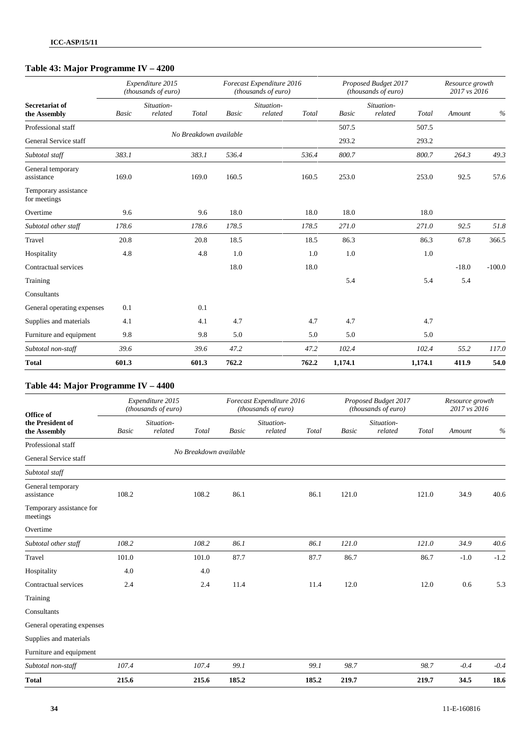## **Table 43: Major Programme IV – 4200**

|                                      |       | Expenditure 2015<br>(thousands of euro) |                        |              | Forecast Expenditure 2016<br>(thousands of euro) |       |              | Proposed Budget 2017<br>(thousands of euro) |         | Resource growth<br>2017 vs 2016 |          |
|--------------------------------------|-------|-----------------------------------------|------------------------|--------------|--------------------------------------------------|-------|--------------|---------------------------------------------|---------|---------------------------------|----------|
| Secretariat of<br>the Assembly       | Basic | Situation-<br>related                   | Total                  | <b>Basic</b> | Situation-<br>related                            | Total | <b>Basic</b> | Situation-<br>related                       | Total   | Amount                          | $\%$     |
| Professional staff                   |       |                                         |                        |              |                                                  |       | 507.5        |                                             | 507.5   |                                 |          |
| General Service staff                |       |                                         | No Breakdown available |              |                                                  |       | 293.2        |                                             | 293.2   |                                 |          |
| Subtotal staff                       | 383.1 |                                         | 383.1                  | 536.4        |                                                  | 536.4 | 800.7        |                                             | 800.7   | 264.3                           | 49.3     |
| General temporary<br>assistance      | 169.0 |                                         | 169.0                  | 160.5        |                                                  | 160.5 | 253.0        |                                             | 253.0   | 92.5                            | 57.6     |
| Temporary assistance<br>for meetings |       |                                         |                        |              |                                                  |       |              |                                             |         |                                 |          |
| Overtime                             | 9.6   |                                         | 9.6                    | 18.0         |                                                  | 18.0  | 18.0         |                                             | 18.0    |                                 |          |
| Subtotal other staff                 | 178.6 |                                         | 178.6                  | 178.5        |                                                  | 178.5 | 271.0        |                                             | 271.0   | 92.5                            | 51.8     |
| Travel                               | 20.8  |                                         | 20.8                   | 18.5         |                                                  | 18.5  | 86.3         |                                             | 86.3    | 67.8                            | 366.5    |
| Hospitality                          | 4.8   |                                         | 4.8                    | 1.0          |                                                  | 1.0   | 1.0          |                                             | 1.0     |                                 |          |
| Contractual services                 |       |                                         |                        | 18.0         |                                                  | 18.0  |              |                                             |         | $-18.0$                         | $-100.0$ |
| Training                             |       |                                         |                        |              |                                                  |       | 5.4          |                                             | 5.4     | 5.4                             |          |
| Consultants                          |       |                                         |                        |              |                                                  |       |              |                                             |         |                                 |          |
| General operating expenses           | 0.1   |                                         | 0.1                    |              |                                                  |       |              |                                             |         |                                 |          |
| Supplies and materials               | 4.1   |                                         | 4.1                    | 4.7          |                                                  | 4.7   | 4.7          |                                             | 4.7     |                                 |          |
| Furniture and equipment              | 9.8   |                                         | 9.8                    | 5.0          |                                                  | 5.0   | 5.0          |                                             | 5.0     |                                 |          |
| Subtotal non-staff                   | 39.6  |                                         | 39.6                   | 47.2         |                                                  | 47.2  | 102.4        |                                             | 102.4   | 55.2                            | 117.0    |
| <b>Total</b>                         | 601.3 |                                         | 601.3                  | 762.2        |                                                  | 762.2 | 1,174.1      |                                             | 1,174.1 | 411.9                           | 54.0     |

### **Table 44: Major Programme IV – 4400**

| Office of                            |       | Expenditure 2015<br>(thousands of euro) |       |                        | Forecast Expenditure 2016<br>(thousands of euro) |       |              | Proposed Budget 2017<br>(thousands of euro) |       | Resource growth<br>2017 vs 2016 |        |
|--------------------------------------|-------|-----------------------------------------|-------|------------------------|--------------------------------------------------|-------|--------------|---------------------------------------------|-------|---------------------------------|--------|
| the President of<br>the Assembly     | Basic | Situation-<br>related                   | Total | <b>Basic</b>           | Situation-<br>related                            | Total | <b>Basic</b> | Situation-<br>related                       | Total | Amount                          | $\%$   |
| Professional staff                   |       |                                         |       | No Breakdown available |                                                  |       |              |                                             |       |                                 |        |
| General Service staff                |       |                                         |       |                        |                                                  |       |              |                                             |       |                                 |        |
| Subtotal staff                       |       |                                         |       |                        |                                                  |       |              |                                             |       |                                 |        |
| General temporary<br>assistance      | 108.2 |                                         | 108.2 | 86.1                   |                                                  | 86.1  | 121.0        |                                             | 121.0 | 34.9                            | 40.6   |
| Temporary assistance for<br>meetings |       |                                         |       |                        |                                                  |       |              |                                             |       |                                 |        |
| Overtime                             |       |                                         |       |                        |                                                  |       |              |                                             |       |                                 |        |
| Subtotal other staff                 | 108.2 |                                         | 108.2 | 86.1                   |                                                  | 86.1  | 121.0        |                                             | 121.0 | 34.9                            | 40.6   |
| Travel                               | 101.0 |                                         | 101.0 | 87.7                   |                                                  | 87.7  | 86.7         |                                             | 86.7  | $-1.0$                          | $-1.2$ |
| Hospitality                          | 4.0   |                                         | 4.0   |                        |                                                  |       |              |                                             |       |                                 |        |
| Contractual services                 | 2.4   |                                         | 2.4   | 11.4                   |                                                  | 11.4  | 12.0         |                                             | 12.0  | 0.6                             | 5.3    |
| Training                             |       |                                         |       |                        |                                                  |       |              |                                             |       |                                 |        |
| Consultants                          |       |                                         |       |                        |                                                  |       |              |                                             |       |                                 |        |
| General operating expenses           |       |                                         |       |                        |                                                  |       |              |                                             |       |                                 |        |
| Supplies and materials               |       |                                         |       |                        |                                                  |       |              |                                             |       |                                 |        |
| Furniture and equipment              |       |                                         |       |                        |                                                  |       |              |                                             |       |                                 |        |
| Subtotal non-staff                   | 107.4 |                                         | 107.4 | 99.1                   |                                                  | 99.1  | 98.7         |                                             | 98.7  | $-0.4$                          | $-0.4$ |
| <b>Total</b>                         | 215.6 |                                         | 215.6 | 185.2                  |                                                  | 185.2 | 219.7        |                                             | 219.7 | 34.5                            | 18.6   |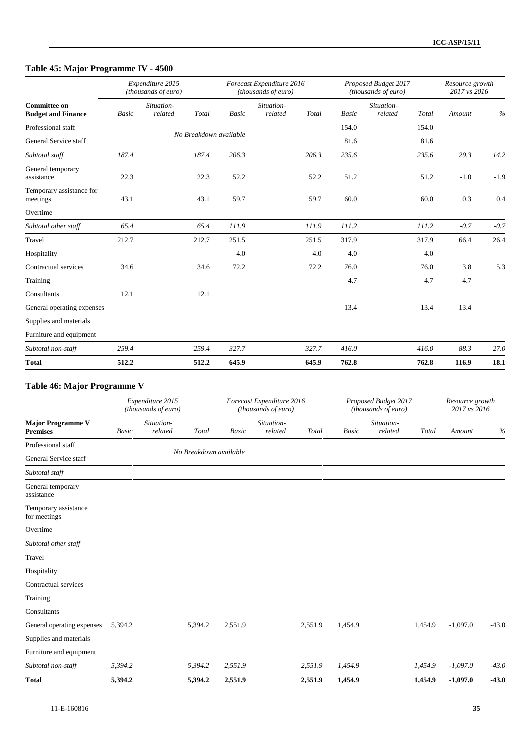## **Table 45: Major Programme IV - 4500**

|                                                  |       | Expenditure 2015<br>(thousands of euro) |                        | Forecast Expenditure 2016<br>(thousands of euro) |       |       | Proposed Budget 2017<br>(thousands of euro) | Resource growth<br>2017 vs 2016 |        |
|--------------------------------------------------|-------|-----------------------------------------|------------------------|--------------------------------------------------|-------|-------|---------------------------------------------|---------------------------------|--------|
| <b>Committee on</b><br><b>Budget and Finance</b> | Basic | Situation-<br>related<br>Total          | Basic                  | Situation-<br>related                            | Total | Basic | Situation-<br>related<br>Total              | Amount                          | $\%$   |
| Professional staff                               |       |                                         | No Breakdown available |                                                  |       | 154.0 | 154.0                                       |                                 |        |
| General Service staff                            |       |                                         |                        |                                                  |       | 81.6  | 81.6                                        |                                 |        |
| Subtotal staff                                   | 187.4 | 187.4                                   | 206.3                  |                                                  | 206.3 | 235.6 | 235.6                                       | 29.3                            | 14.2   |
| General temporary<br>assistance                  | 22.3  |                                         | 22.3<br>52.2           |                                                  | 52.2  | 51.2  | 51.2                                        | $-1.0$                          | $-1.9$ |
| Temporary assistance for<br>meetings             | 43.1  |                                         | 43.1<br>59.7           |                                                  | 59.7  | 60.0  | 60.0                                        | 0.3                             | 0.4    |
| Overtime                                         |       |                                         |                        |                                                  |       |       |                                             |                                 |        |
| Subtotal other staff                             | 65.4  |                                         | 111.9<br>65.4          |                                                  | 111.9 | 111.2 | 111.2                                       | $-0.7$                          | $-0.7$ |
| Travel                                           | 212.7 | 212.7                                   | 251.5                  |                                                  | 251.5 | 317.9 | 317.9                                       | 66.4                            | 26.4   |
| Hospitality                                      |       |                                         |                        | 4.0                                              | 4.0   | 4.0   | 4.0                                         |                                 |        |
| Contractual services                             | 34.6  |                                         | 34.6<br>72.2           |                                                  | 72.2  | 76.0  | 76.0                                        | 3.8                             | 5.3    |
| Training                                         |       |                                         |                        |                                                  |       | 4.7   | 4.7                                         | 4.7                             |        |
| Consultants                                      | 12.1  |                                         | 12.1                   |                                                  |       |       |                                             |                                 |        |
| General operating expenses                       |       |                                         |                        |                                                  |       | 13.4  | 13.4                                        | 13.4                            |        |
| Supplies and materials                           |       |                                         |                        |                                                  |       |       |                                             |                                 |        |
| Furniture and equipment                          |       |                                         |                        |                                                  |       |       |                                             |                                 |        |
| Subtotal non-staff                               | 259.4 | 259.4                                   | 327.7                  |                                                  | 327.7 | 416.0 | 416.0                                       | 88.3                            | 27.0   |
| <b>Total</b>                                     | 512.2 | 512.2                                   | 645.9                  |                                                  | 645.9 | 762.8 | 762.8                                       | 116.9                           | 18.1   |

### **Table 46: Major Programme V**

|                                             |              | Expenditure 2015<br>(thousands of euro) |                        |         | Forecast Expenditure 2016<br>(thousands of euro) |         |              | Proposed Budget 2017<br>(thousands of euro) |         | Resource growth<br>2017 vs 2016 |         |
|---------------------------------------------|--------------|-----------------------------------------|------------------------|---------|--------------------------------------------------|---------|--------------|---------------------------------------------|---------|---------------------------------|---------|
| <b>Major Programme V</b><br><b>Premises</b> | <b>Basic</b> | Situation-<br>related                   | Total                  | Basic   | Situation-<br>related                            | Total   | <b>Basic</b> | Situation-<br>related                       | Total   | Amount                          | $\%$    |
| Professional staff                          |              |                                         |                        |         |                                                  |         |              |                                             |         |                                 |         |
| General Service staff                       |              |                                         | No Breakdown available |         |                                                  |         |              |                                             |         |                                 |         |
| Subtotal staff                              |              |                                         |                        |         |                                                  |         |              |                                             |         |                                 |         |
| General temporary<br>assistance             |              |                                         |                        |         |                                                  |         |              |                                             |         |                                 |         |
| Temporary assistance<br>for meetings        |              |                                         |                        |         |                                                  |         |              |                                             |         |                                 |         |
| Overtime                                    |              |                                         |                        |         |                                                  |         |              |                                             |         |                                 |         |
| Subtotal other staff                        |              |                                         |                        |         |                                                  |         |              |                                             |         |                                 |         |
| Travel                                      |              |                                         |                        |         |                                                  |         |              |                                             |         |                                 |         |
| Hospitality                                 |              |                                         |                        |         |                                                  |         |              |                                             |         |                                 |         |
| Contractual services                        |              |                                         |                        |         |                                                  |         |              |                                             |         |                                 |         |
| Training                                    |              |                                         |                        |         |                                                  |         |              |                                             |         |                                 |         |
| Consultants                                 |              |                                         |                        |         |                                                  |         |              |                                             |         |                                 |         |
| General operating expenses                  | 5,394.2      |                                         | 5,394.2                | 2,551.9 |                                                  | 2,551.9 | 1,454.9      |                                             | 1,454.9 | $-1,097.0$                      | $-43.0$ |
| Supplies and materials                      |              |                                         |                        |         |                                                  |         |              |                                             |         |                                 |         |
| Furniture and equipment                     |              |                                         |                        |         |                                                  |         |              |                                             |         |                                 |         |
| Subtotal non-staff                          | 5,394.2      |                                         | 5,394.2                | 2,551.9 |                                                  | 2,551.9 | 1,454.9      |                                             | 1,454.9 | $-1,097.0$                      | $-43.0$ |
| <b>Total</b>                                | 5,394.2      |                                         | 5,394.2                | 2,551.9 |                                                  | 2,551.9 | 1,454.9      |                                             | 1,454.9 | $-1,097.0$                      | $-43.0$ |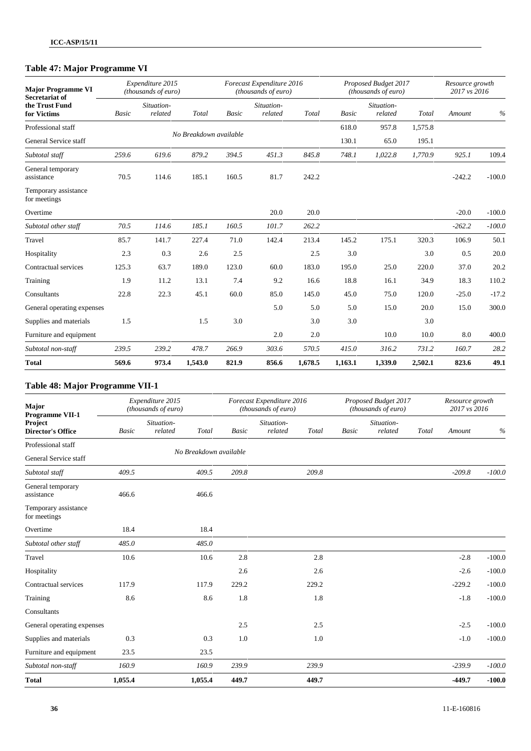## **Table 47: Major Programme VI**

| <b>Major Programme VI</b><br>Secretariat of |       | Expenditure 2015<br>(thousands of euro) |                        |       | Forecast Expenditure 2016<br>(thousands of euro) |         |              | Proposed Budget 2017<br>(thousands of euro) |         | Resource growth<br>2017 vs 2016 |          |
|---------------------------------------------|-------|-----------------------------------------|------------------------|-------|--------------------------------------------------|---------|--------------|---------------------------------------------|---------|---------------------------------|----------|
| the Trust Fund<br>for Victims               | Basic | Situation-<br>related                   | Total                  | Basic | Situation-<br>related                            | Total   | <b>Basic</b> | Situation-<br>related                       | Total   | Amount                          | $\%$     |
| Professional staff                          |       |                                         |                        |       |                                                  |         | 618.0        | 957.8                                       | 1,575.8 |                                 |          |
| General Service staff                       |       |                                         | No Breakdown available |       |                                                  |         | 130.1        | 65.0                                        | 195.1   |                                 |          |
| Subtotal staff                              | 259.6 | 619.6                                   | 879.2                  | 394.5 | 451.3                                            | 845.8   | 748.1        | 1,022.8                                     | 1,770.9 | 925.1                           | 109.4    |
| General temporary<br>assistance             | 70.5  | 114.6                                   | 185.1                  | 160.5 | 81.7                                             | 242.2   |              |                                             |         | $-242.2$                        | $-100.0$ |
| Temporary assistance<br>for meetings        |       |                                         |                        |       |                                                  |         |              |                                             |         |                                 |          |
| Overtime                                    |       |                                         |                        |       | 20.0                                             | 20.0    |              |                                             |         | $-20.0$                         | $-100.0$ |
| Subtotal other staff                        | 70.5  | 114.6                                   | 185.1                  | 160.5 | 101.7                                            | 262.2   |              |                                             |         | $-262.2$                        | $-100.0$ |
| Travel                                      | 85.7  | 141.7                                   | 227.4                  | 71.0  | 142.4                                            | 213.4   | 145.2        | 175.1                                       | 320.3   | 106.9                           | 50.1     |
| Hospitality                                 | 2.3   | 0.3                                     | 2.6                    | 2.5   |                                                  | 2.5     | 3.0          |                                             | 3.0     | 0.5                             | 20.0     |
| Contractual services                        | 125.3 | 63.7                                    | 189.0                  | 123.0 | 60.0                                             | 183.0   | 195.0        | 25.0                                        | 220.0   | 37.0                            | 20.2     |
| Training                                    | 1.9   | 11.2                                    | 13.1                   | 7.4   | 9.2                                              | 16.6    | 18.8         | 16.1                                        | 34.9    | 18.3                            | 110.2    |
| Consultants                                 | 22.8  | 22.3                                    | 45.1                   | 60.0  | 85.0                                             | 145.0   | 45.0         | 75.0                                        | 120.0   | $-25.0$                         | $-17.2$  |
| General operating expenses                  |       |                                         |                        |       | 5.0                                              | 5.0     | 5.0          | 15.0                                        | 20.0    | 15.0                            | 300.0    |
| Supplies and materials                      | 1.5   |                                         | 1.5                    | 3.0   |                                                  | 3.0     | 3.0          |                                             | 3.0     |                                 |          |
| Furniture and equipment                     |       |                                         |                        |       | 2.0                                              | 2.0     |              | 10.0                                        | 10.0    | 8.0                             | 400.0    |
| Subtotal non-staff                          | 239.5 | 239.2                                   | 478.7                  | 266.9 | 303.6                                            | 570.5   | 415.0        | 316.2                                       | 731.2   | 160.7                           | 28.2     |
| <b>Total</b>                                | 569.6 | 973.4                                   | 1,543.0                | 821.9 | 856.6                                            | 1,678.5 | 1,163.1      | 1,339.0                                     | 2,502.1 | 823.6                           | 49.1     |

### **Table 48: Major Programme VII-1**

| Major<br><b>Programme VII-1</b>      |              | Expenditure 2015<br>(thousands of euro) |         |       | Forecast Expenditure 2016<br>(thousands of euro) |       |       | Proposed Budget 2017<br>(thousands of euro) |       | Resource growth<br>2017 vs 2016 |          |
|--------------------------------------|--------------|-----------------------------------------|---------|-------|--------------------------------------------------|-------|-------|---------------------------------------------|-------|---------------------------------|----------|
| Project<br><b>Director's Office</b>  | <b>Basic</b> | Situation-<br>related                   | Total   | Basic | Situation-<br>related                            | Total | Basic | Situation-<br>related                       | Total | Amount                          | $\%$     |
| Professional staff                   |              |                                         |         |       |                                                  |       |       |                                             |       |                                 |          |
| General Service staff                |              | No Breakdown available                  |         |       |                                                  |       |       |                                             |       |                                 |          |
| Subtotal staff                       | 409.5        |                                         | 409.5   | 209.8 |                                                  | 209.8 |       |                                             |       | $-209.8$                        | $-100.0$ |
| General temporary<br>assistance      | 466.6        |                                         | 466.6   |       |                                                  |       |       |                                             |       |                                 |          |
| Temporary assistance<br>for meetings |              |                                         |         |       |                                                  |       |       |                                             |       |                                 |          |
| Overtime                             | 18.4         |                                         | 18.4    |       |                                                  |       |       |                                             |       |                                 |          |
| Subtotal other staff                 | 485.0        |                                         | 485.0   |       |                                                  |       |       |                                             |       |                                 |          |
| Travel                               | 10.6         |                                         | 10.6    | 2.8   |                                                  | 2.8   |       |                                             |       | $-2.8$                          | $-100.0$ |
| Hospitality                          |              |                                         |         | 2.6   |                                                  | 2.6   |       |                                             |       | $-2.6$                          | $-100.0$ |
| Contractual services                 | 117.9        |                                         | 117.9   | 229.2 |                                                  | 229.2 |       |                                             |       | $-229.2$                        | $-100.0$ |
| Training                             | 8.6          |                                         | 8.6     | 1.8   |                                                  | 1.8   |       |                                             |       | $-1.8$                          | $-100.0$ |
| Consultants                          |              |                                         |         |       |                                                  |       |       |                                             |       |                                 |          |
| General operating expenses           |              |                                         |         | 2.5   |                                                  | 2.5   |       |                                             |       | $-2.5$                          | $-100.0$ |
| Supplies and materials               | 0.3          |                                         | 0.3     | 1.0   |                                                  | 1.0   |       |                                             |       | $-1.0$                          | $-100.0$ |
| Furniture and equipment              | 23.5         |                                         | 23.5    |       |                                                  |       |       |                                             |       |                                 |          |
| Subtotal non-staff                   | 160.9        |                                         | 160.9   | 239.9 |                                                  | 239.9 |       |                                             |       | $-239.9$                        | $-100.0$ |
| <b>Total</b>                         | 1,055.4      |                                         | 1,055.4 | 449.7 |                                                  | 449.7 |       |                                             |       | $-449.7$                        | $-100.0$ |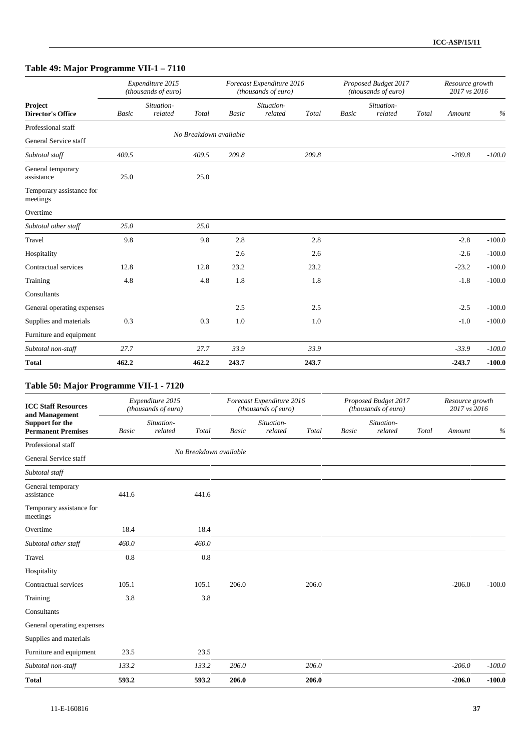## **Table 49: Major Programme VII-1 – 7110**

|                                      | Expenditure 2015<br>(thousands of euro) |                       |       |                        | Forecast Expenditure 2016<br>(thousands of euro) |       |              | Proposed Budget 2017<br>(thousands of euro) |       |          | Resource growth<br>2017 vs 2016 |  |
|--------------------------------------|-----------------------------------------|-----------------------|-------|------------------------|--------------------------------------------------|-------|--------------|---------------------------------------------|-------|----------|---------------------------------|--|
| Project<br><b>Director's Office</b>  | Basic                                   | Situation-<br>related | Total | Basic                  | Situation-<br>related                            | Total | <b>Basic</b> | Situation-<br>related                       | Total | Amount   | $\%$                            |  |
| Professional staff                   |                                         |                       |       | No Breakdown available |                                                  |       |              |                                             |       |          |                                 |  |
| General Service staff                |                                         |                       |       |                        |                                                  |       |              |                                             |       |          |                                 |  |
| Subtotal staff                       | 409.5                                   |                       | 409.5 | 209.8                  |                                                  | 209.8 |              |                                             |       | $-209.8$ | $-100.0$                        |  |
| General temporary<br>assistance      | 25.0                                    |                       | 25.0  |                        |                                                  |       |              |                                             |       |          |                                 |  |
| Temporary assistance for<br>meetings |                                         |                       |       |                        |                                                  |       |              |                                             |       |          |                                 |  |
| Overtime                             |                                         |                       |       |                        |                                                  |       |              |                                             |       |          |                                 |  |
| Subtotal other staff                 | 25.0                                    |                       | 25.0  |                        |                                                  |       |              |                                             |       |          |                                 |  |
| Travel                               | 9.8                                     |                       | 9.8   | 2.8                    |                                                  | 2.8   |              |                                             |       | $-2.8$   | $-100.0$                        |  |
| Hospitality                          |                                         |                       |       | 2.6                    |                                                  | 2.6   |              |                                             |       | $-2.6$   | $-100.0$                        |  |
| Contractual services                 | 12.8                                    |                       | 12.8  | 23.2                   |                                                  | 23.2  |              |                                             |       | $-23.2$  | $-100.0$                        |  |
| Training                             | 4.8                                     |                       | 4.8   | 1.8                    |                                                  | 1.8   |              |                                             |       | $-1.8$   | $-100.0$                        |  |
| Consultants                          |                                         |                       |       |                        |                                                  |       |              |                                             |       |          |                                 |  |
| General operating expenses           |                                         |                       |       | 2.5                    |                                                  | 2.5   |              |                                             |       | $-2.5$   | $-100.0$                        |  |
| Supplies and materials               | 0.3                                     |                       | 0.3   | 1.0                    |                                                  | 1.0   |              |                                             |       | $-1.0$   | $-100.0$                        |  |
| Furniture and equipment              |                                         |                       |       |                        |                                                  |       |              |                                             |       |          |                                 |  |
| Subtotal non-staff                   | 27.7                                    |                       | 27.7  | 33.9                   |                                                  | 33.9  |              |                                             |       | $-33.9$  | $-100.0$                        |  |
| <b>Total</b>                         | 462.2                                   |                       | 462.2 | 243.7                  |                                                  | 243.7 |              |                                             |       | $-243.7$ | $-100.0$                        |  |

### **Table 50: Major Programme VII-1 - 7120**

| <b>ICC Staff Resources</b><br>and Management | Expenditure 2015<br>(thousands of euro) |                        |       | Forecast Expenditure 2016<br>(thousands of euro) |                       |       |       | Proposed Budget 2017<br>(thousands of euro) |       | Resource growth<br>2017 vs 2016 |          |
|----------------------------------------------|-----------------------------------------|------------------------|-------|--------------------------------------------------|-----------------------|-------|-------|---------------------------------------------|-------|---------------------------------|----------|
| Support for the<br><b>Permanent Premises</b> | <b>Basic</b>                            | Situation-<br>related  | Total | Basic                                            | Situation-<br>related | Total | Basic | Situation-<br>related                       | Total | Amount                          | $\%$     |
| Professional staff                           |                                         |                        |       |                                                  |                       |       |       |                                             |       |                                 |          |
| General Service staff                        |                                         | No Breakdown available |       |                                                  |                       |       |       |                                             |       |                                 |          |
| Subtotal staff                               |                                         |                        |       |                                                  |                       |       |       |                                             |       |                                 |          |
| General temporary<br>assistance              | 441.6                                   |                        | 441.6 |                                                  |                       |       |       |                                             |       |                                 |          |
| Temporary assistance for<br>meetings         |                                         |                        |       |                                                  |                       |       |       |                                             |       |                                 |          |
| Overtime                                     | 18.4                                    |                        | 18.4  |                                                  |                       |       |       |                                             |       |                                 |          |
| Subtotal other staff                         | 460.0                                   |                        | 460.0 |                                                  |                       |       |       |                                             |       |                                 |          |
| Travel                                       | 0.8                                     |                        | 0.8   |                                                  |                       |       |       |                                             |       |                                 |          |
| Hospitality                                  |                                         |                        |       |                                                  |                       |       |       |                                             |       |                                 |          |
| Contractual services                         | 105.1                                   |                        | 105.1 | 206.0                                            |                       | 206.0 |       |                                             |       | $-206.0$                        | $-100.0$ |
| Training                                     | 3.8                                     |                        | 3.8   |                                                  |                       |       |       |                                             |       |                                 |          |
| Consultants                                  |                                         |                        |       |                                                  |                       |       |       |                                             |       |                                 |          |
| General operating expenses                   |                                         |                        |       |                                                  |                       |       |       |                                             |       |                                 |          |
| Supplies and materials                       |                                         |                        |       |                                                  |                       |       |       |                                             |       |                                 |          |
| Furniture and equipment                      | 23.5                                    |                        | 23.5  |                                                  |                       |       |       |                                             |       |                                 |          |
| Subtotal non-staff                           | 133.2                                   |                        | 133.2 | 206.0                                            |                       | 206.0 |       |                                             |       | $-206.0$                        | $-100.0$ |
| <b>Total</b>                                 | 593.2                                   |                        | 593.2 | 206.0                                            |                       | 206.0 |       |                                             |       | $-206.0$                        | $-100.0$ |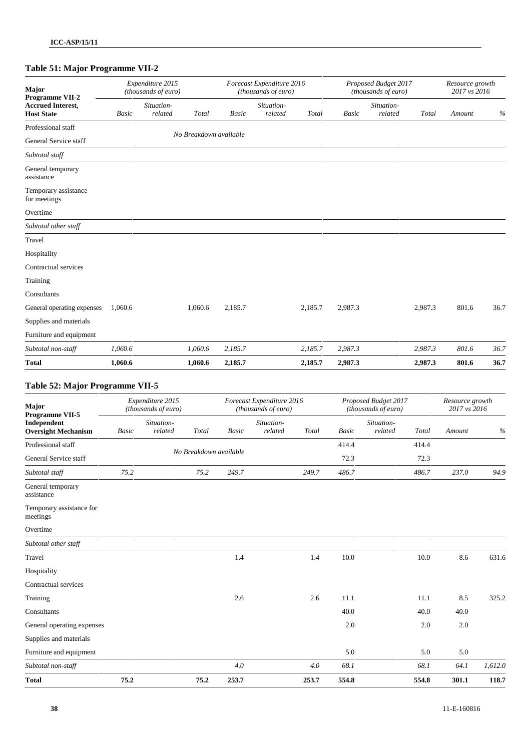## **Table 51: Major Programme VII-2**

| Major<br>Programme VII-2                      | Expenditure 2015<br>(thousands of euro) |                       |                        |         | Forecast Expenditure 2016<br>(thousands of euro) |         |              | Proposed Budget 2017<br>(thousands of euro) |         |        | Resource growth<br>2017 vs 2016 |  |  |
|-----------------------------------------------|-----------------------------------------|-----------------------|------------------------|---------|--------------------------------------------------|---------|--------------|---------------------------------------------|---------|--------|---------------------------------|--|--|
| <b>Accrued Interest,</b><br><b>Host State</b> | <b>Basic</b>                            | Situation-<br>related | Total                  | Basic   | Situation-<br>related                            | Total   | <b>Basic</b> | Situation-<br>related                       | Total   | Amount | $\%$                            |  |  |
| Professional staff                            |                                         |                       |                        |         |                                                  |         |              |                                             |         |        |                                 |  |  |
| General Service staff                         |                                         |                       | No Breakdown available |         |                                                  |         |              |                                             |         |        |                                 |  |  |
| Subtotal staff                                |                                         |                       |                        |         |                                                  |         |              |                                             |         |        |                                 |  |  |
| General temporary<br>assistance               |                                         |                       |                        |         |                                                  |         |              |                                             |         |        |                                 |  |  |
| Temporary assistance<br>for meetings          |                                         |                       |                        |         |                                                  |         |              |                                             |         |        |                                 |  |  |
| Overtime                                      |                                         |                       |                        |         |                                                  |         |              |                                             |         |        |                                 |  |  |
| Subtotal other staff                          |                                         |                       |                        |         |                                                  |         |              |                                             |         |        |                                 |  |  |
| Travel                                        |                                         |                       |                        |         |                                                  |         |              |                                             |         |        |                                 |  |  |
| Hospitality                                   |                                         |                       |                        |         |                                                  |         |              |                                             |         |        |                                 |  |  |
| Contractual services                          |                                         |                       |                        |         |                                                  |         |              |                                             |         |        |                                 |  |  |
| Training                                      |                                         |                       |                        |         |                                                  |         |              |                                             |         |        |                                 |  |  |
| Consultants                                   |                                         |                       |                        |         |                                                  |         |              |                                             |         |        |                                 |  |  |
| General operating expenses                    | 1,060.6                                 |                       | 1,060.6                | 2,185.7 |                                                  | 2,185.7 | 2,987.3      |                                             | 2,987.3 | 801.6  | 36.7                            |  |  |
| Supplies and materials                        |                                         |                       |                        |         |                                                  |         |              |                                             |         |        |                                 |  |  |
| Furniture and equipment                       |                                         |                       |                        |         |                                                  |         |              |                                             |         |        |                                 |  |  |
| Subtotal non-staff                            | 1,060.6                                 |                       | 1,060.6                | 2,185.7 |                                                  | 2,185.7 | 2,987.3      |                                             | 2,987.3 | 801.6  | 36.7                            |  |  |
| <b>Total</b>                                  | 1,060.6                                 |                       | 1,060.6                | 2,185.7 |                                                  | 2,185.7 | 2,987.3      |                                             | 2,987.3 | 801.6  | 36.7                            |  |  |

### **Table 52: Major Programme VII-5**

| Major<br>Programme VII-5                  | Expenditure 2015<br>(thousands of euro) |                       |                        | Forecast Expenditure 2016<br>(thousands of euro) |                       |       | Proposed Budget 2017<br>(thousands of euro) |                       |       | Resource growth<br>2017 vs 2016 |         |  |
|-------------------------------------------|-----------------------------------------|-----------------------|------------------------|--------------------------------------------------|-----------------------|-------|---------------------------------------------|-----------------------|-------|---------------------------------|---------|--|
| Independent<br><b>Oversight Mechanism</b> | Basic                                   | Situation-<br>related | Total                  | Basic                                            | Situation-<br>related | Total | Basic                                       | Situation-<br>related | Total | Amount                          | $\%$    |  |
| Professional staff                        |                                         |                       |                        |                                                  |                       |       | 414.4                                       |                       | 414.4 |                                 |         |  |
| General Service staff                     |                                         |                       | No Breakdown available |                                                  |                       |       |                                             |                       | 72.3  |                                 |         |  |
| Subtotal staff                            | 75.2                                    |                       | 75.2                   | 249.7                                            |                       | 249.7 | 486.7                                       |                       | 486.7 | 237.0                           | 94.9    |  |
| General temporary<br>assistance           |                                         |                       |                        |                                                  |                       |       |                                             |                       |       |                                 |         |  |
| Temporary assistance for<br>meetings      |                                         |                       |                        |                                                  |                       |       |                                             |                       |       |                                 |         |  |
| Overtime                                  |                                         |                       |                        |                                                  |                       |       |                                             |                       |       |                                 |         |  |
| Subtotal other staff                      |                                         |                       |                        |                                                  |                       |       |                                             |                       |       |                                 |         |  |
| Travel                                    |                                         |                       |                        | 1.4                                              |                       | 1.4   | 10.0                                        |                       | 10.0  | 8.6                             | 631.6   |  |
| Hospitality                               |                                         |                       |                        |                                                  |                       |       |                                             |                       |       |                                 |         |  |
| Contractual services                      |                                         |                       |                        |                                                  |                       |       |                                             |                       |       |                                 |         |  |
| Training                                  |                                         |                       |                        | 2.6                                              |                       | 2.6   | 11.1                                        |                       | 11.1  | 8.5                             | 325.2   |  |
| Consultants                               |                                         |                       |                        |                                                  |                       |       | 40.0                                        |                       | 40.0  | 40.0                            |         |  |
| General operating expenses                |                                         |                       |                        |                                                  |                       |       | 2.0                                         |                       | 2.0   | 2.0                             |         |  |
| Supplies and materials                    |                                         |                       |                        |                                                  |                       |       |                                             |                       |       |                                 |         |  |
| Furniture and equipment                   |                                         |                       |                        |                                                  |                       |       | 5.0                                         |                       | 5.0   | 5.0                             |         |  |
| Subtotal non-staff                        |                                         |                       |                        | 4.0                                              |                       | 4.0   | 68.1                                        |                       | 68.1  | 64.1                            | 1,612.0 |  |
| <b>Total</b>                              | 75.2                                    |                       | 75.2                   | 253.7                                            |                       | 253.7 | 554.8                                       |                       | 554.8 | 301.1                           | 118.7   |  |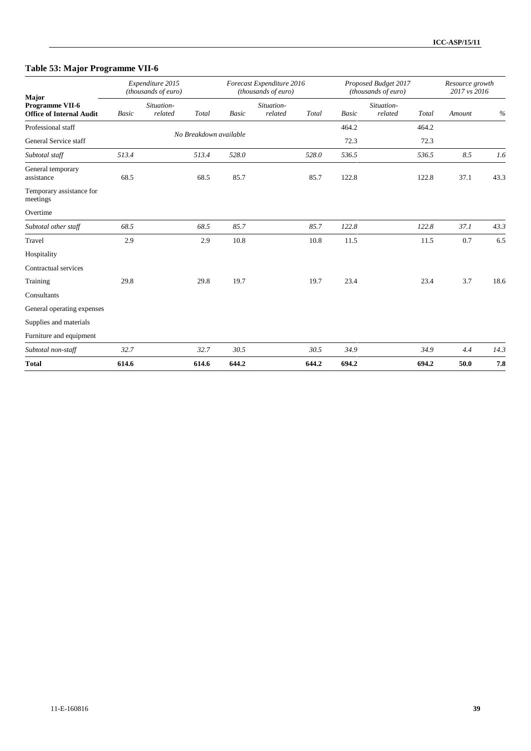## **Table 53: Major Programme VII-6**

| Major                                              | Expenditure 2015<br>(thousands of euro) |                       |       |                        | Forecast Expenditure 2016<br>(thousands of euro) |       | Proposed Budget 2017<br>(thousands of euro) |                       |       | Resource growth<br>2017 vs 2016 |      |  |
|----------------------------------------------------|-----------------------------------------|-----------------------|-------|------------------------|--------------------------------------------------|-------|---------------------------------------------|-----------------------|-------|---------------------------------|------|--|
| Programme VII-6<br><b>Office of Internal Audit</b> | <b>Basic</b>                            | Situation-<br>related | Total | <b>Basic</b>           | Situation-<br>related                            | Total | <b>Basic</b>                                | Situation-<br>related | Total | Amount                          | $\%$ |  |
| Professional staff                                 |                                         |                       |       | No Breakdown available |                                                  |       | 464.2                                       |                       | 464.2 |                                 |      |  |
| General Service staff                              |                                         |                       |       |                        |                                                  |       | 72.3                                        |                       | 72.3  |                                 |      |  |
| Subtotal staff                                     | 513.4                                   |                       | 513.4 | 528.0                  |                                                  | 528.0 | 536.5                                       |                       | 536.5 | 8.5                             | 1.6  |  |
| General temporary<br>assistance                    | 68.5                                    |                       | 68.5  | 85.7                   |                                                  | 85.7  | 122.8                                       |                       | 122.8 | 37.1                            | 43.3 |  |
| Temporary assistance for<br>meetings               |                                         |                       |       |                        |                                                  |       |                                             |                       |       |                                 |      |  |
| Overtime                                           |                                         |                       |       |                        |                                                  |       |                                             |                       |       |                                 |      |  |
| Subtotal other staff                               | 68.5                                    |                       | 68.5  | 85.7                   |                                                  | 85.7  | 122.8                                       |                       | 122.8 | 37.1                            | 43.3 |  |
| Travel                                             | 2.9                                     |                       | 2.9   | 10.8                   |                                                  | 10.8  | 11.5                                        |                       | 11.5  | 0.7                             | 6.5  |  |
| Hospitality                                        |                                         |                       |       |                        |                                                  |       |                                             |                       |       |                                 |      |  |
| Contractual services                               |                                         |                       |       |                        |                                                  |       |                                             |                       |       |                                 |      |  |
| Training                                           | 29.8                                    |                       | 29.8  | 19.7                   |                                                  | 19.7  | 23.4                                        |                       | 23.4  | 3.7                             | 18.6 |  |
| Consultants                                        |                                         |                       |       |                        |                                                  |       |                                             |                       |       |                                 |      |  |
| General operating expenses                         |                                         |                       |       |                        |                                                  |       |                                             |                       |       |                                 |      |  |
| Supplies and materials                             |                                         |                       |       |                        |                                                  |       |                                             |                       |       |                                 |      |  |
| Furniture and equipment                            |                                         |                       |       |                        |                                                  |       |                                             |                       |       |                                 |      |  |
| Subtotal non-staff                                 | 32.7                                    |                       | 32.7  | 30.5                   |                                                  | 30.5  | 34.9                                        |                       | 34.9  | 4.4                             | 14.3 |  |
| <b>Total</b>                                       | 614.6                                   |                       | 614.6 | 644.2                  |                                                  | 644.2 | 694.2                                       |                       | 694.2 | 50.0                            | 7.8  |  |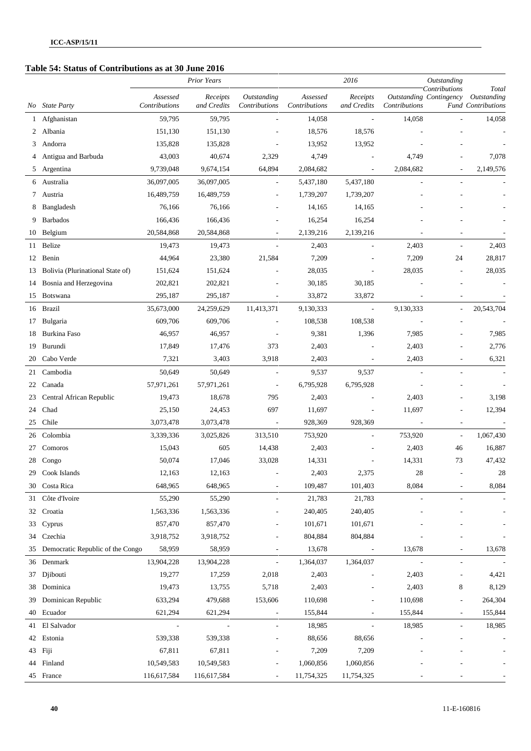## **Table 54: Status of Contributions as at 30 June 2016**

|     |                                  |                           | <b>Prior Years</b>       |                              |                           | 2016                     |                          | Outstanding                                     |                                                   |
|-----|----------------------------------|---------------------------|--------------------------|------------------------------|---------------------------|--------------------------|--------------------------|-------------------------------------------------|---------------------------------------------------|
| No. | <b>State Party</b>               | Assessed<br>Contributions | Receipts<br>and Credits  | Outstanding<br>Contributions | Assessed<br>Contributions | Receipts<br>and Credits  | Contributions            | Contributions<br><b>Outstanding Contingency</b> | Total<br>Outstanding<br><b>Fund Contributions</b> |
| 1   | Afghanistan                      | 59,795                    | 59,795                   |                              | 14,058                    | $\overline{\phantom{a}}$ | 14,058                   |                                                 | 14,058                                            |
| 2   | Albania                          | 151,130                   | 151,130                  |                              | 18,576                    | 18,576                   |                          |                                                 |                                                   |
| 3   | Andorra                          | 135,828                   | 135,828                  |                              | 13,952                    | 13,952                   |                          |                                                 |                                                   |
|     | Antigua and Barbuda              | 43,003                    | 40,674                   | 2,329                        | 4,749                     | $\overline{\phantom{a}}$ | 4,749                    |                                                 | 7,078                                             |
| 5   | Argentina                        | 9,739,048                 | 9,674,154                | 64,894                       | 2,084,682                 | $\overline{\phantom{a}}$ | 2,084,682                |                                                 | 2,149,576                                         |
| 6   | Australia                        | 36,097,005                | 36,097,005               | $\overline{\phantom{a}}$     | 5,437,180                 | 5,437,180                | $\overline{\phantom{a}}$ |                                                 |                                                   |
| 7   | Austria                          | 16,489,759                | 16,489,759               |                              | 1,739,207                 | 1,739,207                |                          |                                                 |                                                   |
| 8   | Bangladesh                       | 76,166                    | 76,166                   |                              | 14,165                    | 14,165                   |                          |                                                 |                                                   |
| 9   | <b>Barbados</b>                  | 166,436                   | 166,436                  |                              | 16,254                    | 16,254                   |                          |                                                 |                                                   |
| 10  | Belgium                          | 20,584,868                | 20,584,868               | $\overline{a}$               | 2,139,216                 | 2,139,216                |                          |                                                 |                                                   |
| 11  | <b>Belize</b>                    | 19,473                    | 19,473                   | $\overline{a}$               | 2,403                     | L.                       | 2,403                    | $\overline{a}$                                  | 2,403                                             |
| 12  | Benin                            | 44,964                    | 23,380                   | 21,584                       | 7,209                     |                          | 7,209                    | 24                                              | 28,817                                            |
| 13  | Bolivia (Plurinational State of) | 151,624                   | 151,624                  |                              | 28,035                    | $\overline{a}$           | 28,035                   | $\overline{\phantom{a}}$                        | 28,035                                            |
| 14  | Bosnia and Herzegovina           | 202,821                   | 202,821                  |                              | 30,185                    | 30,185                   |                          |                                                 |                                                   |
| 15  | Botswana                         | 295,187                   | 295,187                  | $\overline{\phantom{a}}$     | 33,872                    | 33,872                   | $\overline{a}$           | $\qquad \qquad \blacksquare$                    |                                                   |
| 16  | <b>Brazil</b>                    | 35,673,000                | 24,259,629               | 11,413,371                   | 9,130,333                 | $\overline{\phantom{a}}$ | 9,130,333                | $\frac{1}{2}$                                   | 20,543,704                                        |
| 17  | Bulgaria                         | 609,706                   | 609,706                  |                              | 108,538                   | 108,538                  | $\overline{\phantom{a}}$ |                                                 |                                                   |
| 18  | Burkina Faso                     | 46,957                    | 46,957                   |                              | 9,381                     | 1,396                    | 7,985                    |                                                 | 7,985                                             |
| 19  | Burundi                          | 17,849                    | 17,476                   | 373                          | 2,403                     |                          | 2,403                    |                                                 | 2,776                                             |
| 20  | Cabo Verde                       | 7,321                     | 3,403                    | 3,918                        | 2,403                     |                          | 2,403                    |                                                 | 6,321                                             |
| 21  | Cambodia                         | 50,649                    | 50,649                   | $\overline{\phantom{a}}$     | 9,537                     | 9,537                    | $\overline{\phantom{a}}$ | $\overline{\phantom{a}}$                        |                                                   |
| 22  | Canada                           | 57,971,261                | 57,971,261               | $\overline{\phantom{a}}$     | 6,795,928                 | 6,795,928                |                          |                                                 |                                                   |
| 23  | Central African Republic         | 19,473                    | 18,678                   | 795                          | 2,403                     | $\overline{a}$           | 2,403                    | $\overline{a}$                                  | 3,198                                             |
| 24  | Chad                             | 25,150                    | 24,453                   | 697                          | 11,697                    | $\overline{\phantom{a}}$ | 11,697                   | $\overline{a}$                                  | 12,394                                            |
| 25  | Chile                            | 3,073,478                 | 3,073,478                | $\overline{\phantom{a}}$     | 928,369                   | 928,369                  | $\overline{\phantom{a}}$ |                                                 |                                                   |
| 26  | Colombia                         | 3,339,336                 | 3,025,826                | 313,510                      | 753,920                   | $\overline{a}$           | 753,920                  | $\overline{\phantom{a}}$                        | 1,067,430                                         |
| 27  | Comoros                          | 15,043                    | 605                      | 14,438                       | 2,403                     | $\overline{a}$           | 2,403                    | 46                                              | 16,887                                            |
| 28  | Congo                            | 50,074                    | 17,046                   | 33,028                       | 14,331                    |                          | 14,331                   | 73                                              | 47,432                                            |
|     | 29 Cook Islands                  | 12,163                    | 12,163                   |                              | 2,403                     | 2,375                    | 28                       |                                                 | 28                                                |
|     | 30 Costa Rica                    | 648,965                   | 648,965                  | $\overline{\phantom{a}}$     | 109,487                   | 101,403                  | 8,084                    |                                                 | 8,084                                             |
| 31  | Côte d'Ivoire                    | 55,290                    | 55,290                   | $\overline{\phantom{a}}$     | 21,783                    | 21,783                   | $\overline{a}$           | $\qquad \qquad \blacksquare$                    |                                                   |
| 32  | Croatia                          | 1,563,336                 | 1,563,336                |                              | 240,405                   | 240,405                  |                          |                                                 |                                                   |
| 33  | Cyprus                           | 857,470                   | 857,470                  |                              | 101,671                   | 101,671                  |                          |                                                 |                                                   |
| 34  | Czechia                          | 3,918,752                 | 3,918,752                |                              | 804,884                   | 804,884                  |                          |                                                 |                                                   |
| 35  | Democratic Republic of the Congo | 58,959                    | 58,959                   | $\overline{\phantom{a}}$     | 13,678                    | $\overline{\phantom{a}}$ | 13,678                   |                                                 | 13,678                                            |
| 36  | Denmark                          | 13,904,228                | 13,904,228               | $\overline{\phantom{a}}$     | 1,364,037                 | 1,364,037                | $\overline{\phantom{a}}$ | $\qquad \qquad \blacksquare$                    |                                                   |
| 37  | Djibouti                         | 19,277                    | 17,259                   | 2,018                        | 2,403                     |                          | 2,403                    | $\qquad \qquad \blacksquare$                    | 4,421                                             |
| 38  | Dominica                         | 19,473                    | 13,755                   | 5,718                        | 2,403                     |                          | 2,403                    | 8                                               | 8,129                                             |
| 39  | Dominican Republic               | 633,294                   | 479,688                  | 153,606                      | 110,698                   |                          | 110,698                  | $\overline{\phantom{m}}$                        | 264,304                                           |
| 40  | Ecuador                          | 621,294                   | 621,294                  |                              | 155,844                   |                          | 155,844                  | $\qquad \qquad \blacksquare$                    | 155,844                                           |
| 41  | El Salvador                      | $\overline{\phantom{a}}$  | $\overline{\phantom{a}}$ | $\overline{\phantom{a}}$     | 18,985                    | $\overline{\phantom{a}}$ | 18,985                   | $\overline{\phantom{a}}$                        | 18,985                                            |
| 42  | Estonia                          | 539,338                   | 539,338                  |                              | 88,656                    | 88,656                   |                          |                                                 |                                                   |
|     | 43 Fiji                          | 67,811                    | 67,811                   | $\overline{\phantom{a}}$     | 7,209                     | 7,209                    |                          |                                                 |                                                   |
|     | 44 Finland                       | 10,549,583                | 10,549,583               |                              | 1,060,856                 | 1,060,856                |                          |                                                 |                                                   |
|     | 45 France                        | 116,617,584               | 116,617,584              | $\overline{\phantom{a}}$     | 11,754,325                | 11,754,325               |                          |                                                 |                                                   |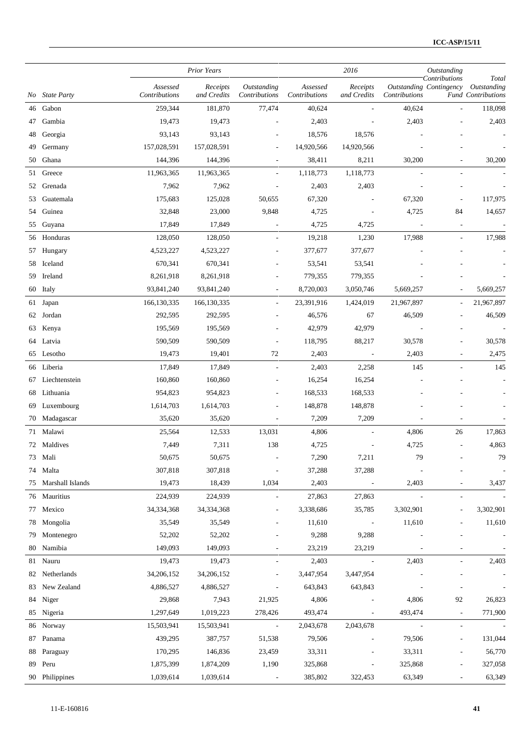|     |                    |                           | <b>Prior Years</b>      |                              |                           | 2016                     |                          | <b>Outstanding</b><br>Contributions | Total                                    |
|-----|--------------------|---------------------------|-------------------------|------------------------------|---------------------------|--------------------------|--------------------------|-------------------------------------|------------------------------------------|
| No. | <b>State Party</b> | Assessed<br>Contributions | Receipts<br>and Credits | Outstanding<br>Contributions | Assessed<br>Contributions | Receipts<br>and Credits  | Contributions            | <b>Outstanding Contingency</b>      | Outstanding<br><b>Fund Contributions</b> |
| 46  | Gabon              | 259,344                   | 181,870                 | 77,474                       | 40,624                    |                          | 40,624                   | $\overline{\phantom{a}}$            | 118,098                                  |
| 47  | Gambia             | 19,473                    | 19,473                  | ä,                           | 2,403                     |                          | 2,403                    |                                     | 2,403                                    |
| 48  | Georgia            | 93,143                    | 93,143                  | $\overline{a}$               | 18,576                    | 18,576                   |                          |                                     |                                          |
| 49  | Germany            | 157,028,591               | 157,028,591             | $\sim$                       | 14,920,566                | 14,920,566               |                          |                                     |                                          |
| 50  | Ghana              | 144,396                   | 144,396                 | $\overline{\phantom{a}}$     | 38,411                    | 8,211                    | 30,200                   | $\qquad \qquad \blacksquare$        | 30,200                                   |
| 51  | Greece             | 11,963,365                | 11,963,365              | $\blacksquare$               | 1,118,773                 | 1,118,773                | ÷,                       | $\overline{\phantom{a}}$            |                                          |
| 52  | Grenada            | 7,962                     | 7,962                   |                              | 2,403                     | 2,403                    |                          |                                     |                                          |
| 53  | Guatemala          | 175,683                   | 125,028                 | 50,655                       | 67,320                    | $\overline{a}$           | 67,320                   |                                     | 117,975                                  |
| 54  | Guinea             | 32,848                    | 23,000                  | 9,848                        | 4,725                     | $\overline{\phantom{a}}$ | 4,725                    | 84                                  | 14,657                                   |
| 55  | Guyana             | 17,849                    | 17,849                  | $\overline{\phantom{a}}$     | 4,725                     | 4,725                    | $\overline{\phantom{a}}$ | $\overline{\phantom{a}}$            |                                          |
| 56  | Honduras           | 128,050                   | 128,050                 | $\sim$                       | 19,218                    | 1,230                    | 17,988                   | $\overline{\phantom{a}}$            | 17,988                                   |
| 57  | Hungary            | 4,523,227                 | 4,523,227               |                              | 377,677                   | 377,677                  |                          |                                     |                                          |
| 58  | Iceland            | 670,341                   | 670,341                 | ٠                            | 53,541                    | 53,541                   |                          |                                     |                                          |
| 59  | Ireland            | 8,261,918                 | 8,261,918               |                              | 779,355                   | 779,355                  |                          |                                     |                                          |
| 60  | Italy              | 93,841,240                | 93,841,240              | $\overline{\phantom{a}}$     | 8,720,003                 | 3,050,746                | 5,669,257                | ÷,                                  | 5,669,257                                |
| 61  | Japan              | 166, 130, 335             | 166, 130, 335           | $\sim$                       | 23,391,916                | 1,424,019                | 21,967,897               | $\overline{\phantom{a}}$            | 21,967,897                               |
| 62  | Jordan             | 292,595                   | 292,595                 | $\overline{\phantom{0}}$     | 46,576                    | 67                       | 46,509                   |                                     | 46,509                                   |
| 63  | Kenya              | 195,569                   | 195,569                 | $\overline{a}$               | 42,979                    | 42,979                   |                          |                                     |                                          |
| 64  | Latvia             | 590,509                   | 590,509                 | $\overline{\phantom{a}}$     | 118,795                   | 88,217                   | 30,578                   | $\overline{a}$                      | 30,578                                   |
| 65  | Lesotho            | 19,473                    | 19,401                  | 72                           | 2,403                     | $\overline{\phantom{a}}$ | 2,403                    |                                     | 2,475                                    |
| 66  | Liberia            | 17,849                    | 17,849                  | $\overline{\phantom{a}}$     | 2,403                     | 2,258                    | 145                      |                                     | 145                                      |
| 67  | Liechtenstein      | 160,860                   | 160,860                 | ٠                            | 16,254                    | 16,254                   |                          |                                     |                                          |
| 68  | Lithuania          | 954,823                   | 954,823                 | $\overline{a}$               | 168,533                   | 168,533                  |                          |                                     |                                          |
| 69  | Luxembourg         | 1,614,703                 | 1,614,703               | $\overline{a}$               | 148,878                   | 148,878                  |                          |                                     |                                          |
| 70  | Madagascar         | 35,620                    | 35,620                  | $\overline{\phantom{a}}$     | 7,209                     | 7,209                    |                          |                                     |                                          |
| 71  | Malawi             | 25,564                    | 12,533                  | 13,031                       | 4,806                     |                          | 4,806                    | 26                                  | 17,863                                   |
| 72  | Maldives           | 7,449                     | 7,311                   | 138                          | 4,725                     |                          | 4,725                    | $\overline{a}$                      | 4,863                                    |
|     | 73 Mali            | 50,675                    | 50,675                  | $\overline{\phantom{a}}$     | 7,290                     | 7,211                    | 79                       | $\overline{\phantom{a}}$            | 79                                       |
|     | 74 Malta           | 307,818                   | 307,818                 | $\overline{\phantom{a}}$     | 37,288                    | 37,288                   | $\overline{\phantom{a}}$ | $\qquad \qquad \blacksquare$        |                                          |
| 75  | Marshall Islands   | 19,473                    | 18,439                  | 1,034                        | 2,403                     | $\overline{\phantom{a}}$ | 2,403                    | $\overline{a}$                      | 3,437                                    |
|     | 76 Mauritius       | 224,939                   | 224,939                 | L,                           | 27,863                    | 27,863                   | $\overline{\phantom{a}}$ | $\overline{\phantom{a}}$            |                                          |
| 77  | Mexico             | 34,334,368                | 34,334,368              | $\sim$                       | 3,338,686                 | 35,785                   | 3,302,901                | $\overline{\phantom{a}}$            | 3,302,901                                |
|     | 78 Mongolia        | 35,549                    | 35,549                  | ÷,                           | 11,610                    | $\overline{\phantom{a}}$ | 11,610                   |                                     | 11,610                                   |
| 79  | Montenegro         | 52,202                    | 52,202                  | $\overline{\phantom{a}}$     | 9,288                     | 9,288                    |                          |                                     |                                          |
| 80  | Namibia            | 149,093                   | 149,093                 | $\overline{a}$               | 23,219                    | 23,219                   | $\overline{\phantom{a}}$ | L,                                  |                                          |
|     | 81 Nauru           | 19,473                    | 19,473                  | $\overline{\phantom{a}}$     | 2,403                     | $\overline{\phantom{a}}$ | 2,403                    | $\overline{\phantom{a}}$            | 2,403                                    |
| 82  | Netherlands        | 34,206,152                | 34,206,152              | $\overline{\phantom{0}}$     | 3,447,954                 | 3,447,954                |                          | $\overline{a}$                      |                                          |
| 83  | New Zealand        | 4,886,527                 | 4,886,527               |                              | 643,843                   | 643,843                  |                          |                                     |                                          |
| 84  | Niger              | 29,868                    | 7,943                   | 21,925                       | 4,806                     | $\overline{a}$           | 4,806                    | 92                                  | 26,823                                   |
|     | 85 Nigeria         | 1,297,649                 | 1,019,223               | 278,426                      | 493,474                   | $\overline{\phantom{a}}$ | 493,474                  | $\blacksquare$                      | 771,900                                  |
|     | 86 Norway          | 15,503,941                | 15,503,941              | $\sim$                       | 2,043,678                 | 2,043,678                | $\overline{\phantom{a}}$ | $\overline{\phantom{a}}$            |                                          |
| 87  | Panama             | 439,295                   | 387,757                 | 51,538                       | 79,506                    | $\overline{\phantom{a}}$ | 79,506                   | $\overline{\phantom{a}}$            | 131,044                                  |
| 88  | Paraguay           | 170,295                   | 146,836                 | 23,459                       | 33,311                    |                          | 33,311                   | $\qquad \qquad \blacksquare$        | 56,770                                   |
| 89  | Peru               | 1,875,399                 | 1,874,209               | 1,190                        | 325,868                   | $\overline{a}$           | 325,868                  | $\qquad \qquad \blacksquare$        | 327,058                                  |
|     | 90 Philippines     | 1,039,614                 | 1,039,614               | $\sim 100$                   | 385,802                   | 322,453                  | 63,349                   | ÷,                                  | 63,349                                   |
|     |                    |                           |                         |                              |                           |                          |                          |                                     |                                          |